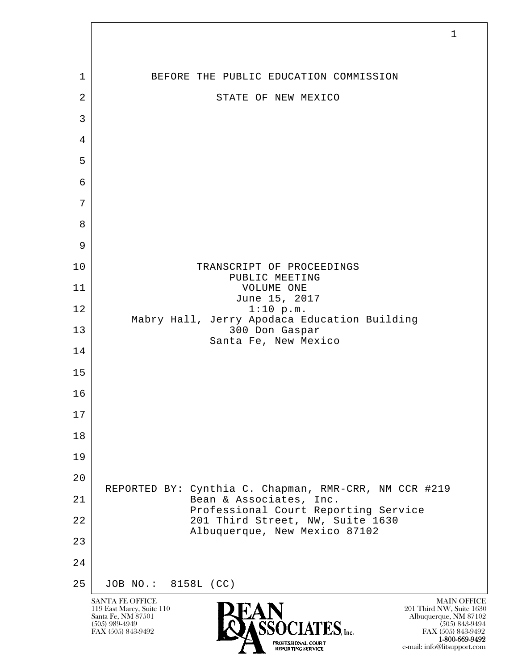

1-800-669-9492

e-mail: info@litsupport.com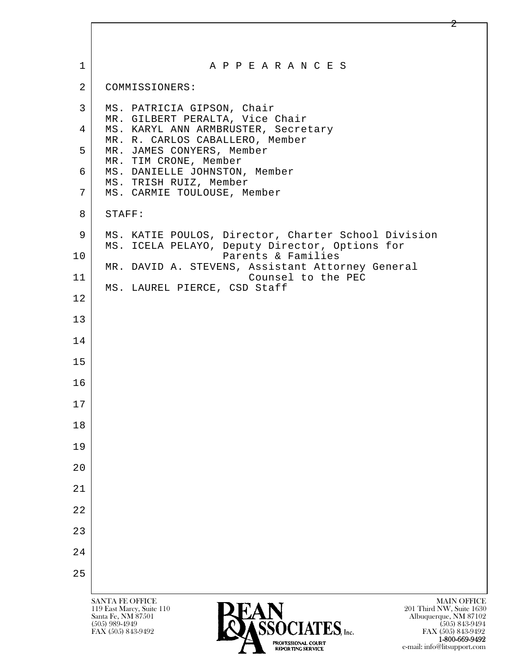| $\mathbf 1$    | A P P E A R A N C E S                                                                                                                                                                                   |
|----------------|---------------------------------------------------------------------------------------------------------------------------------------------------------------------------------------------------------|
| $\overline{2}$ | COMMISSIONERS:                                                                                                                                                                                          |
| 3              | MS. PATRICIA GIPSON, Chair<br>MR. GILBERT PERALTA, Vice Chair                                                                                                                                           |
| 4              | MS. KARYL ANN ARMBRUSTER, Secretary<br>MR. R. CARLOS CABALLERO, Member                                                                                                                                  |
| 5              | MR. JAMES CONYERS, Member<br>MR. TIM CRONE, Member                                                                                                                                                      |
| 6              | MS. DANIELLE JOHNSTON, Member<br>MS. TRISH RUIZ, Member                                                                                                                                                 |
| 7              | MS. CARMIE TOULOUSE, Member                                                                                                                                                                             |
| 8              | STAFF:                                                                                                                                                                                                  |
| 9              | MS. KATIE POULOS, Director, Charter School Division<br>MS. ICELA PELAYO, Deputy Director, Options for                                                                                                   |
| 10             | Parents & Families<br>MR. DAVID A. STEVENS, Assistant Attorney General                                                                                                                                  |
| 11             | Counsel to the PEC<br>MS. LAUREL PIERCE, CSD Staff                                                                                                                                                      |
| 12             |                                                                                                                                                                                                         |
| 13             |                                                                                                                                                                                                         |
| 14             |                                                                                                                                                                                                         |
| 15             |                                                                                                                                                                                                         |
| 16             |                                                                                                                                                                                                         |
| 17             |                                                                                                                                                                                                         |
| 18             |                                                                                                                                                                                                         |
| 19             |                                                                                                                                                                                                         |
| 20             |                                                                                                                                                                                                         |
| 21             |                                                                                                                                                                                                         |
| 22             |                                                                                                                                                                                                         |
| 23             |                                                                                                                                                                                                         |
| 24             |                                                                                                                                                                                                         |
| 25             |                                                                                                                                                                                                         |
|                | <b>MAIN OFFICE</b><br><b>SANTA FE OFFICE</b><br>201 Third NW, Suite 1630<br>119 East Marcy, Suite 110<br>Albuquerque, NM 87102<br>Santa Fe, NM 87501<br>CCACIATEC<br>(505) 989-4949<br>$(505)$ 843-9494 |

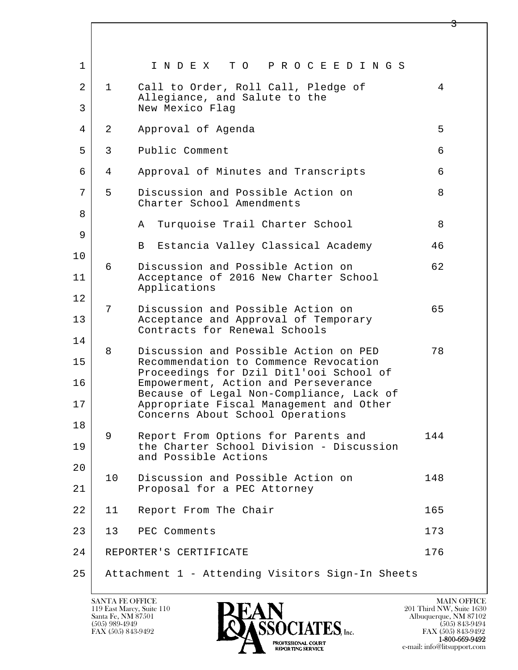| $\mathbf{1}$ |                 | INDEX TO PROCEEDINGS                                                                       |     |
|--------------|-----------------|--------------------------------------------------------------------------------------------|-----|
| 2<br>3       | $\mathbf{1}$    | Call to Order, Roll Call, Pledge of<br>Allegiance, and Salute to the<br>New Mexico Flag    | 4   |
| 4            | $\overline{a}$  | Approval of Agenda                                                                         | 5   |
| 5            | 3               | Public Comment                                                                             | 6   |
| 6            | 4               | Approval of Minutes and Transcripts                                                        | 6   |
| 7<br>8       | 5               | Discussion and Possible Action on<br>Charter School Amendments                             | 8   |
| 9            |                 | Turquoise Trail Charter School<br>Α                                                        | 8   |
| 10           |                 | Estancia Valley Classical Academy<br>$\mathbf{B}$                                          | 46  |
| 11           | 6               | Discussion and Possible Action on<br>Acceptance of 2016 New Charter School<br>Applications | 62  |
| 12           | 7               | Discussion and Possible Action on                                                          | 65  |
| 13           |                 | Acceptance and Approval of Temporary<br>Contracts for Renewal Schools                      |     |
| 14           | 8               | Discussion and Possible Action on PED                                                      | 78  |
| 15           |                 | Recommendation to Commence Revocation<br>Proceedings for Dzil Ditl'ooi School of           |     |
| 16           |                 | Empowerment, Action and Perseverance<br>Because of Legal Non-Compliance, Lack of           |     |
| 17           |                 | Appropriate Fiscal Management and Other<br>Concerns About School Operations                |     |
| 18           | 9               | Report From Options for Parents and                                                        | 144 |
| 19           |                 | the Charter School Division - Discussion<br>and Possible Actions                           |     |
| 20           | 10 <sub>o</sub> | Discussion and Possible Action on                                                          | 148 |
| 21           |                 | Proposal for a PEC Attorney                                                                |     |
| 22           | 11              | Report From The Chair                                                                      | 165 |
| 23           | 13              | PEC Comments                                                                               | 173 |
| 24           |                 | REPORTER'S CERTIFICATE                                                                     | 176 |
| 25           |                 | Attachment 1 - Attending Visitors Sign-In Sheets                                           |     |

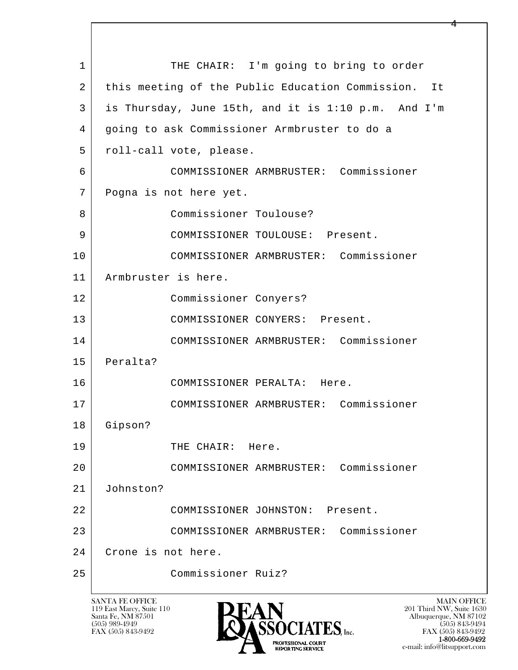l  $\overline{\phantom{a}}$ 1 THE CHAIR: I'm going to bring to order 2 this meeting of the Public Education Commission. It 3 is Thursday, June 15th, and it is 1:10 p.m. And I'm 4 going to ask Commissioner Armbruster to do a 5 | roll-call vote, please. 6 COMMISSIONER ARMBRUSTER: Commissioner 7 Pogna is not here yet. 8 Commissioner Toulouse? 9 COMMISSIONER TOULOUSE: Present. 10 COMMISSIONER ARMBRUSTER: Commissioner 11 Armbruster is here. 12 Commissioner Conyers? 13 COMMISSIONER CONYERS: Present. 14 COMMISSIONER ARMBRUSTER: Commissioner 15 Peralta? 16 COMMISSIONER PERALTA: Here. 17 COMMISSIONER ARMBRUSTER: Commissioner 18 Gipson? 19 THE CHAIR: Here. 20 COMMISSIONER ARMBRUSTER: Commissioner 21 Johnston? 22 COMMISSIONER JOHNSTON: Present. 23 COMMISSIONER ARMBRUSTER: Commissioner 24 Crone is not here. 25 Commissioner Ruiz?

119 East Marcy, Suite 110<br>Santa Fe, NM 87501



e-mail: info@litsupport.com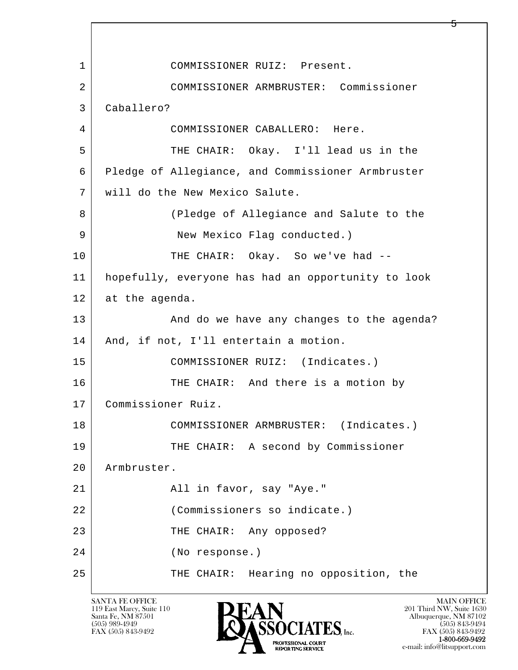l  $\overline{\phantom{a}}$ 1 COMMISSIONER RUIZ: Present. 2 COMMISSIONER ARMBRUSTER: Commissioner 3 Caballero? 4 COMMISSIONER CABALLERO: Here. 5 THE CHAIR: Okay. I'll lead us in the 6 Pledge of Allegiance, and Commissioner Armbruster 7 will do the New Mexico Salute. 8 (Pledge of Allegiance and Salute to the 9 | New Mexico Flag conducted.) 10 THE CHAIR: Okay. So we've had -- 11 hopefully, everyone has had an opportunity to look 12 at the agenda. 13 And do we have any changes to the agenda? 14 And, if not, I'll entertain a motion. 15 | COMMISSIONER RUIZ: (Indicates.) 16 THE CHAIR: And there is a motion by 17 Commissioner Ruiz. 18 COMMISSIONER ARMBRUSTER: (Indicates.) 19 THE CHAIR: A second by Commissioner 20 Armbruster. 21 | Rall in favor, say "Aye." 22 (Commissioners so indicate.) 23 THE CHAIR: Any opposed? 24 (No response.) 25 THE CHAIR: Hearing no opposition, the

119 East Marcy, Suite 110<br>Santa Fe, NM 87501



FAX (505) 843-9492 FAX (505) 843-9492 e-mail: info@litsupport.com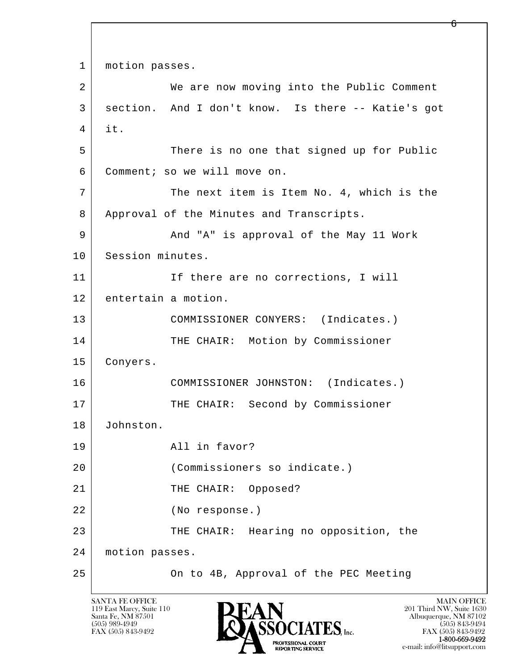```
l 
  \overline{\phantom{a}}1 | motion passes.
2 We are now moving into the Public Comment
 3 section. And I don't know. Is there -- Katie's got 
 4 it. 
5 There is no one that signed up for Public
 6 Comment; so we will move on. 
7 The next item is Item No. 4, which is the
8 | Approval of the Minutes and Transcripts.
 9 And "A" is approval of the May 11 Work 
10 Session minutes.
11 | If there are no corrections, I will
 12 entertain a motion. 
13 | COMMISSIONER CONYERS: (Indicates.)
14 THE CHAIR: Motion by Commissioner
 15 Conyers. 
 16 COMMISSIONER JOHNSTON: (Indicates.) 
17 | THE CHAIR: Second by Commissioner
 18 Johnston. 
 19 All in favor? 
 20 (Commissioners so indicate.) 
21 | THE CHAIR: Opposed?
 22 (No response.) 
23 THE CHAIR: Hearing no opposition, the
 24 motion passes. 
 25 On to 4B, Approval of the PEC Meeting
```
119 East Marcy, Suite 110<br>Santa Fe, NM 87501

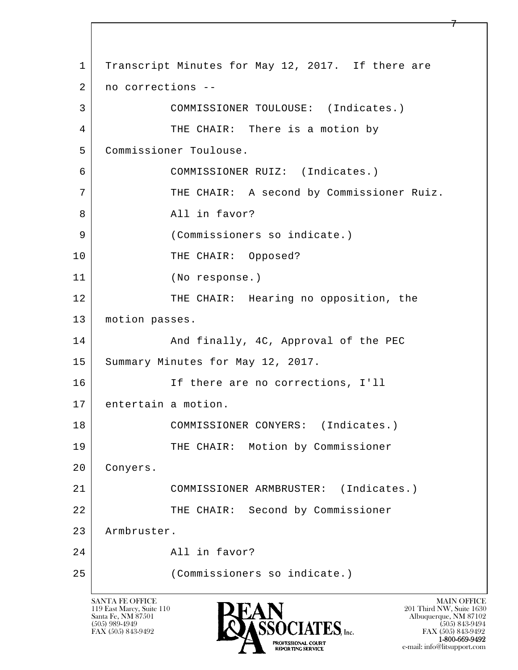l  $\overline{\phantom{a}}$ 1 Transcript Minutes for May 12, 2017. If there are 2 no corrections -- 3 COMMISSIONER TOULOUSE: (Indicates.) 4 THE CHAIR: There is a motion by 5 Commissioner Toulouse. 6 COMMISSIONER RUIZ: (Indicates.) 7 THE CHAIR: A second by Commissioner Ruiz. 8 | All in favor? 9 (Commissioners so indicate.) 10 THE CHAIR: Opposed? 11 (No response.) 12 THE CHAIR: Hearing no opposition, the 13 | motion passes. 14 And finally, 4C, Approval of the PEC 15 Summary Minutes for May 12, 2017. 16 If there are no corrections, I'll 17 entertain a motion. 18 | COMMISSIONER CONYERS: (Indicates.) 19 | THE CHAIR: Motion by Commissioner 20 Conyers. 21 COMMISSIONER ARMBRUSTER: (Indicates.) 22 THE CHAIR: Second by Commissioner 23 Armbruster. 24 All in favor? 25 (Commissioners so indicate.)

119 East Marcy, Suite 110<br>Santa Fe, NM 87501



FAX (505) 843-9492 FAX (505) 843-9492 e-mail: info@litsupport.com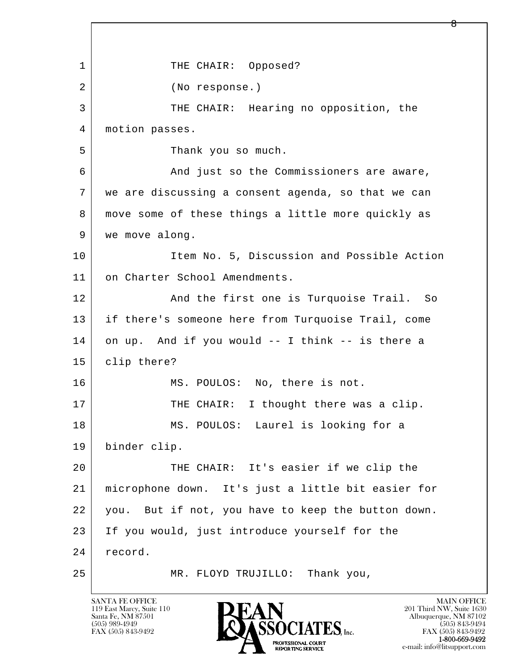l  $\overline{\phantom{a}}$ 1 THE CHAIR: Opposed? 2 (No response.) 3 THE CHAIR: Hearing no opposition, the 4 motion passes. 5 S Thank you so much. 6 And just so the Commissioners are aware, 7 we are discussing a consent agenda, so that we can 8 move some of these things a little more quickly as 9 | we move along. 10 | Item No. 5, Discussion and Possible Action 11 on Charter School Amendments. 12 And the first one is Turquoise Trail. So 13 if there's someone here from Turquoise Trail, come 14 on up. And if you would -- I think -- is there a 15 clip there? 16 MS. POULOS: No, there is not. 17 THE CHAIR: I thought there was a clip. 18 MS. POULOS: Laurel is looking for a 19 binder clip. 20 THE CHAIR: It's easier if we clip the 21 microphone down. It's just a little bit easier for 22 you. But if not, you have to keep the button down. 23 If you would, just introduce yourself for the 24 record. 25 MR. FLOYD TRUJILLO: Thank you,

119 East Marcy, Suite 110<br>Santa Fe, NM 87501

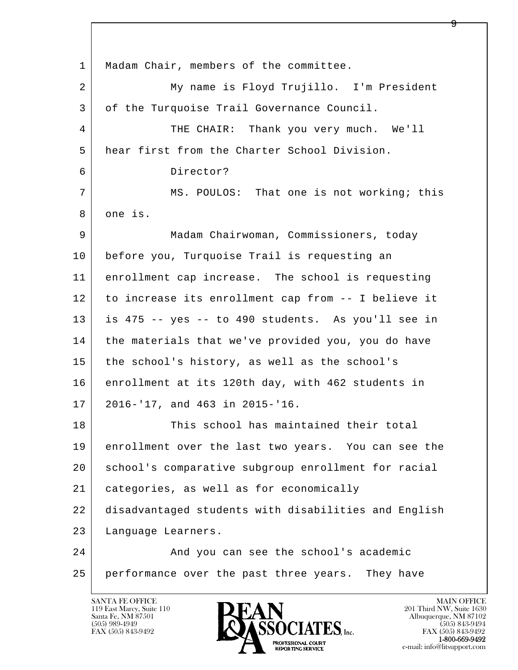l  $\overline{\phantom{a}}$ 1 | Madam Chair, members of the committee. 2 My name is Floyd Trujillo. I'm President 3 of the Turquoise Trail Governance Council. 4 THE CHAIR: Thank you very much. We'll 5 hear first from the Charter School Division. 6 Director? 7 MS. POULOS: That one is not working; this 8 one is. 9 Madam Chairwoman, Commissioners, today 10 before you, Turquoise Trail is requesting an 11 enrollment cap increase. The school is requesting 12 to increase its enrollment cap from -- I believe it 13 is 475 -- yes -- to 490 students. As you'll see in 14 | the materials that we've provided you, you do have 15 the school's history, as well as the school's 16 enrollment at its 120th day, with 462 students in 17 2016-'17, and 463 in 2015-'16. 18 This school has maintained their total 19 enrollment over the last two years. You can see the 20 school's comparative subgroup enrollment for racial 21 categories, as well as for economically 22 disadvantaged students with disabilities and English 23 Language Learners. 24 And you can see the school's academic 25 performance over the past three years. They have

119 East Marcy, Suite 110<br>Santa Fe, NM 87501



FAX (505) 843-9492<br>1-800-669-9492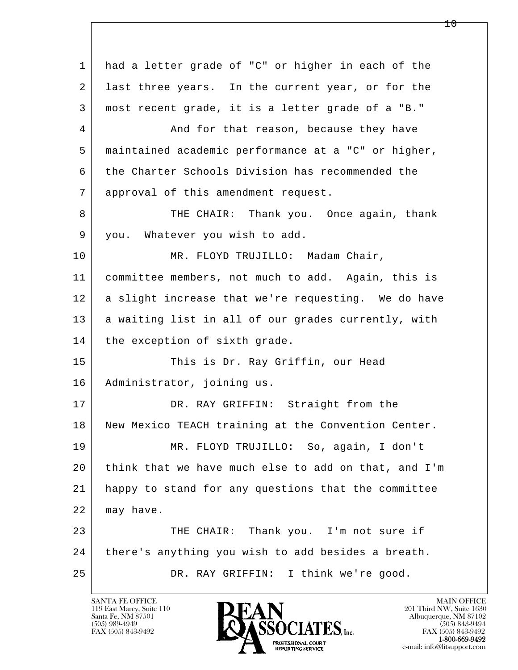l  $\overline{\phantom{a}}$  1 had a letter grade of "C" or higher in each of the 2 ast three years. In the current year, or for the 3 most recent grade, it is a letter grade of a "B." 4 And for that reason, because they have 5 maintained academic performance at a "C" or higher, 6 the Charter Schools Division has recommended the 7 approval of this amendment request. 8 THE CHAIR: Thank you. Once again, thank 9 you. Whatever you wish to add. 10 MR. FLOYD TRUJILLO: Madam Chair, 11 committee members, not much to add. Again, this is 12 a slight increase that we're requesting. We do have 13 a waiting list in all of our grades currently, with 14 | the exception of sixth grade. 15 | This is Dr. Ray Griffin, our Head 16 | Administrator, joining us. 17 DR. RAY GRIFFIN: Straight from the 18 New Mexico TEACH training at the Convention Center. 19 MR. FLOYD TRUJILLO: So, again, I don't 20 think that we have much else to add on that, and I'm 21 happy to stand for any questions that the committee 22 | may have. 23 THE CHAIR: Thank you. I'm not sure if 24 | there's anything you wish to add besides a breath. 25 DR. RAY GRIFFIN: I think we're good.

119 East Marcy, Suite 110<br>Santa Fe, NM 87501



1 ი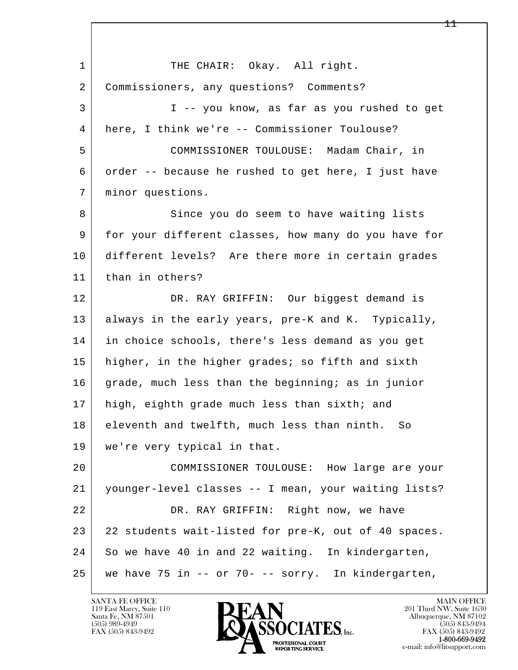l  $\overline{\phantom{a}}$ 1 THE CHAIR: Okay. All right. 2 Commissioners, any questions? Comments? 3 I -- you know, as far as you rushed to get 4 here, I think we're -- Commissioner Toulouse? 5 COMMISSIONER TOULOUSE: Madam Chair, in 6 order -- because he rushed to get here, I just have 7 minor questions. 8 Since you do seem to have waiting lists 9 for your different classes, how many do you have for 10 different levels? Are there more in certain grades 11 than in others? 12 DR. RAY GRIFFIN: Our biggest demand is 13 always in the early years, pre-K and K. Typically, 14 in choice schools, there's less demand as you get 15 | higher, in the higher grades; so fifth and sixth 16 grade, much less than the beginning; as in junior 17 | high, eighth grade much less than sixth; and 18 eleventh and twelfth, much less than ninth. So 19 we're very typical in that. 20 COMMISSIONER TOULOUSE: How large are your 21 younger-level classes -- I mean, your waiting lists? 22 DR. RAY GRIFFIN: Right now, we have 23 22 students wait-listed for pre-K, out of 40 spaces. 24 So we have 40 in and 22 waiting. In kindergarten, 25 we have 75 in -- or 70- -- sorry. In kindergarten,

119 East Marcy, Suite 110<br>Santa Fe, NM 87501

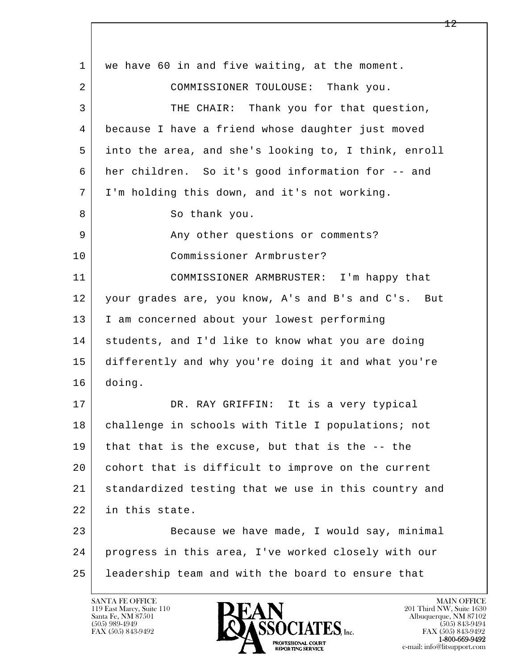| $\mathbf{1}$ | we have 60 in and five waiting, at the moment.       |
|--------------|------------------------------------------------------|
| 2            | COMMISSIONER TOULOUSE: Thank you.                    |
| 3            | THE CHAIR: Thank you for that question,              |
| 4            | because I have a friend whose daughter just moved    |
| 5            | into the area, and she's looking to, I think, enroll |
| 6            | her children. So it's good information for -- and    |
| 7            | I'm holding this down, and it's not working.         |
| 8            | So thank you.                                        |
| 9            | Any other questions or comments?                     |
| 10           | Commissioner Armbruster?                             |
| 11           | COMMISSIONER ARMBRUSTER: I'm happy that              |
| 12           | your grades are, you know, A's and B's and C's. But  |
| 13           | I am concerned about your lowest performing          |
| 14           | students, and I'd like to know what you are doing    |
| 15           | differently and why you're doing it and what you're  |
| 16           | doing.                                               |
| 17           | DR. RAY GRIFFIN: It is a very typical                |
| 18           | challenge in schools with Title I populations; not   |
| 19           | that that is the excuse, but that is the -- the      |
| 20           | cohort that is difficult to improve on the current   |
| 21           | standardized testing that we use in this country and |
| 22           | in this state.                                       |
| 23           | Because we have made, I would say, minimal           |
| 24           | progress in this area, I've worked closely with our  |
| 25           | leadership team and with the board to ensure that    |
|              |                                                      |

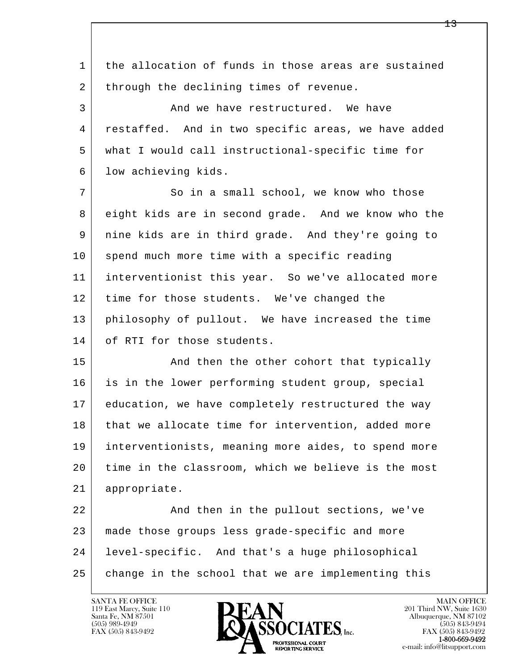l  $\overline{\phantom{a}}$  1 the allocation of funds in those areas are sustained 2 through the declining times of revenue. 3 And we have restructured. We have 4 restaffed. And in two specific areas, we have added 5 what I would call instructional-specific time for 6 | low achieving kids. 7 So in a small school, we know who those 8 eight kids are in second grade. And we know who the 9 nine kids are in third grade. And they're going to 10 spend much more time with a specific reading 11 interventionist this year. So we've allocated more 12 time for those students. We've changed the 13 | philosophy of pullout. We have increased the time 14 of RTI for those students. 15 | And then the other cohort that typically 16 is in the lower performing student group, special 17 education, we have completely restructured the way 18 that we allocate time for intervention, added more 19 interventionists, meaning more aides, to spend more 20 time in the classroom, which we believe is the most 21 appropriate. 22 And then in the pullout sections, we've 23 made those groups less grade-specific and more 24 level-specific. And that's a huge philosophical 25 change in the school that we are implementing this

119 East Marcy, Suite 110<br>Santa Fe, NM 87501



FAX (505) 843-9492<br>1-800-669-9492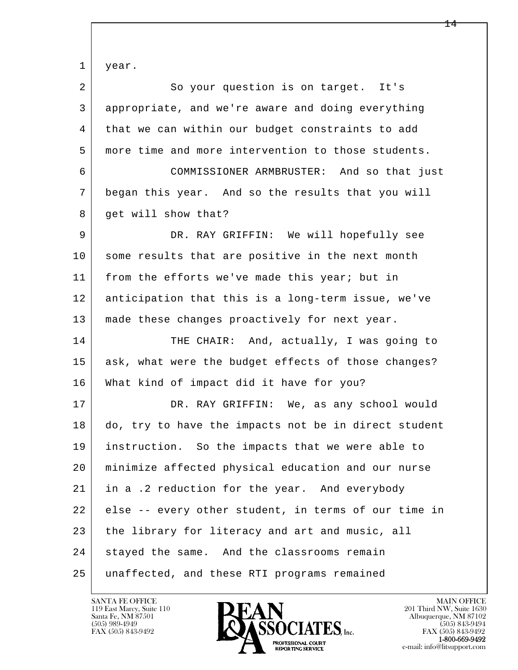l  $\overline{\phantom{a}}$  1 year. 2 So your question is on target. It's 3 appropriate, and we're aware and doing everything 4 that we can within our budget constraints to add 5 more time and more intervention to those students. 6 COMMISSIONER ARMBRUSTER: And so that just 7 began this year. And so the results that you will 8 | get will show that? 9 DR. RAY GRIFFIN: We will hopefully see 10 some results that are positive in the next month 11 from the efforts we've made this year; but in 12 anticipation that this is a long-term issue, we've 13 | made these changes proactively for next year. 14 THE CHAIR: And, actually, I was going to 15 | ask, what were the budget effects of those changes? 16 What kind of impact did it have for you? 17 DR. RAY GRIFFIN: We, as any school would 18 do, try to have the impacts not be in direct student 19 instruction. So the impacts that we were able to 20 minimize affected physical education and our nurse 21 in a .2 reduction for the year. And everybody 22 else -- every other student, in terms of our time in 23 the library for literacy and art and music, all 24 stayed the same. And the classrooms remain 25 unaffected, and these RTI programs remained

119 East Marcy, Suite 110<br>Santa Fe, NM 87501

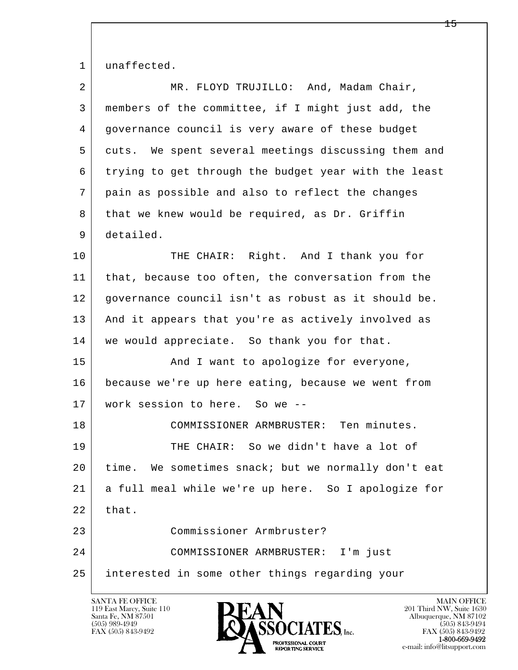1 unaffected.

| $\overline{2}$ | MR. FLOYD TRUJILLO: And, Madam Chair,                |
|----------------|------------------------------------------------------|
| 3              | members of the committee, if I might just add, the   |
| 4              | governance council is very aware of these budget     |
| 5              | cuts. We spent several meetings discussing them and  |
| 6              | trying to get through the budget year with the least |
| 7              | pain as possible and also to reflect the changes     |
| 8              | that we knew would be required, as Dr. Griffin       |
| 9              | detailed.                                            |
| 10             | THE CHAIR: Right. And I thank you for                |
| 11             | that, because too often, the conversation from the   |
| 12             | governance council isn't as robust as it should be.  |
| 13             | And it appears that you're as actively involved as   |
| 14             | we would appreciate. So thank you for that.          |
| 15             | And I want to apologize for everyone,                |
| 16             | because we're up here eating, because we went from   |
| 17             | work session to here. So we --                       |
| 18             | COMMISSIONER ARMBRUSTER: Ten minutes.                |
| 19             | THE CHAIR: So we didn't have a lot of                |
| 20             | time. We sometimes snack; but we normally don't eat  |
| 21             | a full meal while we're up here. So I apologize for  |
| 22             | that.                                                |
| 23             | Commissioner Armbruster?                             |
| 24             | COMMISSIONER ARMBRUSTER: I'm just                    |
| 25             | interested in some other things regarding your       |
|                |                                                      |

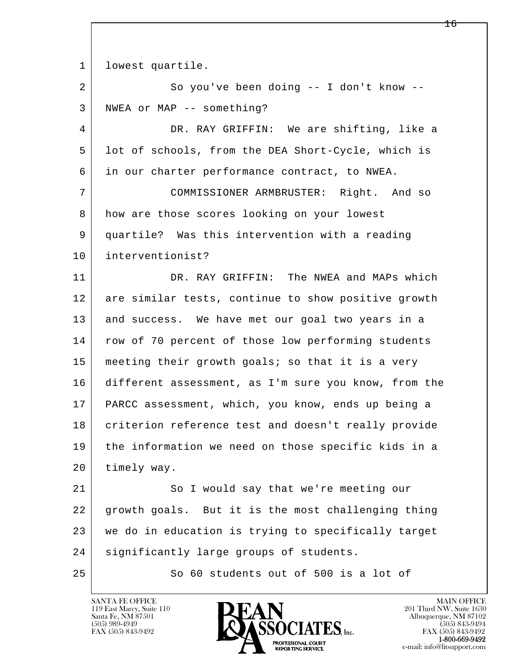l  $\overline{\phantom{a}}$ 1 lowest quartile. 2 So you've been doing -- I don't know -- 3 NWEA or MAP -- something? 4 DR. RAY GRIFFIN: We are shifting, like a 5 lot of schools, from the DEA Short-Cycle, which is 6 in our charter performance contract, to NWEA. 7 COMMISSIONER ARMBRUSTER: Right. And so 8 how are those scores looking on your lowest 9 quartile? Was this intervention with a reading 10 interventionist? 11 DR. RAY GRIFFIN: The NWEA and MAPs which 12 are similar tests, continue to show positive growth 13 and success. We have met our goal two years in a 14 | row of 70 percent of those low performing students 15 | meeting their growth goals; so that it is a very 16 different assessment, as I'm sure you know, from the 17 PARCC assessment, which, you know, ends up being a 18 criterion reference test and doesn't really provide 19 the information we need on those specific kids in a 20 timely way. 21 So I would say that we're meeting our 22 growth goals. But it is the most challenging thing 23 we do in education is trying to specifically target 24 | significantly large groups of students.

25 So 60 students out of 500 is a lot of

119 East Marcy, Suite 110<br>Santa Fe, NM 87501



FAX (505) 843-9492<br>1-800-669-9492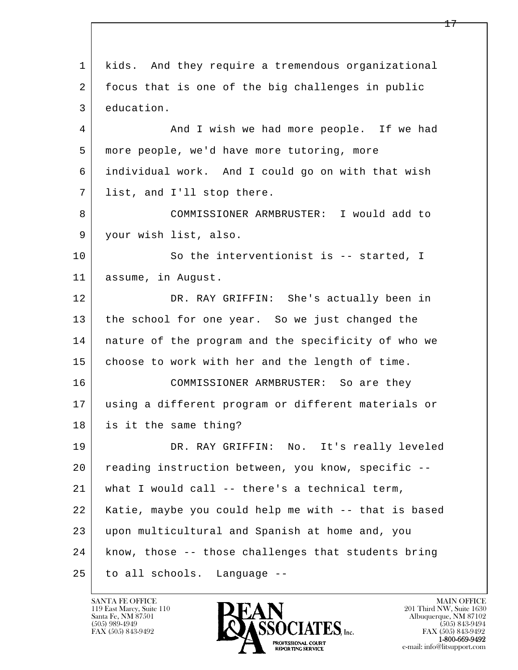l  $\overline{\phantom{a}}$  1 kids. And they require a tremendous organizational 2 focus that is one of the big challenges in public 3 education. 4 And I wish we had more people. If we had 5 more people, we'd have more tutoring, more 6 individual work. And I could go on with that wish 7 list, and I'll stop there. 8 COMMISSIONER ARMBRUSTER: I would add to 9 your wish list, also. 10 So the interventionist is -- started, I 11 assume, in August. 12 DR. RAY GRIFFIN: She's actually been in 13 the school for one year. So we just changed the 14 nature of the program and the specificity of who we 15 | choose to work with her and the length of time. 16 COMMISSIONER ARMBRUSTER: So are they 17 using a different program or different materials or 18 is it the same thing? 19 DR. RAY GRIFFIN: No. It's really leveled 20 reading instruction between, you know, specific -- 21 what I would call -- there's a technical term, 22 Katie, maybe you could help me with -- that is based 23 upon multicultural and Spanish at home and, you 24 know, those -- those challenges that students bring 25 to all schools. Language --

119 East Marcy, Suite 110<br>Santa Fe, NM 87501

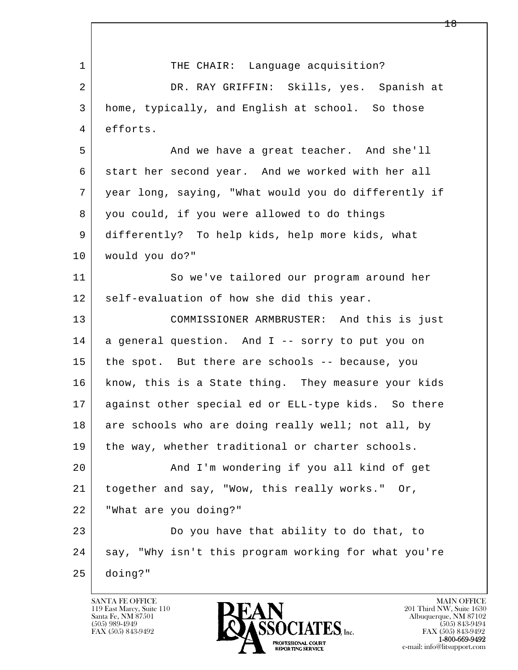| $\mathbf 1$    | THE CHAIR: Language acquisition?                     |
|----------------|------------------------------------------------------|
| $\overline{a}$ | DR. RAY GRIFFIN: Skills, yes. Spanish at             |
| 3              | home, typically, and English at school. So those     |
| 4              | efforts.                                             |
| 5              | And we have a great teacher. And she'll              |
| 6              | start her second year. And we worked with her all    |
| 7              | year long, saying, "What would you do differently if |
| 8              | you could, if you were allowed to do things          |
| 9              | differently? To help kids, help more kids, what      |
| 10             | would you do?"                                       |
| 11             | So we've tailored our program around her             |
| 12             | self-evaluation of how she did this year.            |
| 13             | COMMISSIONER ARMBRUSTER: And this is just            |
| 14             | a general question. And I -- sorry to put you on     |
| 15             | the spot. But there are schools -- because, you      |
| 16             | know, this is a State thing. They measure your kids  |
| 17             | against other special ed or ELL-type kids. So there  |
| 18             | are schools who are doing really well; not all, by   |
| 19             | the way, whether traditional or charter schools.     |
| 20             | And I'm wondering if you all kind of get             |
| 21             | together and say, "Wow, this really works." Or,      |
| 22             | "What are you doing?"                                |
| 23             | Do you have that ability to do that, to              |
| 24             | say, "Why isn't this program working for what you're |
| 25             | doing?"                                              |

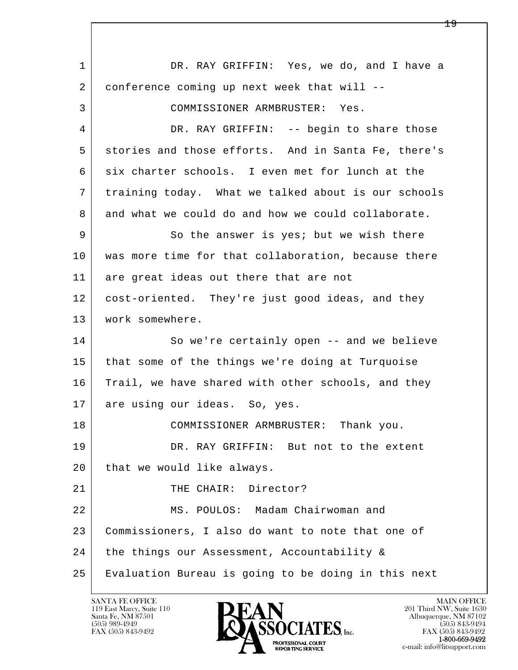l  $\overline{\phantom{a}}$ 1 DR. RAY GRIFFIN: Yes, we do, and I have a 2 conference coming up next week that will -- 3 COMMISSIONER ARMBRUSTER: Yes. 4 DR. RAY GRIFFIN: -- begin to share those 5 stories and those efforts. And in Santa Fe, there's 6 six charter schools. I even met for lunch at the 7 training today. What we talked about is our schools 8 and what we could do and how we could collaborate. 9 So the answer is yes; but we wish there 10 | was more time for that collaboration, because there 11 are great ideas out there that are not 12 cost-oriented. They're just good ideas, and they 13 | work somewhere. 14 So we're certainly open -- and we believe 15 that some of the things we're doing at Turquoise 16 Trail, we have shared with other schools, and they 17 are using our ideas. So, yes. 18 COMMISSIONER ARMBRUSTER: Thank you. 19 DR. RAY GRIFFIN: But not to the extent 20 that we would like always. 21 THE CHAIR: Director? 22 MS. POULOS: Madam Chairwoman and 23 Commissioners, I also do want to note that one of 24 the things our Assessment, Accountability & 25 Evaluation Bureau is going to be doing in this next

119 East Marcy, Suite 110<br>Santa Fe, NM 87501

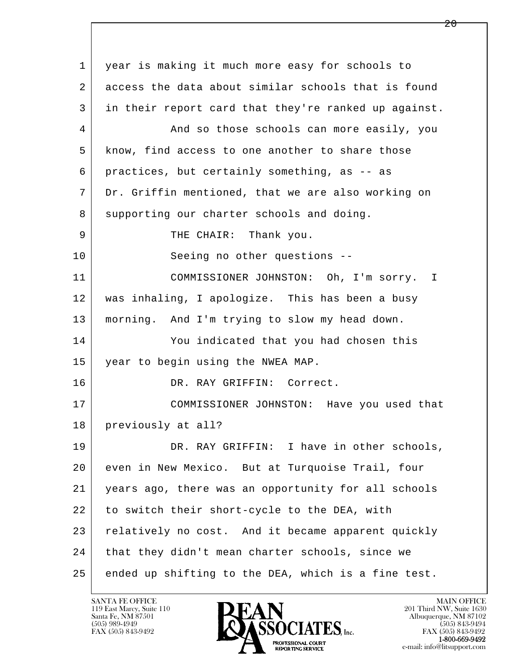l  $\overline{\phantom{a}}$  1 year is making it much more easy for schools to 2 access the data about similar schools that is found 3 in their report card that they're ranked up against. 4 And so those schools can more easily, you 5 know, find access to one another to share those 6 practices, but certainly something, as -- as 7 Dr. Griffin mentioned, that we are also working on 8 supporting our charter schools and doing. 9 | THE CHAIR: Thank you. 10 Seeing no other questions -- 11 COMMISSIONER JOHNSTON: Oh, I'm sorry. I 12 was inhaling, I apologize. This has been a busy 13 morning. And I'm trying to slow my head down. 14 You indicated that you had chosen this 15 year to begin using the NWEA MAP. 16 DR. RAY GRIFFIN: Correct. 17 COMMISSIONER JOHNSTON: Have you used that 18 | previously at all? 19 DR. RAY GRIFFIN: I have in other schools, 20 even in New Mexico. But at Turquoise Trail, four 21 years ago, there was an opportunity for all schools 22 to switch their short-cycle to the DEA, with 23 relatively no cost. And it became apparent quickly 24 | that they didn't mean charter schools, since we 25 ended up shifting to the DEA, which is a fine test.

119 East Marcy, Suite 110<br>Santa Fe, NM 87501



FAX (505) 843-9492<br>1-800-669-9492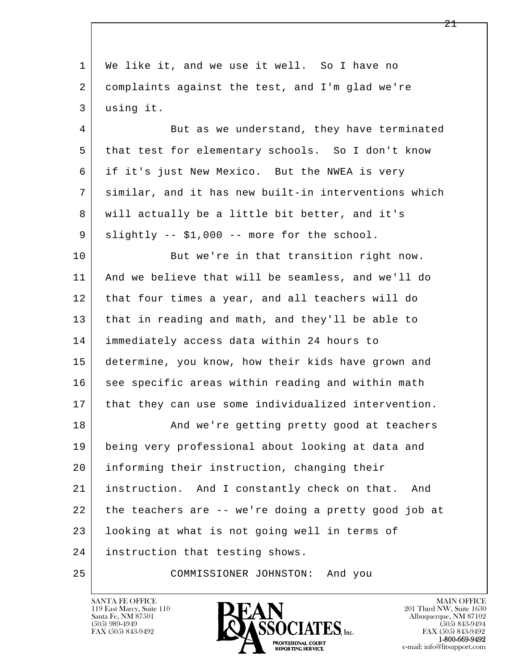| 1  | We like it, and we use it well. So I have no         |
|----|------------------------------------------------------|
| 2  | complaints against the test, and I'm glad we're      |
| 3  | using it.                                            |
| 4  | But as we understand, they have terminated           |
| 5  | that test for elementary schools. So I don't know    |
| 6  | if it's just New Mexico. But the NWEA is very        |
| 7  | similar, and it has new built-in interventions which |
| 8  | will actually be a little bit better, and it's       |
| 9  | slightly -- \$1,000 -- more for the school.          |
| 10 | But we're in that transition right now.              |
| 11 | And we believe that will be seamless, and we'll do   |
| 12 | that four times a year, and all teachers will do     |
| 13 | that in reading and math, and they'll be able to     |
| 14 | immediately access data within 24 hours to           |
| 15 | determine, you know, how their kids have grown and   |
| 16 | see specific areas within reading and within math    |
| 17 | that they can use some individualized intervention.  |
| 18 | And we're getting pretty good at teachers            |
| 19 | being very professional about looking at data and    |
| 20 | informing their instruction, changing their          |
| 21 | instruction. And I constantly check on that. And     |
| 22 | the teachers are -- we're doing a pretty good job at |
| 23 | looking at what is not going well in terms of        |
| 24 | instruction that testing shows.                      |
| 25 | COMMISSIONER JOHNSTON: And you                       |

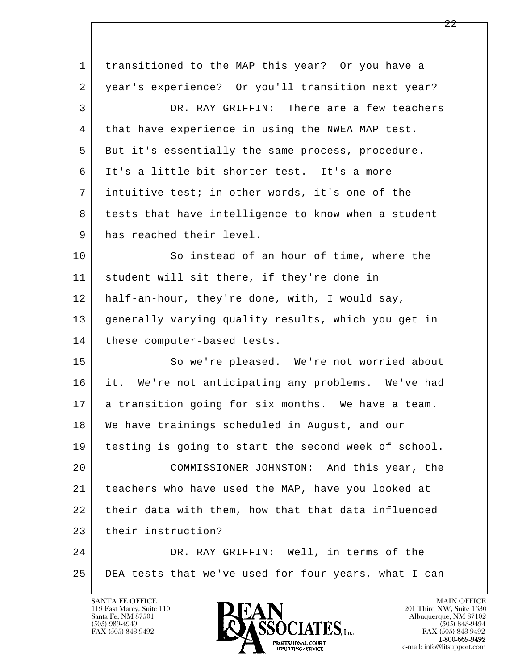| $\mathbf 1$ | transitioned to the MAP this year? Or you have a     |
|-------------|------------------------------------------------------|
| 2           | year's experience? Or you'll transition next year?   |
| 3           | DR. RAY GRIFFIN: There are a few teachers            |
| 4           | that have experience in using the NWEA MAP test.     |
| 5           | But it's essentially the same process, procedure.    |
| 6           | It's a little bit shorter test. It's a more          |
| 7           | intuitive test; in other words, it's one of the      |
| 8           | tests that have intelligence to know when a student  |
| 9           | has reached their level.                             |
| 10          | So instead of an hour of time, where the             |
| 11          | student will sit there, if they're done in           |
| 12          | half-an-hour, they're done, with, I would say,       |
| 13          | generally varying quality results, which you get in  |
| 14          | these computer-based tests.                          |
| 15          | So we're pleased. We're not worried about            |
| 16          | it. We're not anticipating any problems. We've had   |
| 17          | a transition going for six months. We have a team.   |
| 18          | We have trainings scheduled in August, and our       |
| 19          | testing is going to start the second week of school. |
| 20          | COMMISSIONER JOHNSTON: And this year, the            |
| 21          | teachers who have used the MAP, have you looked at   |
| 22          | their data with them, how that that data influenced  |
| 23          | their instruction?                                   |
| 24          | DR. RAY GRIFFIN: Well, in terms of the               |
| 25          | DEA tests that we've used for four years, what I can |
|             |                                                      |

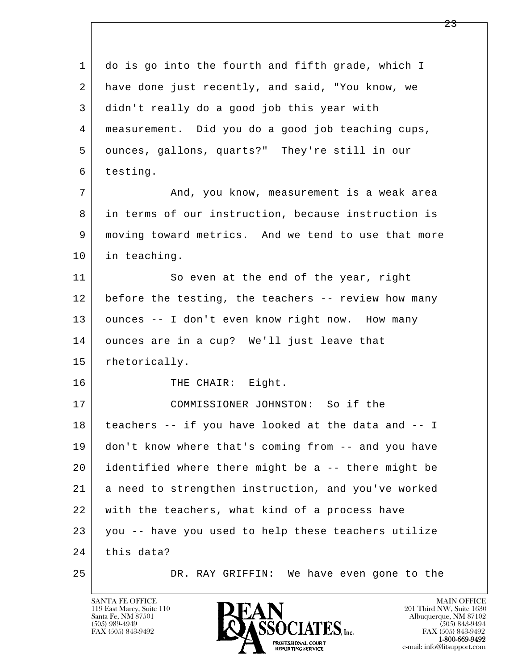l  $\overline{\phantom{a}}$  1 do is go into the fourth and fifth grade, which I 2 have done just recently, and said, "You know, we 3 didn't really do a good job this year with 4 measurement. Did you do a good job teaching cups, 5 ounces, gallons, quarts?" They're still in our 6 testing. 7 and, you know, measurement is a weak area 8 in terms of our instruction, because instruction is 9 moving toward metrics. And we tend to use that more 10 in teaching. 11 So even at the end of the year, right 12 before the testing, the teachers -- review how many 13 | ounces -- I don't even know right now. How many 14 ounces are in a cup? We'll just leave that 15 rhetorically. 16 THE CHAIR: Eight. 17 COMMISSIONER JOHNSTON: So if the 18 teachers -- if you have looked at the data and -- I 19 don't know where that's coming from -- and you have 20 identified where there might be a -- there might be 21 a need to strengthen instruction, and you've worked 22 with the teachers, what kind of a process have 23 you -- have you used to help these teachers utilize  $24$  this data? 25 DR. RAY GRIFFIN: We have even gone to the

119 East Marcy, Suite 110<br>Santa Fe, NM 87501

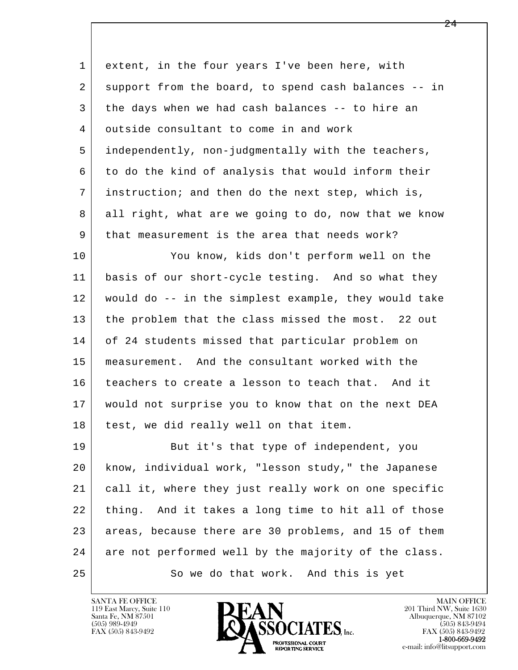| extent, in the four years I've been here, with       |
|------------------------------------------------------|
| support from the board, to spend cash balances -- in |
| the days when we had cash balances -- to hire an     |
| outside consultant to come in and work               |
| independently, non-judgmentally with the teachers,   |
| to do the kind of analysis that would inform their   |
| instruction; and then do the next step, which is,    |
| all right, what are we going to do, now that we know |
| that measurement is the area that needs work?        |
| You know, kids don't perform well on the             |
| basis of our short-cycle testing. And so what they   |
| would do -- in the simplest example, they would take |
| the problem that the class missed the most. 22 out   |
| of 24 students missed that particular problem on     |
| measurement. And the consultant worked with the      |
| teachers to create a lesson to teach that. And it    |
| would not surprise you to know that on the next DEA  |
| test, we did really well on that item.               |
| But it's that type of independent, you               |
| know, individual work, "lesson study," the Japanese  |
| call it, where they just really work on one specific |
| thing. And it takes a long time to hit all of those  |
| areas, because there are 30 problems, and 15 of them |
| are not performed well by the majority of the class. |
| So we do that work. And this is yet                  |
|                                                      |

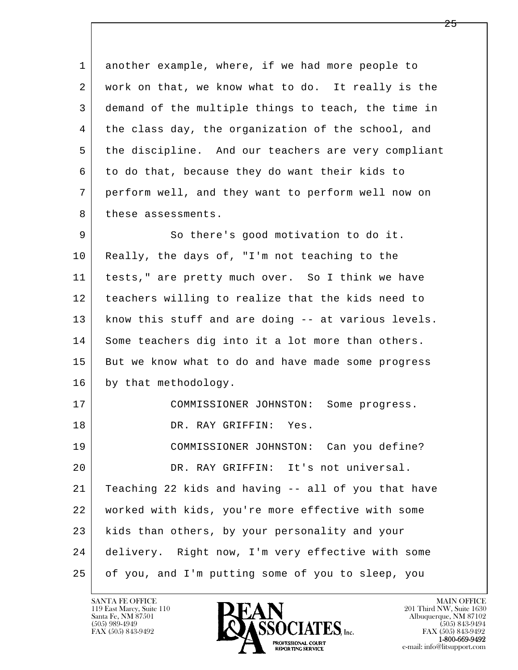l  $\overline{\phantom{a}}$  1 another example, where, if we had more people to 2 work on that, we know what to do. It really is the 3 demand of the multiple things to teach, the time in 4 the class day, the organization of the school, and 5 the discipline. And our teachers are very compliant 6 to do that, because they do want their kids to 7 perform well, and they want to perform well now on 8 these assessments. 9 So there's good motivation to do it. 10 Really, the days of, "I'm not teaching to the 11 tests," are pretty much over. So I think we have 12 teachers willing to realize that the kids need to 13 | know this stuff and are doing -- at various levels. 14 Some teachers dig into it a lot more than others. 15 But we know what to do and have made some progress 16 by that methodology. 17 COMMISSIONER JOHNSTON: Some progress. 18 DR. RAY GRIFFIN: Yes. 19 COMMISSIONER JOHNSTON: Can you define? 20 DR. RAY GRIFFIN: It's not universal. 21 Teaching 22 kids and having -- all of you that have 22 worked with kids, you're more effective with some 23 kids than others, by your personality and your 24 delivery. Right now, I'm very effective with some 25 of you, and I'm putting some of you to sleep, you

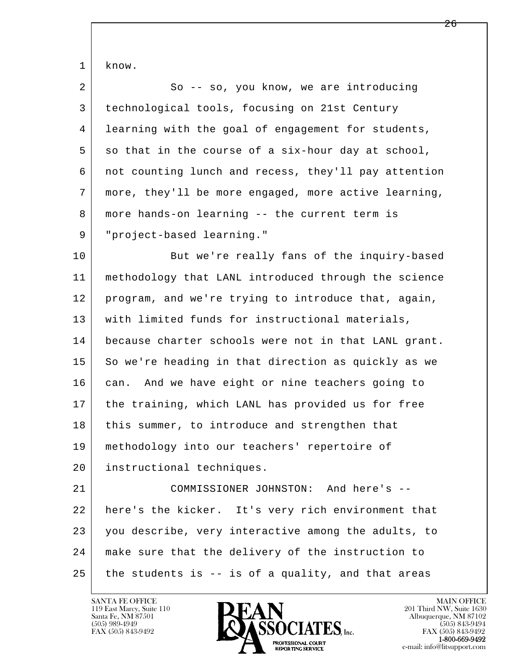l  $\overline{\phantom{a}}$  1 know. 2 So -- so, you know, we are introducing 3 technological tools, focusing on 21st Century 4 learning with the goal of engagement for students,  $5$  so that in the course of a six-hour day at school, 6 not counting lunch and recess, they'll pay attention 7 more, they'll be more engaged, more active learning, 8 more hands-on learning -- the current term is 9 "project-based learning." 10 But we're really fans of the inquiry-based 11 methodology that LANL introduced through the science 12 program, and we're trying to introduce that, again, 13 with limited funds for instructional materials, 14 because charter schools were not in that LANL grant. 15 So we're heading in that direction as quickly as we 16 can. And we have eight or nine teachers going to 17 the training, which LANL has provided us for free 18 | this summer, to introduce and strengthen that 19 methodology into our teachers' repertoire of 20 instructional techniques. 21 COMMISSIONER JOHNSTON: And here's -- 22 here's the kicker. It's very rich environment that 23 you describe, very interactive among the adults, to 24 make sure that the delivery of the instruction to  $25$  the students is  $-$  is of a quality, and that areas

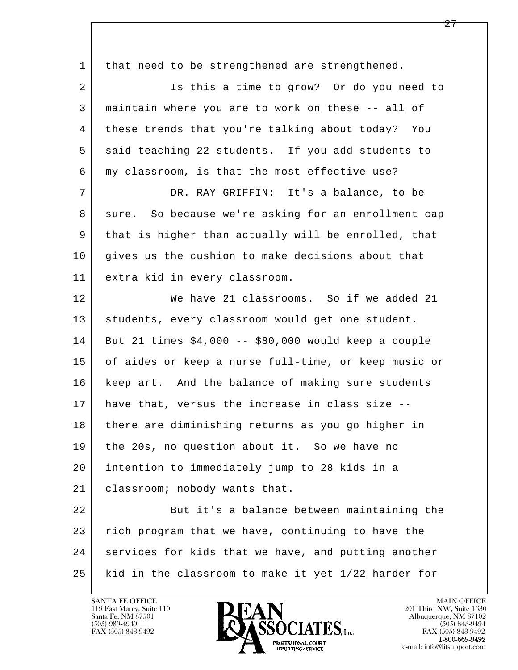| 1  | that need to be strengthened are strengthened.         |
|----|--------------------------------------------------------|
| 2  | Is this a time to grow? Or do you need to              |
| 3  | maintain where you are to work on these -- all of      |
| 4  | these trends that you're talking about today? You      |
| 5  | said teaching 22 students. If you add students to      |
| 6  | my classroom, is that the most effective use?          |
| 7  | DR. RAY GRIFFIN: It's a balance, to be                 |
| 8  | So because we're asking for an enrollment cap<br>sure. |
| 9  | that is higher than actually will be enrolled, that    |
| 10 | gives us the cushion to make decisions about that      |
| 11 | extra kid in every classroom.                          |
| 12 | We have 21 classrooms. So if we added 21               |
| 13 | students, every classroom would get one student.       |
| 14 | But 21 times $$4,000 - $80,000$ would keep a couple    |
| 15 | of aides or keep a nurse full-time, or keep music or   |
| 16 | keep art. And the balance of making sure students      |
| 17 | have that, versus the increase in class size --        |
| 18 | there are diminishing returns as you go higher in      |
| 19 | the 20s, no question about it. So we have no           |
| 20 | intention to immediately jump to 28 kids in a          |
| 21 | classroom; nobody wants that.                          |
| 22 | But it's a balance between maintaining the             |
| 23 | rich program that we have, continuing to have the      |
| 24 | services for kids that we have, and putting another    |
| 25 | kid in the classroom to make it yet 1/22 harder for    |

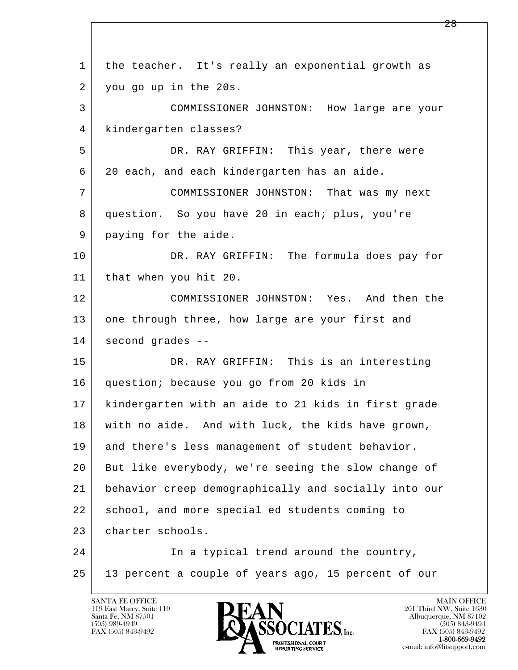l  $\overline{\phantom{a}}$  1 the teacher. It's really an exponential growth as 2 you go up in the 20s. 3 COMMISSIONER JOHNSTON: How large are your 4 kindergarten classes? 5 DR. RAY GRIFFIN: This year, there were 6 20 each, and each kindergarten has an aide. 7 COMMISSIONER JOHNSTON: That was my next 8 question. So you have 20 in each; plus, you're 9 paying for the aide. 10 DR. RAY GRIFFIN: The formula does pay for 11 that when you hit 20. 12 COMMISSIONER JOHNSTON: Yes. And then the 13 one through three, how large are your first and 14 second grades -- 15 DR. RAY GRIFFIN: This is an interesting 16 question; because you go from 20 kids in 17 kindergarten with an aide to 21 kids in first grade 18 with no aide. And with luck, the kids have grown, 19 and there's less management of student behavior. 20 But like everybody, we're seeing the slow change of 21 behavior creep demographically and socially into our 22 school, and more special ed students coming to 23 charter schools. 24 In a typical trend around the country, 25 13 percent a couple of years ago, 15 percent of our

119 East Marcy, Suite 110<br>Santa Fe, NM 87501

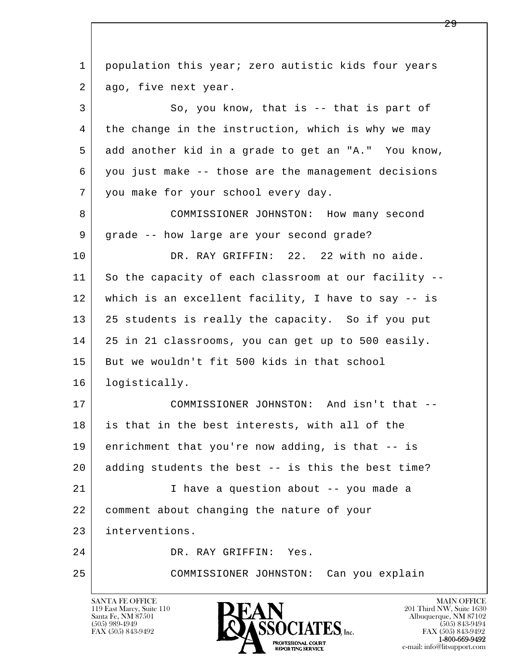l  $\overline{\phantom{a}}$ 1 population this year; zero autistic kids four years 2 ago, five next year. 3 So, you know, that is -- that is part of 4 the change in the instruction, which is why we may 5 add another kid in a grade to get an "A." You know, 6 you just make -- those are the management decisions 7 you make for your school every day. 8 COMMISSIONER JOHNSTON: How many second 9 grade -- how large are your second grade? 10 DR. RAY GRIFFIN: 22. 22 with no aide. 11 So the capacity of each classroom at our facility -- 12 which is an excellent facility, I have to say -- is 13 25 students is really the capacity. So if you put 14 25 in 21 classrooms, you can get up to 500 easily. 15 But we wouldn't fit 500 kids in that school 16 logistically. 17 COMMISSIONER JOHNSTON: And isn't that -- 18 is that in the best interests, with all of the 19 enrichment that you're now adding, is that -- is 20 adding students the best -- is this the best time? 21 I have a question about -- you made a 22 comment about changing the nature of your 23 interventions. 24 DR. RAY GRIFFIN: Yes. 25 COMMISSIONER JOHNSTON: Can you explain

119 East Marcy, Suite 110<br>Santa Fe, NM 87501

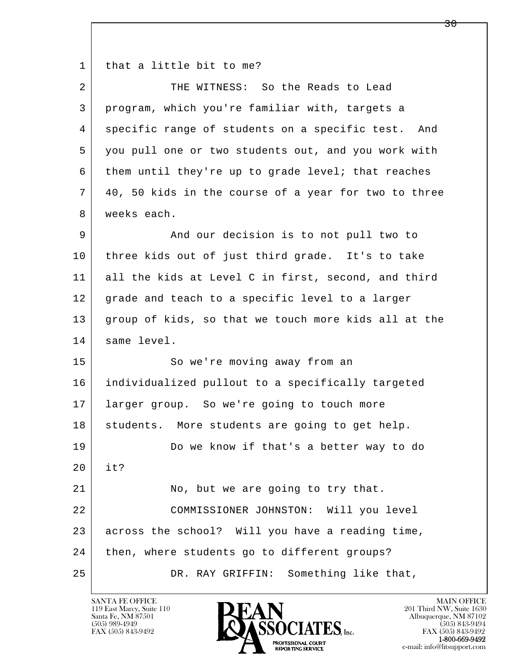1 that a little bit to me?

| $\overline{2}$ | THE WITNESS: So the Reads to Lead                    |
|----------------|------------------------------------------------------|
| 3              | program, which you're familiar with, targets a       |
| 4              | specific range of students on a specific test. And   |
| 5              | you pull one or two students out, and you work with  |
| 6              | them until they're up to grade level; that reaches   |
| 7              | 40, 50 kids in the course of a year for two to three |
| 8              | weeks each.                                          |
| 9              | And our decision is to not pull two to               |
| 10             | three kids out of just third grade. It's to take     |
| 11             | all the kids at Level C in first, second, and third  |
| 12             | grade and teach to a specific level to a larger      |
| 13             | group of kids, so that we touch more kids all at the |
| 14             | same level.                                          |
| 15             | So we're moving away from an                         |
| 16             | individualized pullout to a specifically targeted    |
| 17             | larger group. So we're going to touch more           |
| 18             | students. More students are going to get help.       |
| 19             | Do we know if that's a better way to do              |
| 20             | it?                                                  |
| 21             |                                                      |
|                | No, but we are going to try that.                    |
| 22             | COMMISSIONER JOHNSTON: Will you level                |
| 23             | across the school? Will you have a reading time,     |
| 24             | then, where students go to different groups?         |

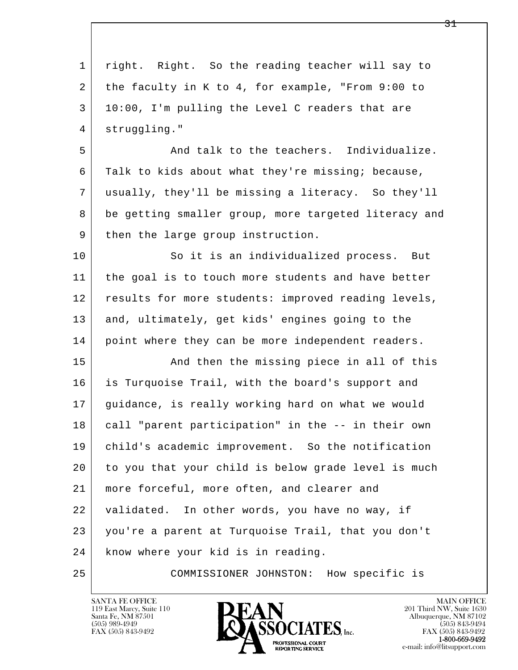| $\mathbf 1$ | right. Right. So the reading teacher will say to     |
|-------------|------------------------------------------------------|
| 2           | the faculty in K to 4, for example, "From 9:00 to    |
| 3           | 10:00, I'm pulling the Level C readers that are      |
| 4           | struggling."                                         |
| 5           | And talk to the teachers. Individualize.             |
| 6           | Talk to kids about what they're missing; because,    |
| 7           | usually, they'll be missing a literacy. So they'll   |
| 8           | be getting smaller group, more targeted literacy and |
| 9           | then the large group instruction.                    |
| 10          | So it is an individualized process. But              |
| 11          | the goal is to touch more students and have better   |
| 12          | results for more students: improved reading levels,  |
| 13          | and, ultimately, get kids' engines going to the      |
| 14          | point where they can be more independent readers.    |
| 15          | And then the missing piece in all of this            |
| 16          | is Turquoise Trail, with the board's support and     |
| 17          | guidance, is really working hard on what we would    |
| 18          | call "parent participation" in the -- in their own   |
| 19          | child's academic improvement. So the notification    |
| 20          | to you that your child is below grade level is much  |
| 21          | more forceful, more often, and clearer and           |
| 22          | validated. In other words, you have no way, if       |
| 23          | you're a parent at Turquoise Trail, that you don't   |
| 24          | know where your kid is in reading.                   |
| 25          | COMMISSIONER JOHNSTON: How specific is               |

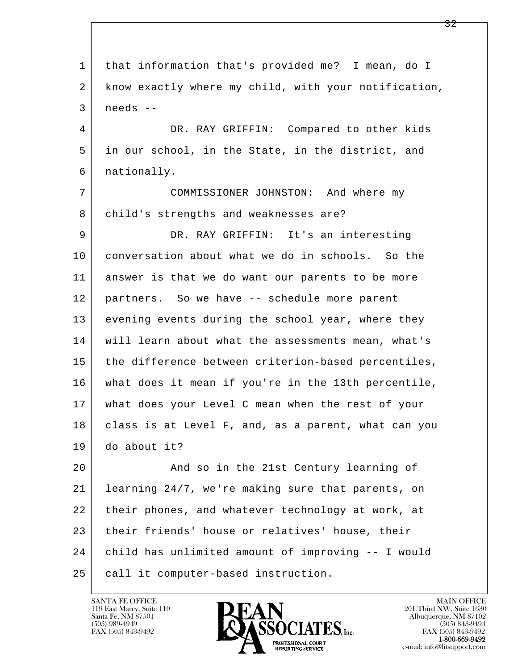l  $\overline{\phantom{a}}$  1 that information that's provided me? I mean, do I 2 know exactly where my child, with your notification,  $3$  needs  $-$  4 DR. RAY GRIFFIN: Compared to other kids 5 in our school, in the State, in the district, and 6 nationally. 7 COMMISSIONER JOHNSTON: And where my 8 | child's strengths and weaknesses are? 9 DR. RAY GRIFFIN: It's an interesting 10 conversation about what we do in schools. So the 11 answer is that we do want our parents to be more 12 partners. So we have -- schedule more parent 13 evening events during the school year, where they 14 | will learn about what the assessments mean, what's 15 | the difference between criterion-based percentiles, 16 what does it mean if you're in the 13th percentile, 17 what does your Level C mean when the rest of your 18 | class is at Level F, and, as a parent, what can you 19 do about it? 20 | The 21st Century learning of 21 learning 24/7, we're making sure that parents, on 22 their phones, and whatever technology at work, at 23 their friends' house or relatives' house, their 24 child has unlimited amount of improving -- I would 25 call it computer-based instruction.

119 East Marcy, Suite 110<br>Santa Fe, NM 87501

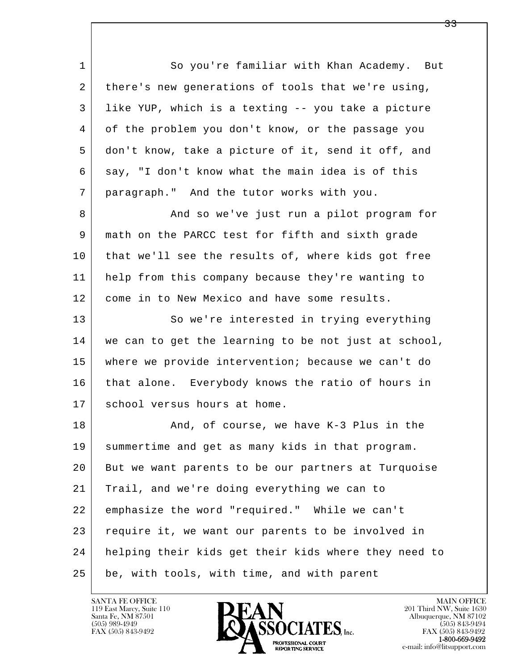1 So you're familiar with Khan Academy. But 2 there's new generations of tools that we're using, 3 like YUP, which is a texting -- you take a picture 4 of the problem you don't know, or the passage you 5 don't know, take a picture of it, send it off, and 6 say, "I don't know what the main idea is of this 7 paragraph." And the tutor works with you. 8 And so we've just run a pilot program for

 9 math on the PARCC test for fifth and sixth grade 10 that we'll see the results of, where kids got free 11 help from this company because they're wanting to 12 come in to New Mexico and have some results.

13 So we're interested in trying everything 14 we can to get the learning to be not just at school, 15 where we provide intervention; because we can't do 16 | that alone. Everybody knows the ratio of hours in 17 | school versus hours at home.

l  $\overline{\phantom{a}}$ 18 And, of course, we have K-3 Plus in the 19 summertime and get as many kids in that program. 20 But we want parents to be our partners at Turquoise 21 Trail, and we're doing everything we can to 22 emphasize the word "required." While we can't 23 require it, we want our parents to be involved in 24 helping their kids get their kids where they need to 25 be, with tools, with time, and with parent

119 East Marcy, Suite 110<br>Santa Fe, NM 87501



FAX (505) 843-9492<br>**1-800-669-9492**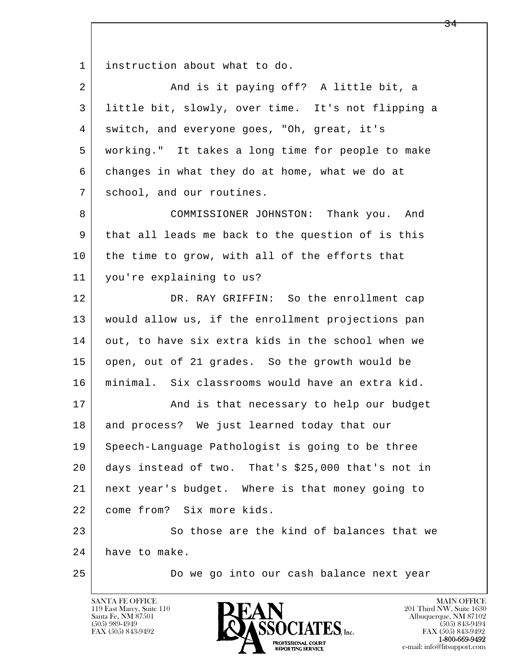1 instruction about what to do.

| $\overline{2}$ | And is it paying off? A little bit, a              |
|----------------|----------------------------------------------------|
| 3              | little bit, slowly, over time. It's not flipping a |
| 4              | switch, and everyone goes, "Oh, great, it's        |
| 5              | working." It takes a long time for people to make  |
| 6              | changes in what they do at home, what we do at     |
| 7              | school, and our routines.                          |
| 8              | COMMISSIONER JOHNSTON: Thank you. And              |
| 9              | that all leads me back to the question of is this  |
| 10             | the time to grow, with all of the efforts that     |
| 11             | you're explaining to us?                           |
| 12             | DR. RAY GRIFFIN: So the enrollment cap             |
| 13             | would allow us, if the enrollment projections pan  |
| 14             | out, to have six extra kids in the school when we  |
| 15             | open, out of 21 grades. So the growth would be     |
| 16             | minimal. Six classrooms would have an extra kid.   |
| 17             | And is that necessary to help our budget           |
| 18             | and process? We just learned today that our        |
| 19             | Speech-Language Pathologist is going to be three   |
| 20             | days instead of two. That's \$25,000 that's not in |
| 21             | next year's budget. Where is that money going to   |
| 22             | come from? Six more kids.                          |
| 23             | So those are the kind of balances that we          |
| 24             | have to make.                                      |
| 25             | Do we go into our cash balance next year           |

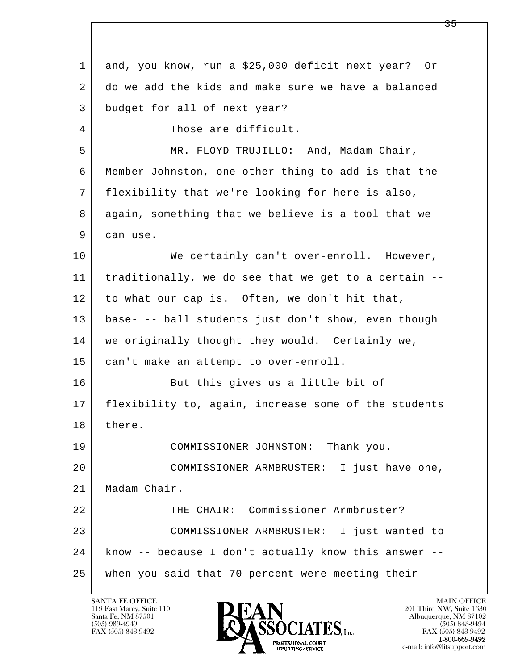l  $\overline{\phantom{a}}$  1 and, you know, run a \$25,000 deficit next year? Or 2 do we add the kids and make sure we have a balanced 3 budget for all of next year? 4 Those are difficult. 5 MR. FLOYD TRUJILLO: And, Madam Chair, 6 Member Johnston, one other thing to add is that the 7 flexibility that we're looking for here is also, 8 again, something that we believe is a tool that we 9 can use. 10 | We certainly can't over-enroll. However, 11 traditionally, we do see that we get to a certain -- 12 to what our cap is. Often, we don't hit that, 13 base- -- ball students just don't show, even though 14 | we originally thought they would. Certainly we, 15 | can't make an attempt to over-enroll. 16 But this gives us a little bit of 17 flexibility to, again, increase some of the students 18 there. 19 COMMISSIONER JOHNSTON: Thank you. 20 COMMISSIONER ARMBRUSTER: I just have one, 21 Madam Chair. 22 THE CHAIR: Commissioner Armbruster? 23 COMMISSIONER ARMBRUSTER: I just wanted to 24 know -- because I don't actually know this answer -- 25 when you said that 70 percent were meeting their

119 East Marcy, Suite 110<br>Santa Fe, NM 87501

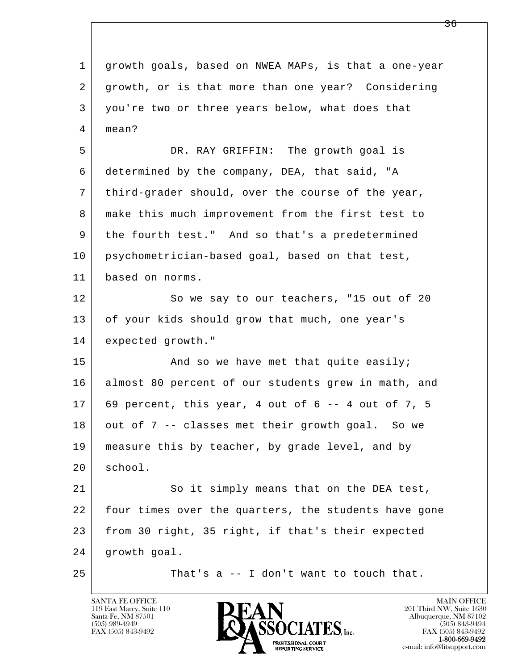l  $\overline{\phantom{a}}$  1 growth goals, based on NWEA MAPs, is that a one-year 2 growth, or is that more than one year? Considering 3 you're two or three years below, what does that 4 mean? 5 DR. RAY GRIFFIN: The growth goal is 6 determined by the company, DEA, that said, "A 7 third-grader should, over the course of the year, 8 make this much improvement from the first test to 9 the fourth test." And so that's a predetermined 10 psychometrician-based goal, based on that test, 11 based on norms. 12 So we say to our teachers, "15 out of 20 13 of your kids should grow that much, one year's 14 expected growth."  $15$  And so we have met that quite easily; 16 almost 80 percent of our students grew in math, and  $17$  69 percent, this year, 4 out of 6 -- 4 out of 7, 5 18 out of 7 -- classes met their growth goal. So we 19 | measure this by teacher, by grade level, and by 20 school. 21 So it simply means that on the DEA test, 22 four times over the quarters, the students have gone 23 from 30 right, 35 right, if that's their expected 24 growth goal.  $25$  That's a  $-$  I don't want to touch that.

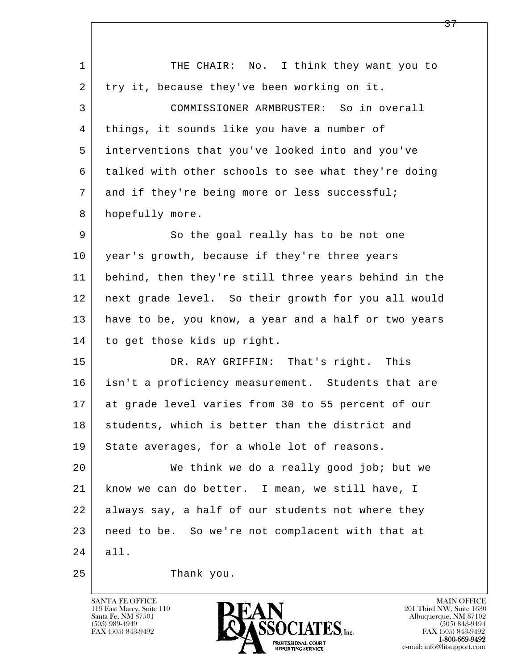| $\mathbf 1$ | THE CHAIR: No. I think they want you to              |
|-------------|------------------------------------------------------|
| 2           | try it, because they've been working on it.          |
| 3           | COMMISSIONER ARMBRUSTER: So in overall               |
| 4           | things, it sounds like you have a number of          |
| 5           | interventions that you've looked into and you've     |
| 6           | talked with other schools to see what they're doing  |
| 7           | and if they're being more or less successful;        |
| 8           | hopefully more.                                      |
| 9           | So the goal really has to be not one                 |
| 10          | year's growth, because if they're three years        |
| 11          | behind, then they're still three years behind in the |
| 12          | next grade level. So their growth for you all would  |
| 13          | have to be, you know, a year and a half or two years |
| 14          | to get those kids up right.                          |
| 15          | DR. RAY GRIFFIN: That's right. This                  |
| 16          | isn't a proficiency measurement. Students that are   |
| 17          | at grade level varies from 30 to 55 percent of our   |
| 18          | students, which is better than the district and      |
| 19          | State averages, for a whole lot of reasons.          |
| 20          | We think we do a really good job; but we             |
| 21          | know we can do better. I mean, we still have, I      |
| 22          | always say, a half of our students not where they    |
| 23          | need to be. So we're not complacent with that at     |
| 24          | all.                                                 |
| 25          | Thank you.                                           |

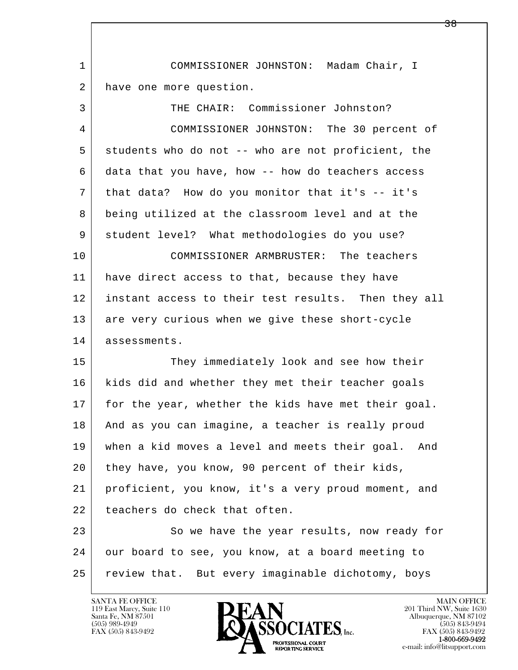| 1  | COMMISSIONER JOHNSTON: Madam Chair, I                 |
|----|-------------------------------------------------------|
| 2  | have one more question.                               |
| 3  | THE CHAIR: Commissioner Johnston?                     |
| 4  | COMMISSIONER JOHNSTON: The 30 percent of              |
| 5  | students who do not -- who are not proficient, the    |
| 6  | data that you have, how -- how do teachers access     |
| 7  | that data? How do you monitor that it's -- it's       |
| 8  | being utilized at the classroom level and at the      |
| 9  | student level? What methodologies do you use?         |
| 10 | COMMISSIONER ARMBRUSTER: The teachers                 |
| 11 | have direct access to that, because they have         |
| 12 | instant access to their test results. Then they all   |
| 13 | are very curious when we give these short-cycle       |
| 14 | assessments.                                          |
| 15 | They immediately look and see how their               |
| 16 | kids did and whether they met their teacher goals     |
| 17 | for the year, whether the kids have met their goal.   |
| 18 | And as you can imagine, a teacher is really proud     |
| 19 | when a kid moves a level and meets their goal.<br>And |
| 20 | they have, you know, 90 percent of their kids,        |
| 21 | proficient, you know, it's a very proud moment, and   |
| 22 | teachers do check that often.                         |
| 23 | So we have the year results, now ready for            |
| 24 | our board to see, you know, at a board meeting to     |
| 25 | review that. But every imaginable dichotomy, boys     |

 $\overline{\phantom{a}}$ 

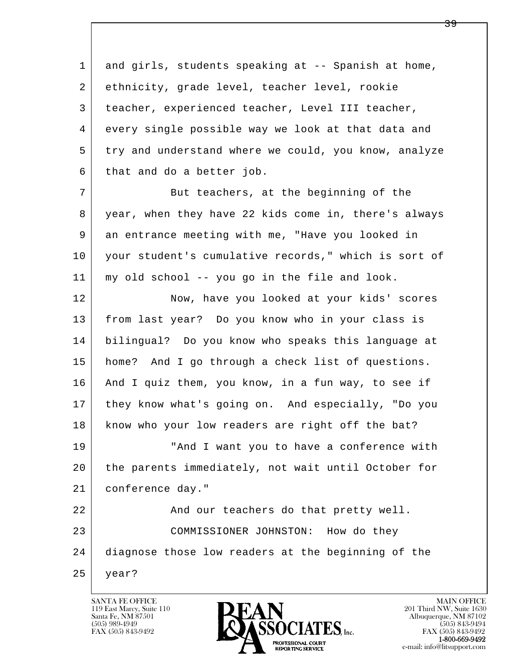l  $\overline{\phantom{a}}$  1 and girls, students speaking at -- Spanish at home, 2 ethnicity, grade level, teacher level, rookie 3 teacher, experienced teacher, Level III teacher, 4 every single possible way we look at that data and 5 try and understand where we could, you know, analyze 6 that and do a better job. 7 But teachers, at the beginning of the 8 year, when they have 22 kids come in, there's always 9 an entrance meeting with me, "Have you looked in 10 your student's cumulative records," which is sort of 11 my old school -- you go in the file and look. 12 Now, have you looked at your kids' scores 13 from last year? Do you know who in your class is 14 bilingual? Do you know who speaks this language at 15 home? And I go through a check list of questions. 16 And I quiz them, you know, in a fun way, to see if 17 they know what's going on. And especially, "Do you 18 | know who your low readers are right off the bat? 19 | The "And I want you to have a conference with 20 the parents immediately, not wait until October for 21 conference day." 22 And our teachers do that pretty well. 23 COMMISSIONER JOHNSTON: How do they 24 diagnose those low readers at the beginning of the 25 year?

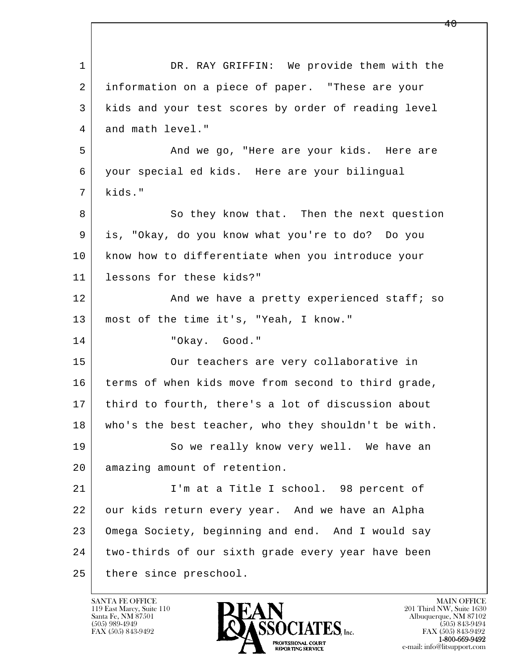| $\mathbf 1$ | DR. RAY GRIFFIN: We provide them with the           |
|-------------|-----------------------------------------------------|
| 2           | information on a piece of paper. "These are your    |
| 3           | kids and your test scores by order of reading level |
| 4           | and math level."                                    |
| 5           | And we go, "Here are your kids. Here are            |
| 6           | your special ed kids. Here are your bilingual       |
| 7           | kids."                                              |
| 8           | So they know that. Then the next question           |
| 9           | is, "Okay, do you know what you're to do? Do you    |
| 10          | know how to differentiate when you introduce your   |
| 11          | lessons for these kids?"                            |
| 12          | And we have a pretty experienced staff; so          |
| 13          | most of the time it's, "Yeah, I know."              |
| 14          | "Okay. Good."                                       |
| 15          | Our teachers are very collaborative in              |
| 16          | terms of when kids move from second to third grade, |
| 17          | third to fourth, there's a lot of discussion about  |
| 18          | who's the best teacher, who they shouldn't be with. |
| 19          | So we really know very well. We have an             |
| 20          | amazing amount of retention.                        |
| 21          | I'm at a Title I school. 98 percent of              |
| 22          | our kids return every year. And we have an Alpha    |
| 23          | Omega Society, beginning and end. And I would say   |
| 24          | two-thirds of our sixth grade every year have been  |
| 25          | there since preschool.                              |

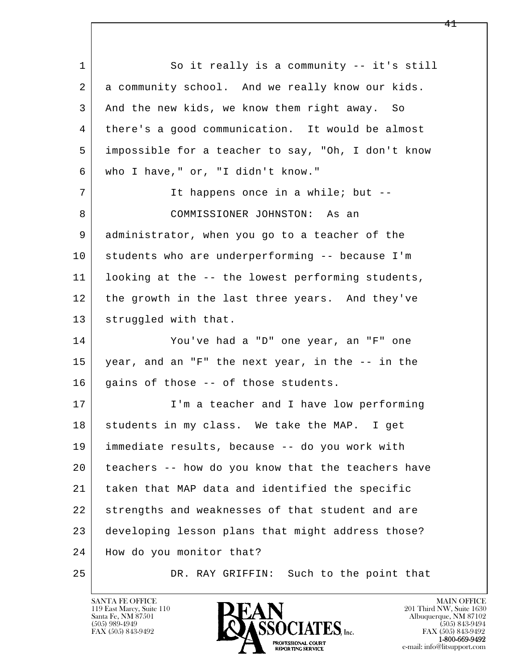l  $\overline{\phantom{a}}$ 1 So it really is a community -- it's still 2 a community school. And we really know our kids. 3 And the new kids, we know them right away. So 4 there's a good communication. It would be almost 5 impossible for a teacher to say, "Oh, I don't know 6 who I have," or, "I didn't know." 7 It happens once in a while; but --8 COMMISSIONER JOHNSTON: As an 9 administrator, when you go to a teacher of the 10 students who are underperforming -- because I'm 11 looking at the -- the lowest performing students, 12 the growth in the last three years. And they've 13 | struggled with that. 14 You've had a "D" one year, an "F" one 15 year, and an "F" the next year, in the -- in the  $16$  gains of those  $-$  of those students. 17 | I'm a teacher and I have low performing 18 students in my class. We take the MAP. I get 19 immediate results, because -- do you work with 20 teachers -- how do you know that the teachers have 21 taken that MAP data and identified the specific 22 strengths and weaknesses of that student and are 23 developing lesson plans that might address those? 24 How do you monitor that? 25 DR. RAY GRIFFIN: Such to the point that

119 East Marcy, Suite 110<br>Santa Fe, NM 87501

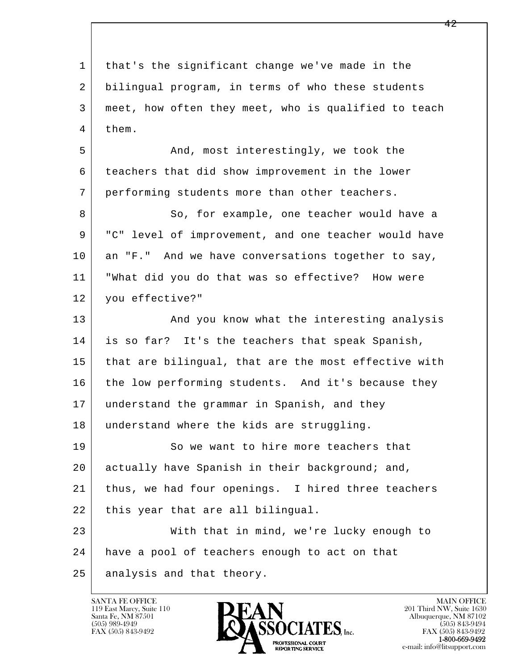| $\mathbf 1$ | that's the significant change we've made in the      |
|-------------|------------------------------------------------------|
| 2           | bilingual program, in terms of who these students    |
| 3           | meet, how often they meet, who is qualified to teach |
| 4           | them.                                                |
| 5           | And, most interestingly, we took the                 |
| 6           | teachers that did show improvement in the lower      |
| 7           | performing students more than other teachers.        |
| 8           | So, for example, one teacher would have a            |
| 9           | "C" level of improvement, and one teacher would have |
| 10          | an "F." And we have conversations together to say,   |
| 11          | "What did you do that was so effective? How were     |
| 12          | you effective?"                                      |
| 13          | And you know what the interesting analysis           |
| 14          | is so far? It's the teachers that speak Spanish,     |
| 15          | that are bilingual, that are the most effective with |
| 16          | the low performing students. And it's because they   |
| 17          | understand the grammar in Spanish, and they          |
| 18          | understand where the kids are struggling.            |
| 19          | So we want to hire more teachers that                |
| 20          | actually have Spanish in their background; and,      |
| 21          | thus, we had four openings. I hired three teachers   |
| 22          | this year that are all bilingual.                    |
| 23          | With that in mind, we're lucky enough to             |
| 24          | have a pool of teachers enough to act on that        |
| 25          | analysis and that theory.                            |

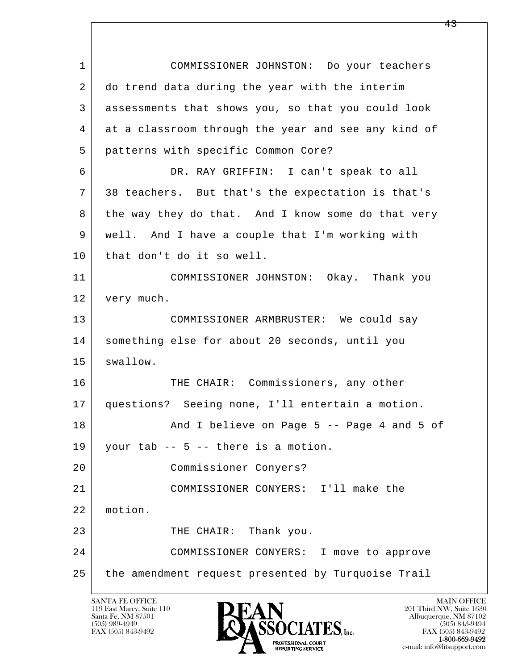l  $\overline{\phantom{a}}$  1 COMMISSIONER JOHNSTON: Do your teachers 2 do trend data during the year with the interim 3 assessments that shows you, so that you could look 4 at a classroom through the year and see any kind of 5 patterns with specific Common Core? 6 DR. RAY GRIFFIN: I can't speak to all 7 38 teachers. But that's the expectation is that's 8 the way they do that. And I know some do that very 9 well. And I have a couple that I'm working with 10 | that don't do it so well. 11 COMMISSIONER JOHNSTON: Okay. Thank you 12 | very much. 13 COMMISSIONER ARMBRUSTER: We could say 14 something else for about 20 seconds, until you 15 swallow. 16 THE CHAIR: Commissioners, any other 17 questions? Seeing none, I'll entertain a motion. 18 And I believe on Page 5 -- Page 4 and 5 of 19 | your tab  $-$  5  $-$  there is a motion. 20 Commissioner Conyers? 21 COMMISSIONER CONYERS: I'll make the 22 motion. 23 THE CHAIR: Thank you. 24 COMMISSIONER CONYERS: I move to approve 25 the amendment request presented by Turquoise Trail

119 East Marcy, Suite 110<br>Santa Fe, NM 87501

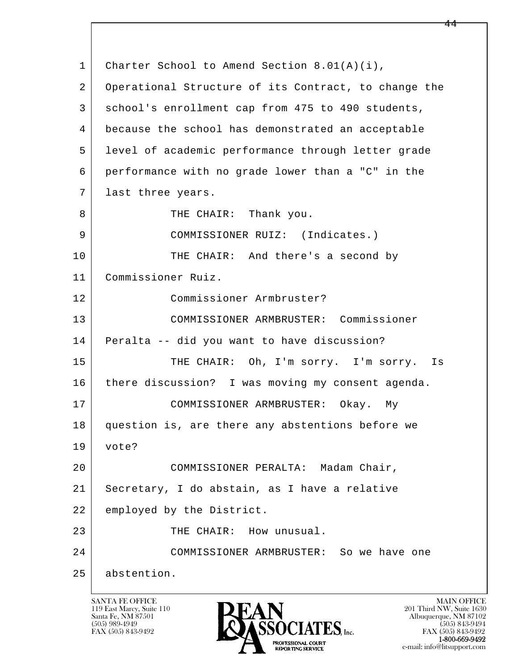l  $\overline{\phantom{a}}$ 1 Charter School to Amend Section 8.01(A)(i), 2 Operational Structure of its Contract, to change the 3 school's enrollment cap from 475 to 490 students, 4 because the school has demonstrated an acceptable 5 level of academic performance through letter grade 6 performance with no grade lower than a "C" in the 7 | last three years. 8 | THE CHAIR: Thank you. 9 COMMISSIONER RUIZ: (Indicates.) 10 THE CHAIR: And there's a second by 11 Commissioner Ruiz. 12 Commissioner Armbruster? 13 COMMISSIONER ARMBRUSTER: Commissioner 14 Peralta -- did you want to have discussion? 15 THE CHAIR: Oh, I'm sorry. I'm sorry. Is 16 | there discussion? I was moving my consent agenda. 17 | COMMISSIONER ARMBRUSTER: Okay. My 18 question is, are there any abstentions before we 19 vote? 20 COMMISSIONER PERALTA: Madam Chair, 21 Secretary, I do abstain, as I have a relative 22 employed by the District. 23 THE CHAIR: How unusual. 24 COMMISSIONER ARMBRUSTER: So we have one 25 abstention.

119 East Marcy, Suite 110<br>Santa Fe, NM 87501

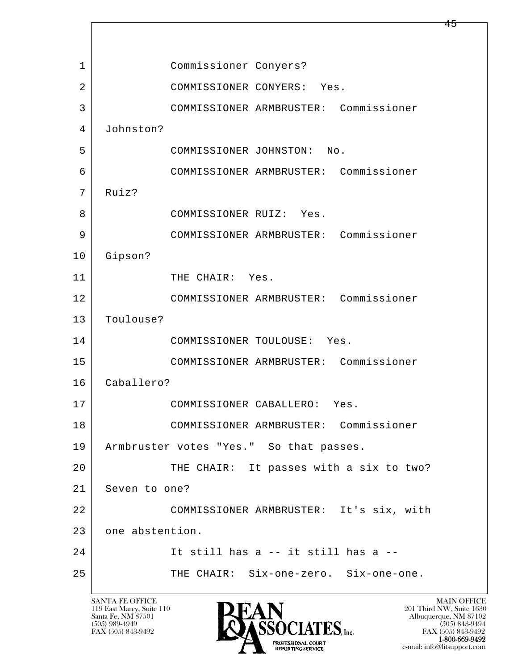l  $\overline{\phantom{a}}$  1 Commissioner Conyers? 2 COMMISSIONER CONYERS: Yes. 3 COMMISSIONER ARMBRUSTER: Commissioner 4 Johnston? 5 COMMISSIONER JOHNSTON: No. 6 COMMISSIONER ARMBRUSTER: Commissioner 7 Ruiz? 8 COMMISSIONER RUIZ: Yes. 9 COMMISSIONER ARMBRUSTER: Commissioner 10 Gipson? 11 THE CHAIR: Yes. 12 COMMISSIONER ARMBRUSTER: Commissioner 13 Toulouse? 14 COMMISSIONER TOULOUSE: Yes. 15 COMMISSIONER ARMBRUSTER: Commissioner 16 Caballero? 17 COMMISSIONER CABALLERO: Yes. 18 COMMISSIONER ARMBRUSTER: Commissioner 19 | Armbruster votes "Yes." So that passes. 20 THE CHAIR: It passes with a six to two? 21 Seven to one? 22 COMMISSIONER ARMBRUSTER: It's six, with 23 one abstention. 24 It still has a -- it still has a -- 25 THE CHAIR: Six-one-zero. Six-one-one.

119 East Marcy, Suite 110<br>Santa Fe, NM 87501



FAX (505) 843-9492<br>**1-800-669-9492** e-mail: info@litsupport.com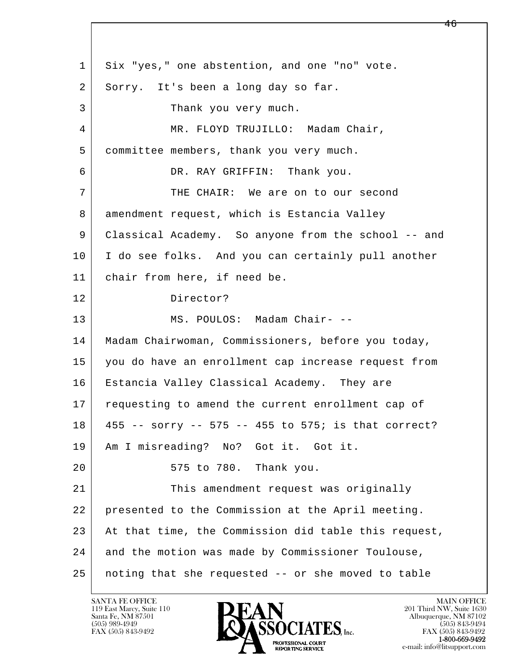l  $\overline{\phantom{a}}$ 1 Six "yes," one abstention, and one "no" vote. 2 Sorry. It's been a long day so far. 3 Thank you very much. 4 | MR. FLOYD TRUJILLO: Madam Chair, 5 committee members, thank you very much. 6 DR. RAY GRIFFIN: Thank you. 7 THE CHAIR: We are on to our second 8 | amendment request, which is Estancia Valley 9 Classical Academy. So anyone from the school -- and 10 I do see folks. And you can certainly pull another 11 chair from here, if need be. 12 Director? 13 MS. POULOS: Madam Chair- -- 14 | Madam Chairwoman, Commissioners, before you today, 15 you do have an enrollment cap increase request from 16 Estancia Valley Classical Academy. They are 17 | requesting to amend the current enrollment cap of 18 455 -- sorry -- 575 -- 455 to 575; is that correct? 19 Am I misreading? No? Got it. Got it. 20 | 575 to 780. Thank you. 21 This amendment request was originally 22 presented to the Commission at the April meeting. 23 At that time, the Commission did table this request, 24 and the motion was made by Commissioner Toulouse, 25 noting that she requested -- or she moved to table

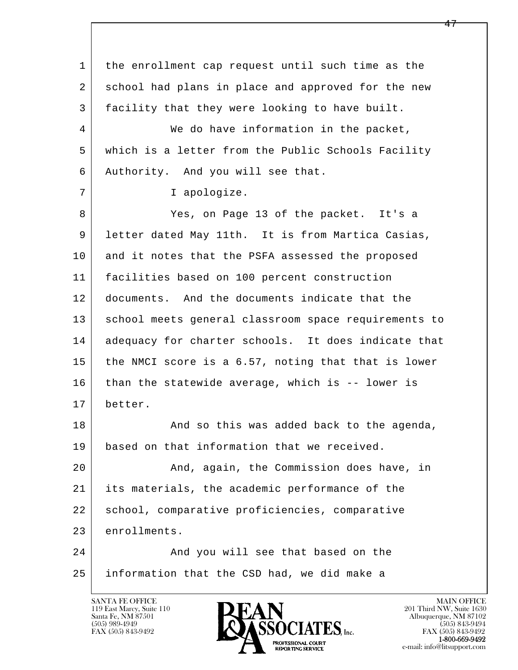l  $\overline{\phantom{a}}$  1 the enrollment cap request until such time as the 2 school had plans in place and approved for the new 3 facility that they were looking to have built. 4 We do have information in the packet, 5 which is a letter from the Public Schools Facility 6 Authority. And you will see that. 7 | T apologize. 8 Yes, on Page 13 of the packet. It's a 9 letter dated May 11th. It is from Martica Casias, 10 and it notes that the PSFA assessed the proposed 11 facilities based on 100 percent construction 12 documents. And the documents indicate that the 13 | school meets general classroom space requirements to 14 adequacy for charter schools. It does indicate that 15 the NMCI score is a 6.57, noting that that is lower 16 than the statewide average, which is -- lower is 17 better. 18 And so this was added back to the agenda, 19 based on that information that we received. 20 And, again, the Commission does have, in 21 its materials, the academic performance of the 22 school, comparative proficiencies, comparative 23 enrollments. 24 And you will see that based on the 25 information that the CSD had, we did make a

119 East Marcy, Suite 110<br>Santa Fe, NM 87501



FAX (505) 843-9492<br>1-800-669-9492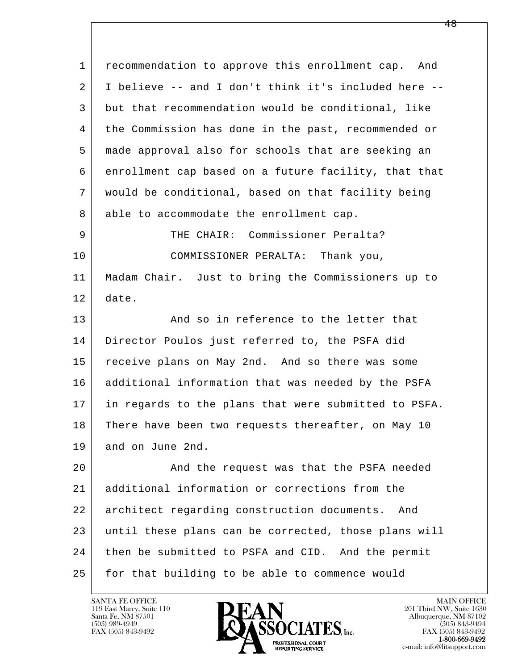l  $\overline{\phantom{a}}$  1 recommendation to approve this enrollment cap. And 2 I believe -- and I don't think it's included here -- 3 but that recommendation would be conditional, like 4 the Commission has done in the past, recommended or 5 made approval also for schools that are seeking an 6 enrollment cap based on a future facility, that that 7 would be conditional, based on that facility being 8 able to accommodate the enrollment cap. 9 THE CHAIR: Commissioner Peralta? 10 COMMISSIONER PERALTA: Thank you, 11 Madam Chair. Just to bring the Commissioners up to 12 date. 13 And so in reference to the letter that 14 Director Poulos just referred to, the PSFA did 15 receive plans on May 2nd. And so there was some 16 additional information that was needed by the PSFA 17 in regards to the plans that were submitted to PSFA. 18 There have been two requests thereafter, on May 10 19 and on June 2nd. 20 | And the request was that the PSFA needed 21 additional information or corrections from the 22 architect regarding construction documents. And 23 until these plans can be corrected, those plans will 24 then be submitted to PSFA and CID. And the permit 25 for that building to be able to commence would

119 East Marcy, Suite 110<br>Santa Fe, NM 87501

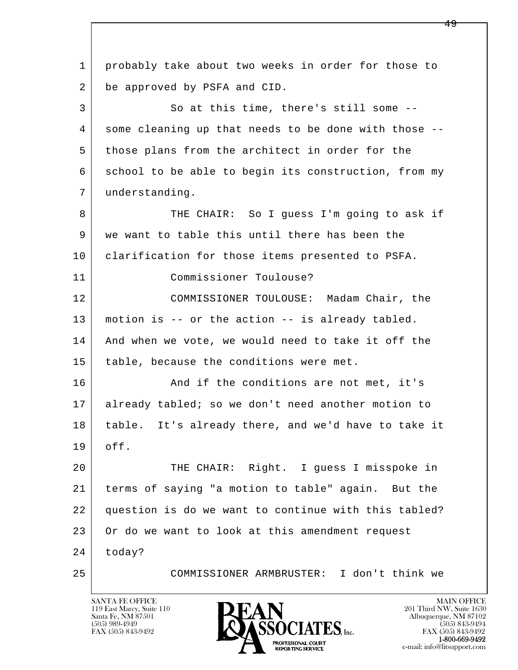l  $\overline{\phantom{a}}$  1 probably take about two weeks in order for those to 2 be approved by PSFA and CID. 3 So at this time, there's still some -- 4 some cleaning up that needs to be done with those -- 5 those plans from the architect in order for the 6 school to be able to begin its construction, from my 7 understanding. 8 THE CHAIR: So I guess I'm going to ask if 9 we want to table this until there has been the 10 clarification for those items presented to PSFA. 11 Commissioner Toulouse? 12 COMMISSIONER TOULOUSE: Madam Chair, the 13 motion is -- or the action -- is already tabled. 14 And when we vote, we would need to take it off the 15 | table, because the conditions were met. 16 And if the conditions are not met, it's 17 already tabled; so we don't need another motion to 18 | table. It's already there, and we'd have to take it 19 off. 20 THE CHAIR: Right. I guess I misspoke in 21 terms of saying "a motion to table" again. But the 22 question is do we want to continue with this tabled? 23 Or do we want to look at this amendment request 24 today? 25 COMMISSIONER ARMBRUSTER: I don't think we

119 East Marcy, Suite 110<br>Santa Fe, NM 87501

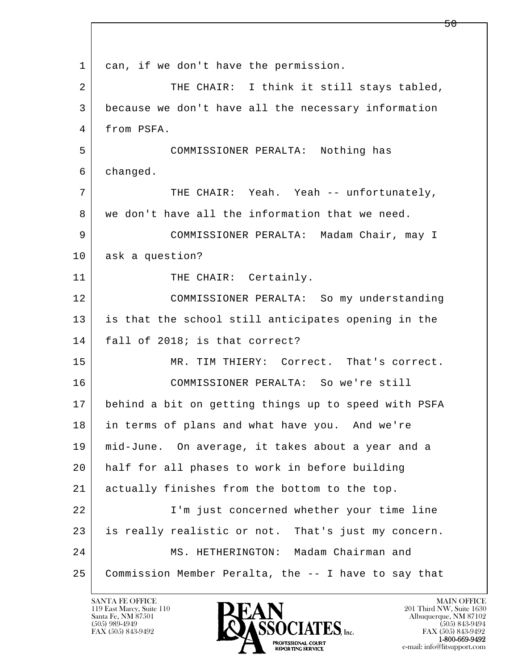l  $\overline{\phantom{a}}$ 1 can, if we don't have the permission. 2 | THE CHAIR: I think it still stays tabled, 3 because we don't have all the necessary information 4 from PSFA. 5 COMMISSIONER PERALTA: Nothing has 6 changed. 7 THE CHAIR: Yeah. Yeah -- unfortunately, 8 we don't have all the information that we need. 9 COMMISSIONER PERALTA: Madam Chair, may I 10 ask a question? 11 THE CHAIR: Certainly. 12 COMMISSIONER PERALTA: So my understanding 13 is that the school still anticipates opening in the 14 | fall of 2018; is that correct? 15 MR. TIM THIERY: Correct. That's correct. 16 COMMISSIONER PERALTA: So we're still 17 behind a bit on getting things up to speed with PSFA 18 in terms of plans and what have you. And we're 19 mid-June. On average, it takes about a year and a 20 half for all phases to work in before building 21 actually finishes from the bottom to the top. 22 I'm just concerned whether your time line 23 | is really realistic or not. That's just my concern. 24 MS. HETHERINGTON: Madam Chairman and 25 Commission Member Peralta, the -- I have to say that

119 East Marcy, Suite 110<br>Santa Fe, NM 87501

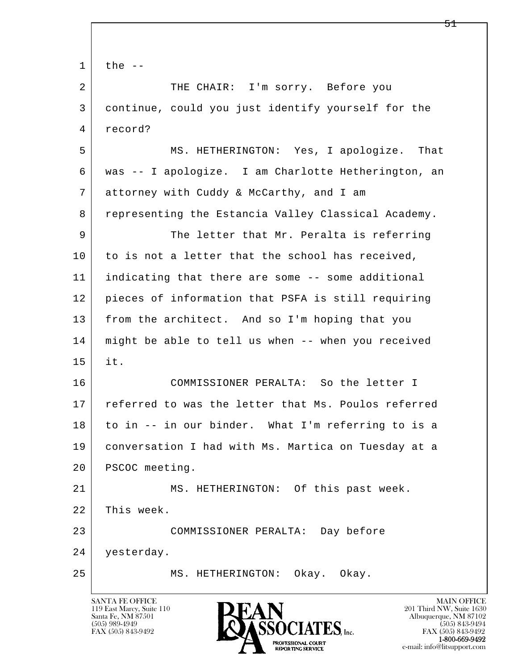l  $\overline{\phantom{a}}$  $1$  the  $-$ 2 THE CHAIR: I'm sorry. Before you 3 continue, could you just identify yourself for the 4 record? 5 MS. HETHERINGTON: Yes, I apologize. That 6 was -- I apologize. I am Charlotte Hetherington, an 7 attorney with Cuddy & McCarthy, and I am 8 representing the Estancia Valley Classical Academy. 9 The letter that Mr. Peralta is referring 10 to is not a letter that the school has received, 11 indicating that there are some -- some additional 12 pieces of information that PSFA is still requiring 13 from the architect. And so I'm hoping that you 14 might be able to tell us when -- when you received 15 it. 16 COMMISSIONER PERALTA: So the letter I 17 referred to was the letter that Ms. Poulos referred 18 to in -- in our binder. What I'm referring to is a 19 conversation I had with Ms. Martica on Tuesday at a 20 | PSCOC meeting. 21 MS. HETHERINGTON: Of this past week. 22 This week. 23 COMMISSIONER PERALTA: Day before 24 yesterday. 25 MS. HETHERINGTON: Okay. Okay.

119 East Marcy, Suite 110<br>Santa Fe, NM 87501

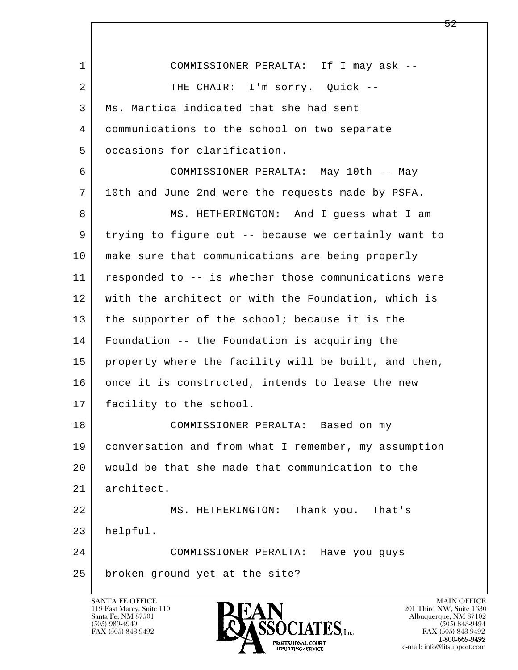l  $\overline{\phantom{a}}$  1 COMMISSIONER PERALTA: If I may ask -- 2 THE CHAIR: I'm sorry. Quick -- 3 Ms. Martica indicated that she had sent 4 communications to the school on two separate 5 occasions for clarification. 6 COMMISSIONER PERALTA: May 10th -- May 7 10th and June 2nd were the requests made by PSFA. 8 MS. HETHERINGTON: And I guess what I am 9 | trying to figure out -- because we certainly want to 10 make sure that communications are being properly 11 responded to -- is whether those communications were 12 with the architect or with the Foundation, which is 13 the supporter of the school; because it is the 14 Foundation -- the Foundation is acquiring the 15 | property where the facility will be built, and then, 16 once it is constructed, intends to lease the new 17 facility to the school. 18 COMMISSIONER PERALTA: Based on my 19 conversation and from what I remember, my assumption 20 would be that she made that communication to the 21 architect. 22 MS. HETHERINGTON: Thank you. That's 23 helpful. 24 COMMISSIONER PERALTA: Have you guys 25 broken ground yet at the site?

119 East Marcy, Suite 110<br>Santa Fe, NM 87501



FAX (505) 843-9492<br>**1-800-669-9492**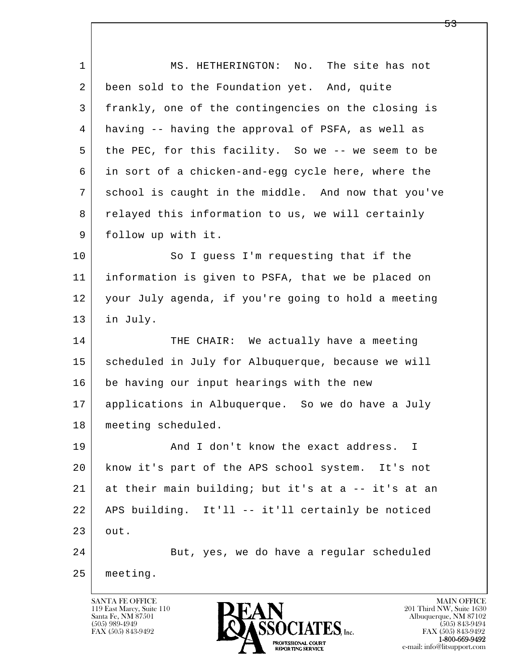l  $\overline{\phantom{a}}$ 1 | MS. HETHERINGTON: No. The site has not 2 been sold to the Foundation yet. And, quite 3 frankly, one of the contingencies on the closing is 4 having -- having the approval of PSFA, as well as 5 the PEC, for this facility. So we -- we seem to be 6 in sort of a chicken-and-egg cycle here, where the 7 school is caught in the middle. And now that you've 8 relayed this information to us, we will certainly 9 follow up with it. 10 So I quess I'm requesting that if the 11 information is given to PSFA, that we be placed on 12 your July agenda, if you're going to hold a meeting 13 in July. 14 THE CHAIR: We actually have a meeting 15 | scheduled in July for Albuquerque, because we will 16 be having our input hearings with the new 17 applications in Albuquerque. So we do have a July 18 | meeting scheduled. 19 and I don't know the exact address. I 20 know it's part of the APS school system. It's not 21 at their main building; but it's at a -- it's at an 22 APS building. It'll -- it'll certainly be noticed  $23$  out. 24 But, yes, we do have a regular scheduled 25 meeting.

119 East Marcy, Suite 110<br>Santa Fe, NM 87501

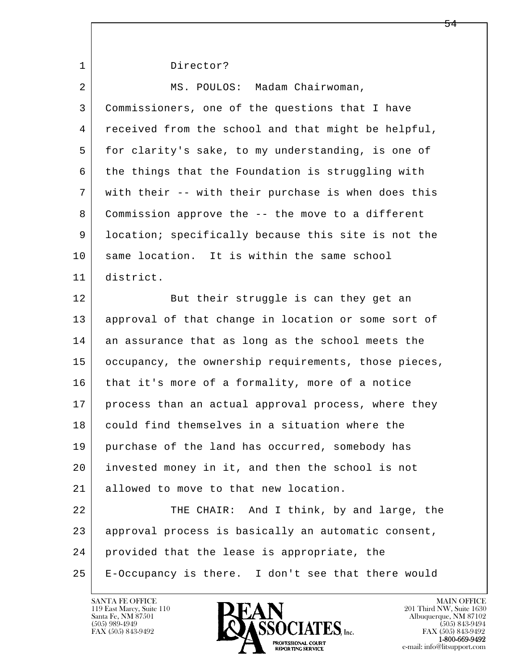l  $\overline{\phantom{a}}$ 1 Director? 2 MS. POULOS: Madam Chairwoman, 3 Commissioners, one of the questions that I have 4 received from the school and that might be helpful, 5 for clarity's sake, to my understanding, is one of 6 the things that the Foundation is struggling with 7 with their -- with their purchase is when does this 8 Commission approve the -- the move to a different 9 location; specifically because this site is not the 10 same location. It is within the same school 11 district. 12 But their struggle is can they get an 13 approval of that change in location or some sort of 14 an assurance that as long as the school meets the 15 | occupancy, the ownership requirements, those pieces, 16 that it's more of a formality, more of a notice 17 | process than an actual approval process, where they 18 could find themselves in a situation where the 19 purchase of the land has occurred, somebody has 20 invested money in it, and then the school is not 21 allowed to move to that new location. 22 THE CHAIR: And I think, by and large, the 23 approval process is basically an automatic consent, 24 provided that the lease is appropriate, the 25 E-Occupancy is there. I don't see that there would

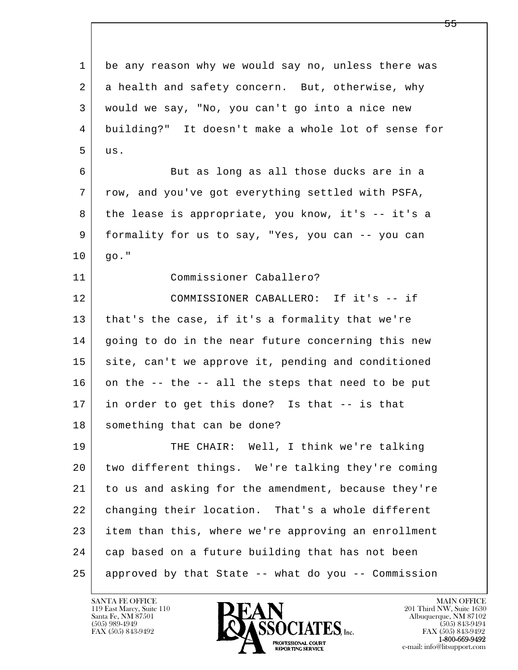l  $\overline{\phantom{a}}$  1 be any reason why we would say no, unless there was 2 a health and safety concern. But, otherwise, why 3 would we say, "No, you can't go into a nice new 4 building?" It doesn't make a whole lot of sense for  $5$  us. 6 But as long as all those ducks are in a 7 row, and you've got everything settled with PSFA, 8 the lease is appropriate, you know, it's -- it's a 9 formality for us to say, "Yes, you can -- you can  $10 | q0."$  11 Commissioner Caballero? 12 COMMISSIONER CABALLERO: If it's -- if 13 | that's the case, if it's a formality that we're 14 going to do in the near future concerning this new 15 site, can't we approve it, pending and conditioned  $16$  on the -- the -- all the steps that need to be put 17 in order to get this done? Is that -- is that 18 something that can be done? 19 THE CHAIR: Well, I think we're talking 20 two different things. We're talking they're coming 21 to us and asking for the amendment, because they're 22 changing their location. That's a whole different 23 item than this, where we're approving an enrollment 24 cap based on a future building that has not been 25 approved by that State -- what do you -- Commission



FAX (505) 843-9492<br>1-800-669-9492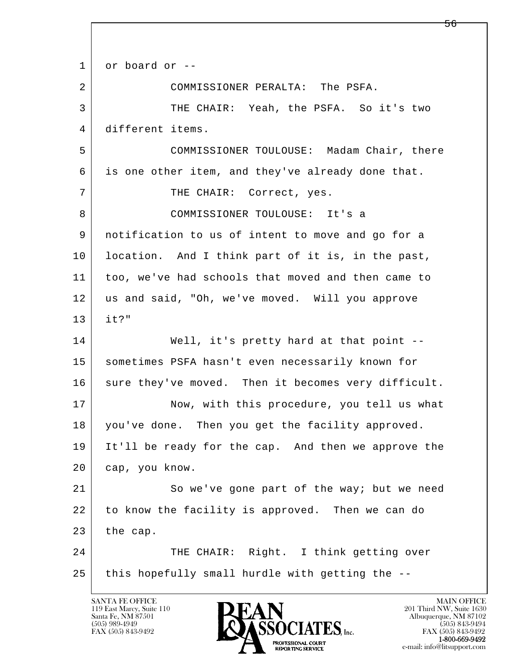l  $\overline{\phantom{a}}$  1 or board or -- 2 COMMISSIONER PERALTA: The PSFA. 3 THE CHAIR: Yeah, the PSFA. So it's two 4 different items. 5 COMMISSIONER TOULOUSE: Madam Chair, there 6 is one other item, and they've already done that. 7 | THE CHAIR: Correct, yes. 8 COMMISSIONER TOULOUSE: It's a 9 notification to us of intent to move and go for a 10 | location. And I think part of it is, in the past, 11 too, we've had schools that moved and then came to 12 us and said, "Oh, we've moved. Will you approve 13 it?" 14 Well, it's pretty hard at that point --15 | sometimes PSFA hasn't even necessarily known for 16 sure they've moved. Then it becomes very difficult. 17 Now, with this procedure, you tell us what 18 | you've done. Then you get the facility approved. 19 It'll be ready for the cap. And then we approve the 20 cap, you know. 21 So we've gone part of the way; but we need 22 to know the facility is approved. Then we can do  $23$  the cap. 24 THE CHAIR: Right. I think getting over  $25$  this hopefully small hurdle with getting the  $-$ -

119 East Marcy, Suite 110<br>Santa Fe, NM 87501

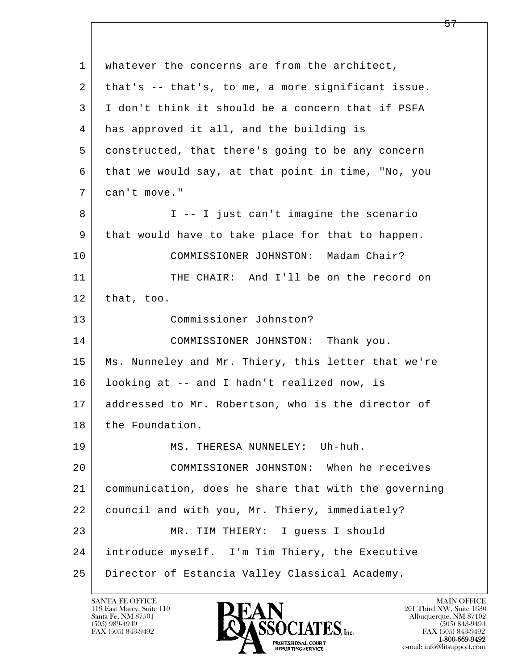l  $\overline{\phantom{a}}$  1 whatever the concerns are from the architect, 2 that's -- that's, to me, a more significant issue. 3 I don't think it should be a concern that if PSFA 4 has approved it all, and the building is 5 constructed, that there's going to be any concern 6 that we would say, at that point in time, "No, you 7 can't move." 8 | I -- I just can't imagine the scenario 9 that would have to take place for that to happen. 10 COMMISSIONER JOHNSTON: Madam Chair? 11 THE CHAIR: And I'll be on the record on  $12$  that, too. 13 Commissioner Johnston? 14 COMMISSIONER JOHNSTON: Thank you. 15 | Ms. Nunneley and Mr. Thiery, this letter that we're 16 looking at -- and I hadn't realized now, is 17 addressed to Mr. Robertson, who is the director of 18 the Foundation. 19 MS. THERESA NUNNELEY: Uh-huh. 20 COMMISSIONER JOHNSTON: When he receives 21 communication, does he share that with the governing 22 council and with you, Mr. Thiery, immediately? 23 MR. TIM THIERY: I guess I should 24 introduce myself. I'm Tim Thiery, the Executive 25 Director of Estancia Valley Classical Academy.

119 East Marcy, Suite 110<br>Santa Fe, NM 87501

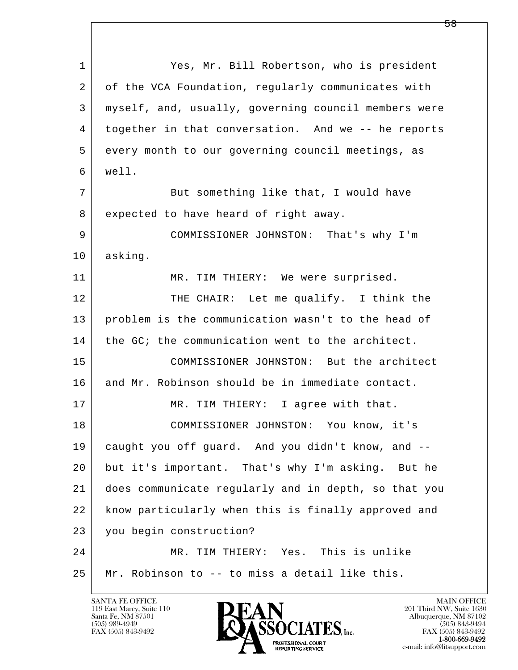l  $\overline{\phantom{a}}$  1 Yes, Mr. Bill Robertson, who is president 2 of the VCA Foundation, regularly communicates with 3 myself, and, usually, governing council members were 4 together in that conversation. And we -- he reports 5 every month to our governing council meetings, as 6 well. 7 But something like that, I would have 8 expected to have heard of right away. 9 COMMISSIONER JOHNSTON: That's why I'm 10 asking. 11 MR. TIM THIERY: We were surprised. 12 THE CHAIR: Let me qualify. I think the 13 problem is the communication wasn't to the head of 14 the GC; the communication went to the architect. 15 COMMISSIONER JOHNSTON: But the architect 16 and Mr. Robinson should be in immediate contact. 17 MR. TIM THIERY: I agree with that. 18 COMMISSIONER JOHNSTON: You know, it's 19 caught you off guard. And you didn't know, and -- 20 but it's important. That's why I'm asking. But he 21 does communicate regularly and in depth, so that you 22 know particularly when this is finally approved and 23 you begin construction? 24 MR. TIM THIERY: Yes. This is unlike 25 Mr. Robinson to -- to miss a detail like this.

119 East Marcy, Suite 110<br>Santa Fe, NM 87501

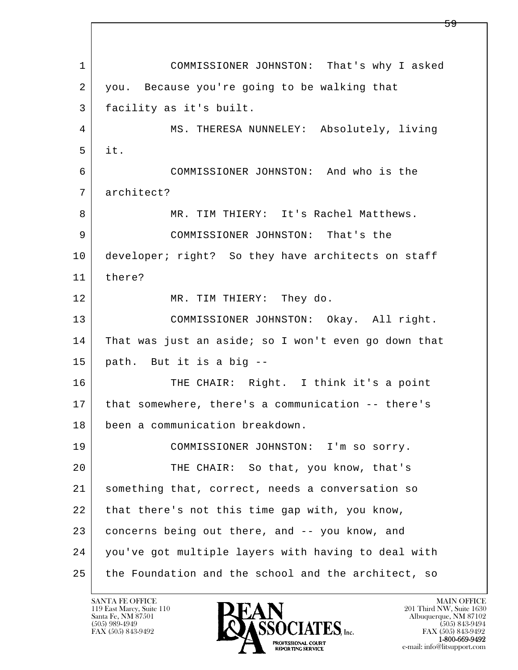l  $\overline{\phantom{a}}$  1 COMMISSIONER JOHNSTON: That's why I asked 2 you. Because you're going to be walking that 3 facility as it's built. 4 MS. THERESA NUNNELEY: Absolutely, living 5 it. 6 COMMISSIONER JOHNSTON: And who is the 7 architect? 8 MR. TIM THIERY: It's Rachel Matthews. 9 COMMISSIONER JOHNSTON: That's the 10 developer; right? So they have architects on staff 11 there? 12 MR. TIM THIERY: They do. 13 COMMISSIONER JOHNSTON: Okay. All right. 14 That was just an aside; so I won't even go down that 15 path. But it is a big -- 16 THE CHAIR: Right. I think it's a point 17 that somewhere, there's a communication -- there's 18 been a communication breakdown. 19 COMMISSIONER JOHNSTON: I'm so sorry. 20 THE CHAIR: So that, you know, that's 21 something that, correct, needs a conversation so 22 that there's not this time gap with, you know, 23 concerns being out there, and -- you know, and 24 you've got multiple layers with having to deal with 25 the Foundation and the school and the architect, so

119 East Marcy, Suite 110<br>Santa Fe, NM 87501

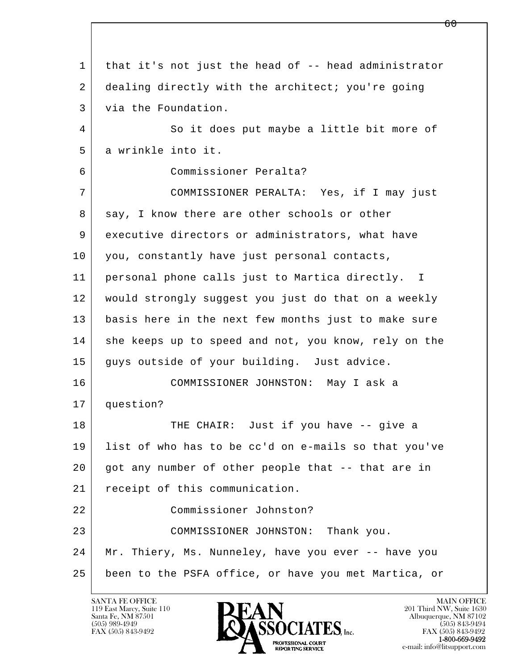l  $\overline{\phantom{a}}$  1 that it's not just the head of -- head administrator 2 dealing directly with the architect; you're going 3 via the Foundation. 4 So it does put maybe a little bit more of 5 a wrinkle into it. 6 Commissioner Peralta? 7 COMMISSIONER PERALTA: Yes, if I may just 8 | say, I know there are other schools or other 9 executive directors or administrators, what have 10 you, constantly have just personal contacts, 11 personal phone calls just to Martica directly. I 12 would strongly suggest you just do that on a weekly 13 basis here in the next few months just to make sure 14 she keeps up to speed and not, you know, rely on the 15 guys outside of your building. Just advice. 16 COMMISSIONER JOHNSTON: May I ask a 17 question? 18 THE CHAIR: Just if you have -- give a 19 list of who has to be cc'd on e-mails so that you've 20 got any number of other people that -- that are in 21 | receipt of this communication. 22 Commissioner Johnston? 23 COMMISSIONER JOHNSTON: Thank you. 24 Mr. Thiery, Ms. Nunneley, have you ever -- have you 25 been to the PSFA office, or have you met Martica, or

119 East Marcy, Suite 110<br>Santa Fe, NM 87501

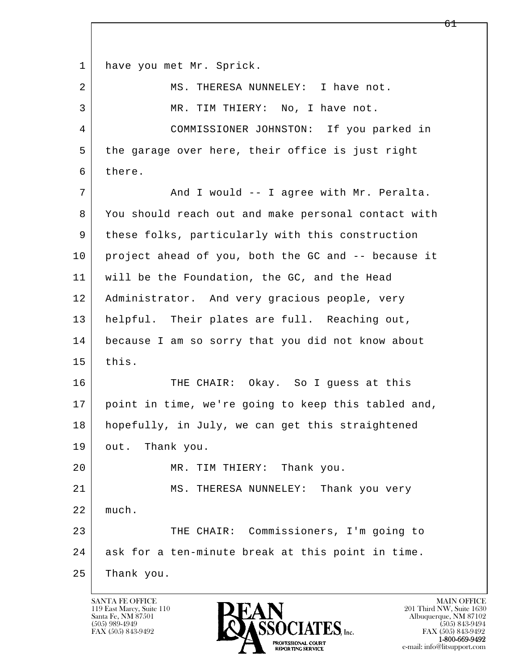l  $\overline{\phantom{a}}$ 1 have you met Mr. Sprick. 2 MS. THERESA NUNNELEY: I have not. 3 MR. TIM THIERY: No, I have not. 4 COMMISSIONER JOHNSTON: If you parked in 5 the garage over here, their office is just right 6 there. 7 | The Mand I would -- I agree with Mr. Peralta. 8 You should reach out and make personal contact with 9 these folks, particularly with this construction 10 project ahead of you, both the GC and -- because it 11 will be the Foundation, the GC, and the Head 12 | Administrator. And very gracious people, very 13 helpful. Their plates are full. Reaching out, 14 because I am so sorry that you did not know about  $15$  this. 16 THE CHAIR: Okay. So I quess at this 17 point in time, we're going to keep this tabled and, 18 | hopefully, in July, we can get this straightened 19 out. Thank you. 20 MR. TIM THIERY: Thank you. 21 MS. THERESA NUNNELEY: Thank you very 22 much. 23 THE CHAIR: Commissioners, I'm going to 24 ask for a ten-minute break at this point in time. 25 Thank you.

119 East Marcy, Suite 110<br>Santa Fe, NM 87501

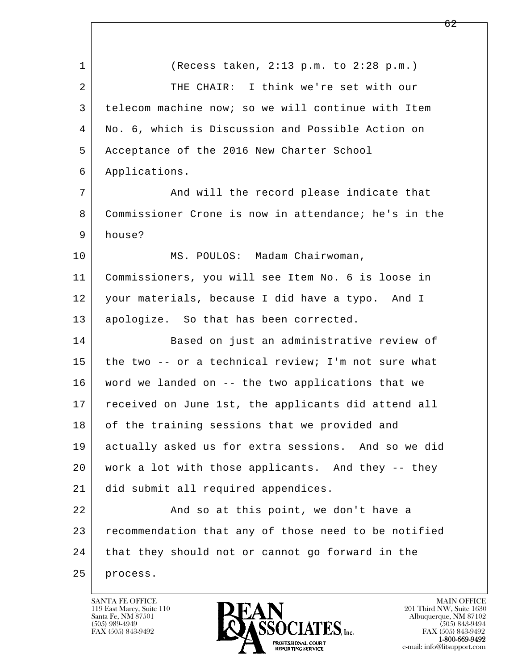l  $\overline{\phantom{a}}$  1 (Recess taken, 2:13 p.m. to 2:28 p.m.) 2 THE CHAIR: I think we're set with our 3 telecom machine now; so we will continue with Item 4 No. 6, which is Discussion and Possible Action on 5 Acceptance of the 2016 New Charter School 6 Applications. 7 | And will the record please indicate that 8 Commissioner Crone is now in attendance; he's in the 9 house? 10 | MS. POULOS: Madam Chairwoman, 11 Commissioners, you will see Item No. 6 is loose in 12 your materials, because I did have a typo. And I 13 | apologize. So that has been corrected. 14 Based on just an administrative review of 15 the two -- or a technical review; I'm not sure what 16 word we landed on -- the two applications that we 17 received on June 1st, the applicants did attend all 18 of the training sessions that we provided and 19 actually asked us for extra sessions. And so we did 20 work a lot with those applicants. And they -- they 21 did submit all required appendices. 22 And so at this point, we don't have a 23 recommendation that any of those need to be notified 24 that they should not or cannot go forward in the 25 process.

119 East Marcy, Suite 110<br>Santa Fe, NM 87501

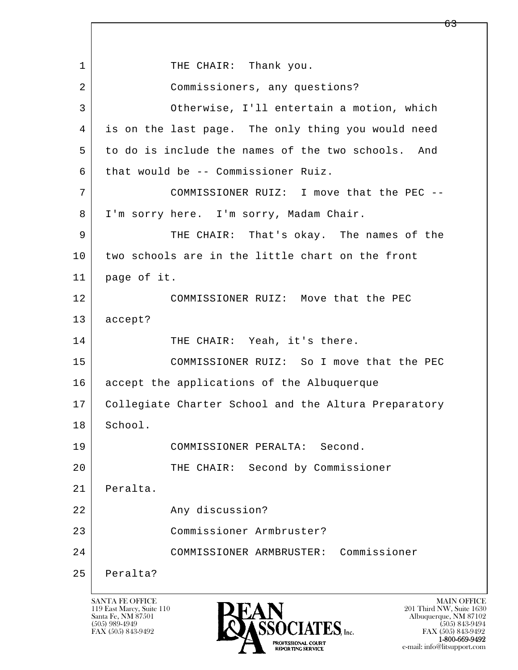l  $\overline{\phantom{a}}$ 1 THE CHAIR: Thank you. 2 Commissioners, any questions? 3 Otherwise, I'll entertain a motion, which 4 is on the last page. The only thing you would need 5 to do is include the names of the two schools. And  $6$  that would be -- Commissioner Ruiz. 7 COMMISSIONER RUIZ: I move that the PEC -- 8 | I'm sorry here. I'm sorry, Madam Chair. 9 THE CHAIR: That's okay. The names of the 10 two schools are in the little chart on the front 11 page of it. 12 COMMISSIONER RUIZ: Move that the PEC 13 accept? 14 THE CHAIR: Yeah, it's there. 15 COMMISSIONER RUIZ: So I move that the PEC 16 accept the applications of the Albuquerque 17 Collegiate Charter School and the Altura Preparatory 18 School. 19 COMMISSIONER PERALTA: Second. 20 THE CHAIR: Second by Commissioner 21 Peralta. 22 Any discussion? 23 Commissioner Armbruster? 24 COMMISSIONER ARMBRUSTER: Commissioner 25 Peralta?

119 East Marcy, Suite 110<br>Santa Fe, NM 87501



FAX (505) 843-9492 FAX (505) 843-9492 e-mail: info@litsupport.com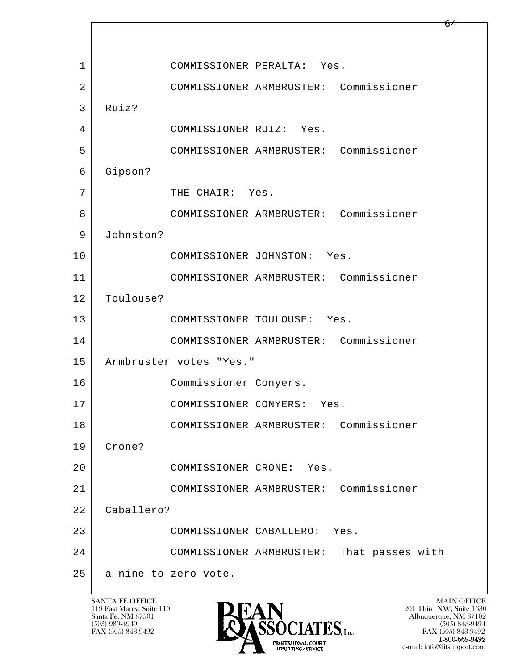l  $\overline{\phantom{a}}$  1 COMMISSIONER PERALTA: Yes. 2 COMMISSIONER ARMBRUSTER: Commissioner 3 Ruiz? 4 COMMISSIONER RUIZ: Yes. 5 COMMISSIONER ARMBRUSTER: Commissioner 6 Gipson? 7 THE CHAIR: Yes. 8 COMMISSIONER ARMBRUSTER: Commissioner 9 Johnston? 10 COMMISSIONER JOHNSTON: Yes. 11 COMMISSIONER ARMBRUSTER: Commissioner 12 Toulouse? 13 COMMISSIONER TOULOUSE: Yes. 14 COMMISSIONER ARMBRUSTER: Commissioner 15 Armbruster votes "Yes." 16 Commissioner Conyers. 17 COMMISSIONER CONYERS: Yes. 18 COMMISSIONER ARMBRUSTER: Commissioner 19 Crone? 20 COMMISSIONER CRONE: Yes. 21 COMMISSIONER ARMBRUSTER: Commissioner 22 Caballero? 23 COMMISSIONER CABALLERO: Yes. 24 COMMISSIONER ARMBRUSTER: That passes with 25 a nine-to-zero vote.

119 East Marcy, Suite 110<br>Santa Fe, NM 87501



FAX (505) 843-9492<br>**1-800-669-9492** e-mail: info@litsupport.com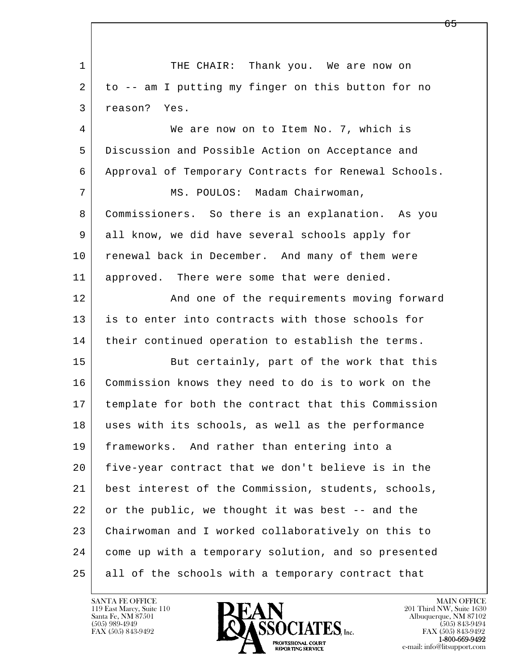l  $\overline{\phantom{a}}$ 1 THE CHAIR: Thank you. We are now on 2 to -- am I putting my finger on this button for no 3 reason? Yes. 4 We are now on to Item No. 7, which is 5 Discussion and Possible Action on Acceptance and 6 Approval of Temporary Contracts for Renewal Schools. 7 | MS. POULOS: Madam Chairwoman, 8 Commissioners. So there is an explanation. As you 9 all know, we did have several schools apply for 10 renewal back in December. And many of them were 11 approved. There were some that were denied. 12 And one of the requirements moving forward 13 is to enter into contracts with those schools for 14 | their continued operation to establish the terms. 15 But certainly, part of the work that this 16 Commission knows they need to do is to work on the 17 template for both the contract that this Commission 18 uses with its schools, as well as the performance 19 frameworks. And rather than entering into a 20 five-year contract that we don't believe is in the 21 best interest of the Commission, students, schools, 22 or the public, we thought it was best -- and the 23 Chairwoman and I worked collaboratively on this to 24 come up with a temporary solution, and so presented 25 all of the schools with a temporary contract that

119 East Marcy, Suite 110<br>Santa Fe, NM 87501

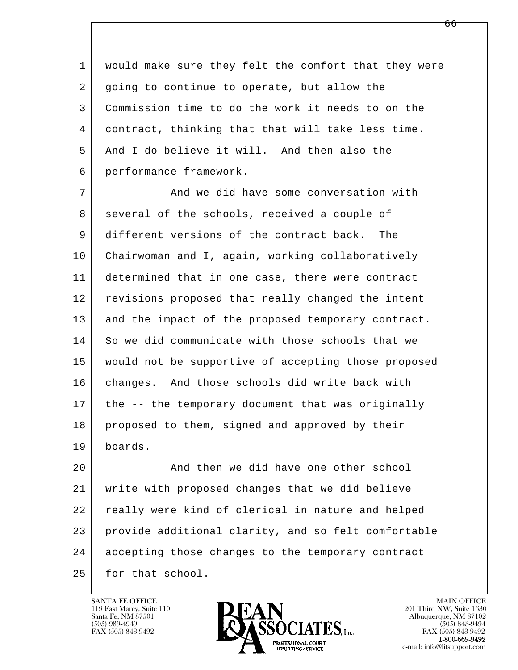1 would make sure they felt the comfort that they were 2 going to continue to operate, but allow the 3 Commission time to do the work it needs to on the 4 contract, thinking that that will take less time. 5 And I do believe it will. And then also the 6 performance framework.

7 And we did have some conversation with 8 several of the schools, received a couple of 9 different versions of the contract back. The 10 Chairwoman and I, again, working collaboratively 11 determined that in one case, there were contract 12 revisions proposed that really changed the intent 13 and the impact of the proposed temporary contract. 14 So we did communicate with those schools that we 15 would not be supportive of accepting those proposed 16 changes. And those schools did write back with 17 | the -- the temporary document that was originally 18 proposed to them, signed and approved by their 19 boards.

l  $\overline{\phantom{a}}$ 20 And then we did have one other school 21 write with proposed changes that we did believe 22 really were kind of clerical in nature and helped 23 provide additional clarity, and so felt comfortable 24 accepting those changes to the temporary contract 25 for that school.

119 East Marcy, Suite 110<br>Santa Fe, NM 87501



FAX (505) 843-9492<br>**1-800-669-9492**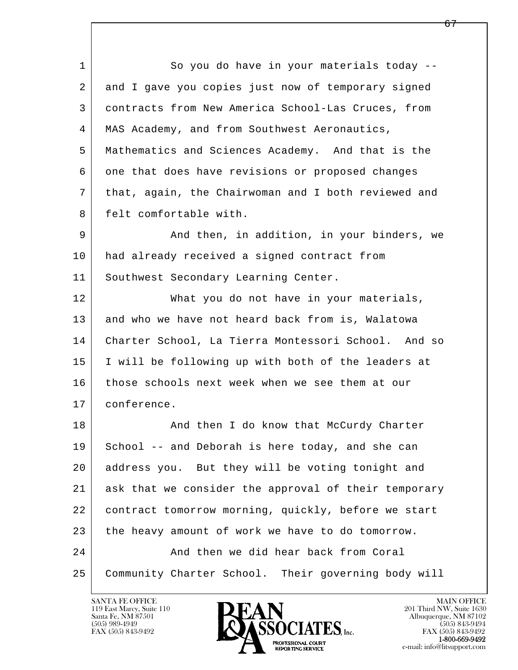l  $\overline{\phantom{a}}$ 1 So you do have in your materials today --2 and I gave you copies just now of temporary signed 3 contracts from New America School-Las Cruces, from 4 | MAS Academy, and from Southwest Aeronautics, 5 Mathematics and Sciences Academy. And that is the 6 one that does have revisions or proposed changes 7 that, again, the Chairwoman and I both reviewed and 8 | felt comfortable with. 9 And then, in addition, in your binders, we 10 had already received a signed contract from 11 | Southwest Secondary Learning Center. 12 What you do not have in your materials, 13 and who we have not heard back from is, Walatowa 14 Charter School, La Tierra Montessori School. And so 15 I will be following up with both of the leaders at 16 those schools next week when we see them at our 17 conference. 18 | And then I do know that McCurdy Charter 19 School -- and Deborah is here today, and she can 20 address you. But they will be voting tonight and 21 ask that we consider the approval of their temporary 22 contract tomorrow morning, quickly, before we start 23 the heavy amount of work we have to do tomorrow. 24 And then we did hear back from Coral 25 Community Charter School. Their governing body will

119 East Marcy, Suite 110<br>Santa Fe, NM 87501



FAX (505) 843-9492<br>1-800-669-9492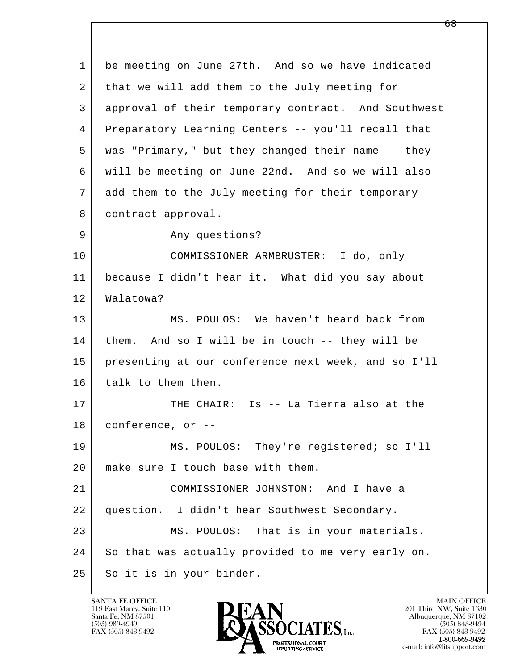l  $\overline{\phantom{a}}$  1 be meeting on June 27th. And so we have indicated 2 that we will add them to the July meeting for 3 approval of their temporary contract. And Southwest 4 Preparatory Learning Centers -- you'll recall that 5 was "Primary," but they changed their name -- they 6 will be meeting on June 22nd. And so we will also 7 add them to the July meeting for their temporary 8 contract approval. 9 Any questions? 10 COMMISSIONER ARMBRUSTER: I do, only 11 because I didn't hear it. What did you say about 12 Walatowa? 13 MS. POULOS: We haven't heard back from 14 them. And so I will be in touch -- they will be 15 presenting at our conference next week, and so I'll 16 talk to them then. 17 THE CHAIR: Is -- La Tierra also at the 18 conference, or -- 19 MS. POULOS: They're registered; so I'll 20 make sure I touch base with them. 21 COMMISSIONER JOHNSTON: And I have a 22 question. I didn't hear Southwest Secondary. 23 MS. POULOS: That is in your materials. 24 So that was actually provided to me very early on. 25 So it is in your binder.

119 East Marcy, Suite 110<br>Santa Fe, NM 87501

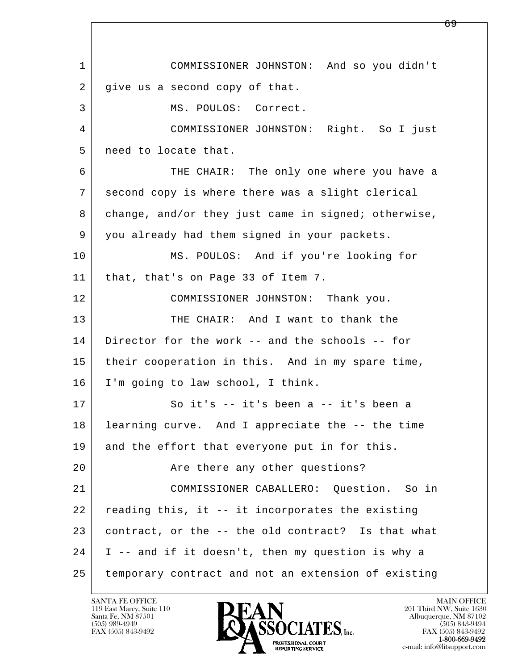l  $\overline{\phantom{a}}$  1 COMMISSIONER JOHNSTON: And so you didn't 2 give us a second copy of that. 3 MS. POULOS: Correct. 4 COMMISSIONER JOHNSTON: Right. So I just 5 | need to locate that. 6 THE CHAIR: The only one where you have a 7 second copy is where there was a slight clerical 8 change, and/or they just came in signed; otherwise, 9 you already had them signed in your packets. 10 MS. POULOS: And if you're looking for 11 that, that's on Page 33 of Item 7. 12 COMMISSIONER JOHNSTON: Thank you. 13 THE CHAIR: And I want to thank the 14 Director for the work -- and the schools -- for 15 | their cooperation in this. And in my spare time, 16 I'm going to law school, I think. 17 | So it's -- it's been a -- it's been a 18 learning curve. And I appreciate the -- the time 19 and the effort that everyone put in for this. 20 | The there any other questions? 21 COMMISSIONER CABALLERO: Question. So in 22 reading this, it -- it incorporates the existing 23 contract, or the -- the old contract? Is that what 24 I -- and if it doesn't, then my question is why a 25 temporary contract and not an extension of existing

119 East Marcy, Suite 110<br>Santa Fe, NM 87501



FAX (505) 843-9492<br>1-800-669-9492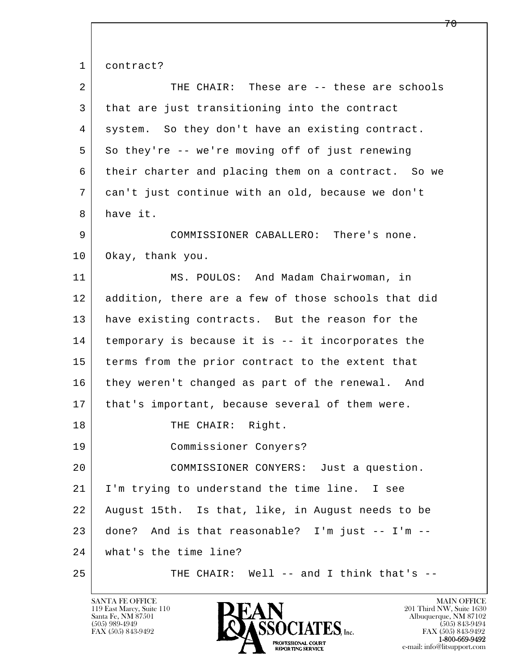1 contract?

| 2  | THE CHAIR: These are -- these are schools           |
|----|-----------------------------------------------------|
| 3  | that are just transitioning into the contract       |
| 4  | system. So they don't have an existing contract.    |
| 5  | So they're -- we're moving off of just renewing     |
| 6  | their charter and placing them on a contract. So we |
| 7  | can't just continue with an old, because we don't   |
| 8  | have it.                                            |
| 9  | COMMISSIONER CABALLERO: There's none.               |
| 10 | Okay, thank you.                                    |
| 11 | MS. POULOS: And Madam Chairwoman, in                |
| 12 | addition, there are a few of those schools that did |
| 13 | have existing contracts. But the reason for the     |
| 14 | temporary is because it is -- it incorporates the   |
| 15 | terms from the prior contract to the extent that    |
| 16 | they weren't changed as part of the renewal. And    |
| 17 | that's important, because several of them were.     |
| 18 | THE CHAIR: Right.                                   |
| 19 | Commissioner Conyers?                               |
| 20 | COMMISSIONER CONYERS: Just a question.              |
| 21 | I'm trying to understand the time line. I see       |
| 22 | August 15th. Is that, like, in August needs to be   |
| 23 | And is that reasonable? I'm just -- I'm --<br>done? |
| 24 | what's the time line?                               |
| 25 | THE CHAIR: Well -- and I think that's --            |

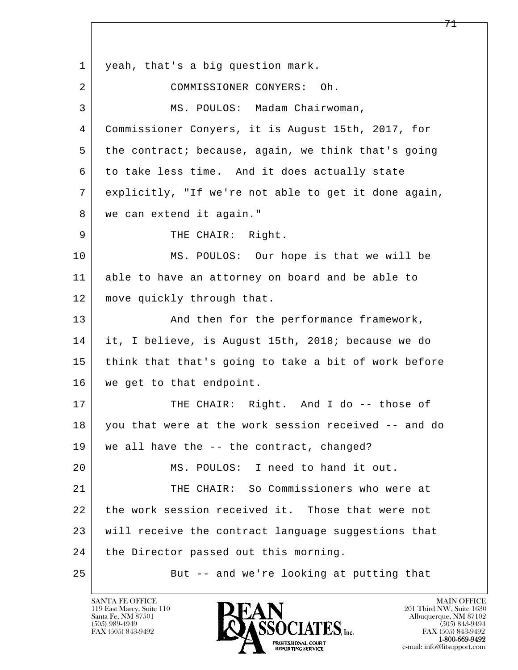l  $\overline{\phantom{a}}$ 1 yeah, that's a big question mark. 2 COMMISSIONER CONYERS: Oh. 3 | MS. POULOS: Madam Chairwoman, 4 Commissioner Conyers, it is August 15th, 2017, for 5 the contract; because, again, we think that's going 6 to take less time. And it does actually state 7 explicitly, "If we're not able to get it done again, 8 | we can extend it again." 9 | THE CHAIR: Right. 10 MS. POULOS: Our hope is that we will be 11 able to have an attorney on board and be able to 12 move quickly through that. 13 | And then for the performance framework, 14 it, I believe, is August 15th, 2018; because we do 15 think that that's going to take a bit of work before 16 we get to that endpoint. 17 | THE CHAIR: Right. And I do -- those of 18 you that were at the work session received -- and do 19 we all have the -- the contract, changed? 20 MS. POULOS: I need to hand it out. 21 THE CHAIR: So Commissioners who were at 22 the work session received it. Those that were not 23 will receive the contract language suggestions that 24 | the Director passed out this morning. 25 But -- and we're looking at putting that

119 East Marcy, Suite 110<br>Santa Fe, NM 87501

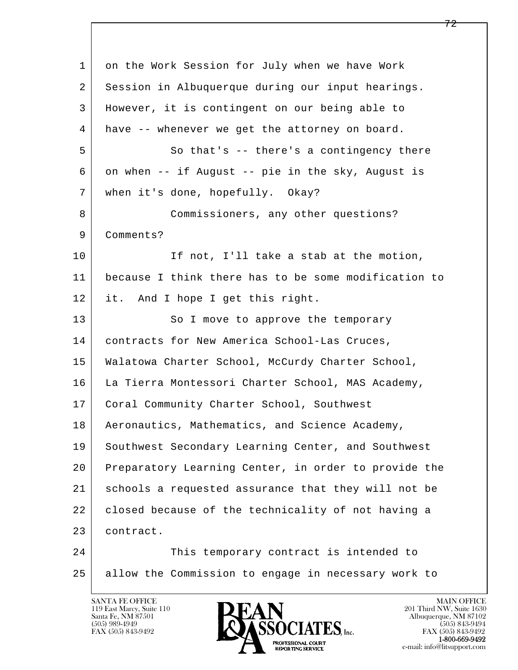l  $\overline{\phantom{a}}$  1 on the Work Session for July when we have Work 2 Session in Albuquerque during our input hearings. 3 However, it is contingent on our being able to 4 have -- whenever we get the attorney on board. 5 So that's -- there's a contingency there 6 on when -- if August -- pie in the sky, August is 7 when it's done, hopefully. Okay? 8 Commissioners, any other questions? 9 | Comments? 10 If not, I'll take a stab at the motion, 11 because I think there has to be some modification to 12 it. And I hope I get this right. 13 So I move to approve the temporary 14 contracts for New America School-Las Cruces, 15 Walatowa Charter School, McCurdy Charter School, 16 La Tierra Montessori Charter School, MAS Academy, 17 | Coral Community Charter School, Southwest 18 | Aeronautics, Mathematics, and Science Academy, 19 Southwest Secondary Learning Center, and Southwest 20 Preparatory Learning Center, in order to provide the 21 schools a requested assurance that they will not be 22 closed because of the technicality of not having a 23 contract. 24 This temporary contract is intended to 25 allow the Commission to engage in necessary work to

119 East Marcy, Suite 110<br>Santa Fe, NM 87501

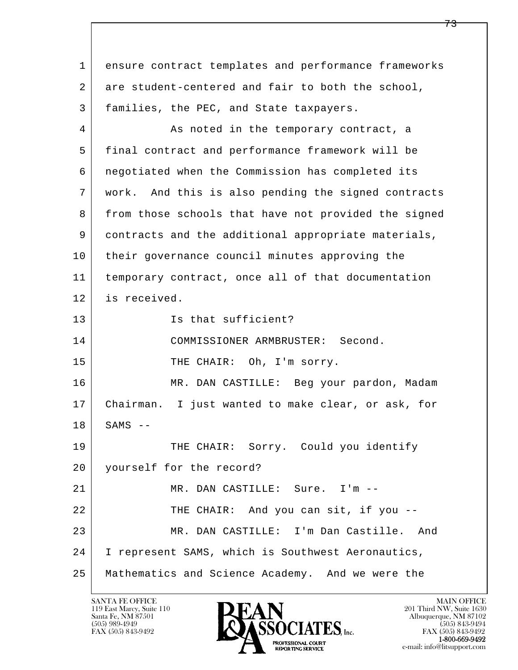l  $\overline{\phantom{a}}$  1 ensure contract templates and performance frameworks 2 are student-centered and fair to both the school, 3 families, the PEC, and State taxpayers. 4 As noted in the temporary contract, a 5 final contract and performance framework will be 6 negotiated when the Commission has completed its 7 work. And this is also pending the signed contracts 8 from those schools that have not provided the signed 9 contracts and the additional appropriate materials, 10 their governance council minutes approving the 11 temporary contract, once all of that documentation 12 is received. 13 Is that sufficient? 14 COMMISSIONER ARMBRUSTER: Second. 15 THE CHAIR: Oh, I'm sorry. 16 MR. DAN CASTILLE: Beg your pardon, Madam 17 Chairman. I just wanted to make clear, or ask, for  $18$  SAMS  $--$ 19 THE CHAIR: Sorry. Could you identify 20 yourself for the record? 21 | MR. DAN CASTILLE: Sure. I'm --22 THE CHAIR: And you can sit, if you -- 23 MR. DAN CASTILLE: I'm Dan Castille. And 24 I represent SAMS, which is Southwest Aeronautics, 25 Mathematics and Science Academy. And we were the

119 East Marcy, Suite 110<br>Santa Fe, NM 87501

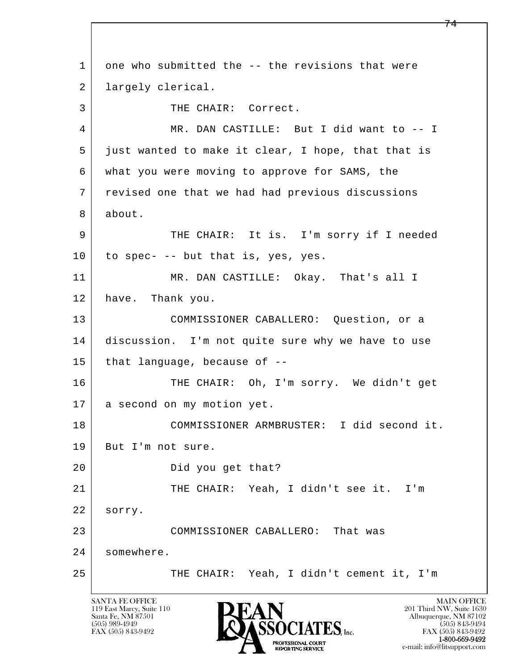l  $\overline{\phantom{a}}$ 1 one who submitted the -- the revisions that were 2 largely clerical. 3 | THE CHAIR: Correct. 4 | MR. DAN CASTILLE: But I did want to -- I 5 just wanted to make it clear, I hope, that that is 6 what you were moving to approve for SAMS, the 7 revised one that we had had previous discussions 8 about. 9 THE CHAIR: It is. I'm sorry if I needed  $10$  to spec- -- but that is, yes, yes. 11 MR. DAN CASTILLE: Okay. That's all I 12 have. Thank you. 13 COMMISSIONER CABALLERO: Question, or a 14 discussion. I'm not quite sure why we have to use  $15$  that language, because of  $-$ 16 THE CHAIR: Oh, I'm sorry. We didn't get 17 | a second on my motion yet. 18 COMMISSIONER ARMBRUSTER: I did second it. 19 But I'm not sure. 20 Did you get that? 21 | THE CHAIR: Yeah, I didn't see it. I'm 22 sorry. 23 COMMISSIONER CABALLERO: That was 24 somewhere. 25 THE CHAIR: Yeah, I didn't cement it, I'm

119 East Marcy, Suite 110<br>Santa Fe, NM 87501

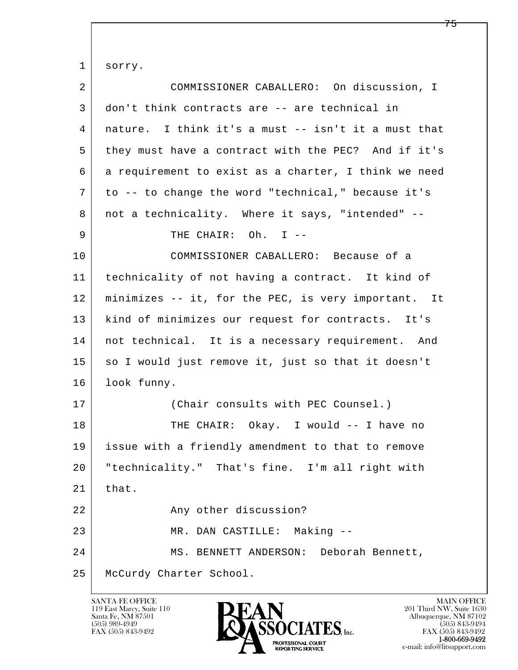l  $\overline{\phantom{a}}$  1 sorry. 2 COMMISSIONER CABALLERO: On discussion, I 3 don't think contracts are -- are technical in 4 nature. I think it's a must -- isn't it a must that 5 they must have a contract with the PEC? And if it's 6 a requirement to exist as a charter, I think we need 7 to -- to change the word "technical," because it's 8 | not a technicality. Where it says, "intended" --9 | THE CHAIR: Oh. I -- 10 COMMISSIONER CABALLERO: Because of a 11 technicality of not having a contract. It kind of 12 minimizes -- it, for the PEC, is very important. It 13 | kind of minimizes our request for contracts. It's 14 | not technical. It is a necessary requirement. And 15 so I would just remove it, just so that it doesn't 16 look funny. 17 | (Chair consults with PEC Counsel.) 18 THE CHAIR: Okay. I would -- I have no 19 issue with a friendly amendment to that to remove 20 "technicality." That's fine. I'm all right with  $21$  that. 22 Any other discussion? 23 MR. DAN CASTILLE: Making -- 24 MS. BENNETT ANDERSON: Deborah Bennett, 25 McCurdy Charter School.

119 East Marcy, Suite 110<br>Santa Fe, NM 87501



FAX (505) 843-9492<br>1-800-669-9492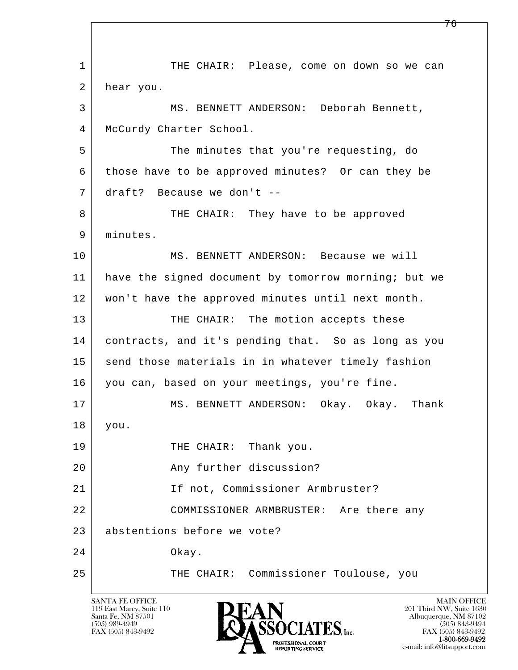l  $\overline{\phantom{a}}$ 1 THE CHAIR: Please, come on down so we can 2 hear you. 3 MS. BENNETT ANDERSON: Deborah Bennett, 4 | McCurdy Charter School. 5 The minutes that you're requesting, do 6 those have to be approved minutes? Or can they be 7 draft? Because we don't -- 8 THE CHAIR: They have to be approved 9 | minutes. 10 MS. BENNETT ANDERSON: Because we will 11 | have the signed document by tomorrow morning; but we 12 won't have the approved minutes until next month. 13 THE CHAIR: The motion accepts these 14 contracts, and it's pending that. So as long as you 15 send those materials in in whatever timely fashion 16 you can, based on your meetings, you're fine. 17 | MS. BENNETT ANDERSON: Okay. Okay. Thank 18 you. 19 THE CHAIR: Thank you. 20 Any further discussion? 21 | Tf not, Commissioner Armbruster? 22 COMMISSIONER ARMBRUSTER: Are there any 23 abstentions before we vote? 24 Okay. 25 | THE CHAIR: Commissioner Toulouse, you

119 East Marcy, Suite 110<br>Santa Fe, NM 87501

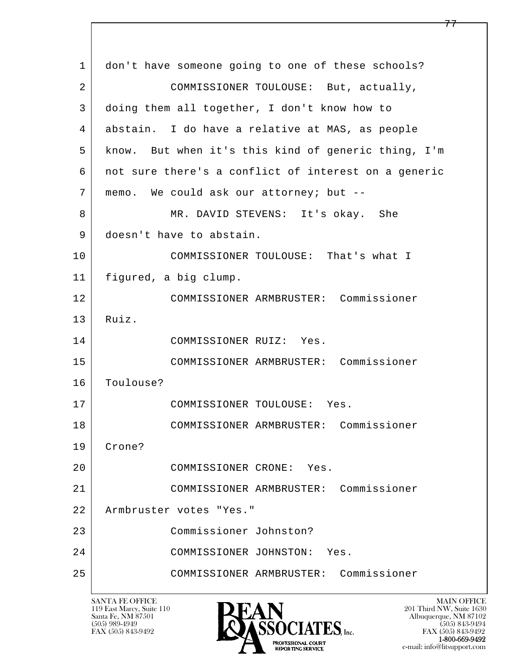l  $\overline{\phantom{a}}$  1 don't have someone going to one of these schools? 2 COMMISSIONER TOULOUSE: But, actually, 3 doing them all together, I don't know how to 4 abstain. I do have a relative at MAS, as people 5 know. But when it's this kind of generic thing, I'm 6 not sure there's a conflict of interest on a generic 7 memo. We could ask our attorney; but -- 8 | MR. DAVID STEVENS: It's okay. She 9 doesn't have to abstain. 10 COMMISSIONER TOULOUSE: That's what I 11 figured, a big clump. 12 COMMISSIONER ARMBRUSTER: Commissioner 13 Ruiz. 14 COMMISSIONER RUIZ: Yes. 15 COMMISSIONER ARMBRUSTER: Commissioner 16 Toulouse? 17 COMMISSIONER TOULOUSE: Yes. 18 COMMISSIONER ARMBRUSTER: Commissioner 19 Crone? 20 COMMISSIONER CRONE: Yes. 21 COMMISSIONER ARMBRUSTER: Commissioner 22 Armbruster votes "Yes." 23 Commissioner Johnston? 24 COMMISSIONER JOHNSTON: Yes. 25 COMMISSIONER ARMBRUSTER: Commissioner

119 East Marcy, Suite 110<br>Santa Fe, NM 87501

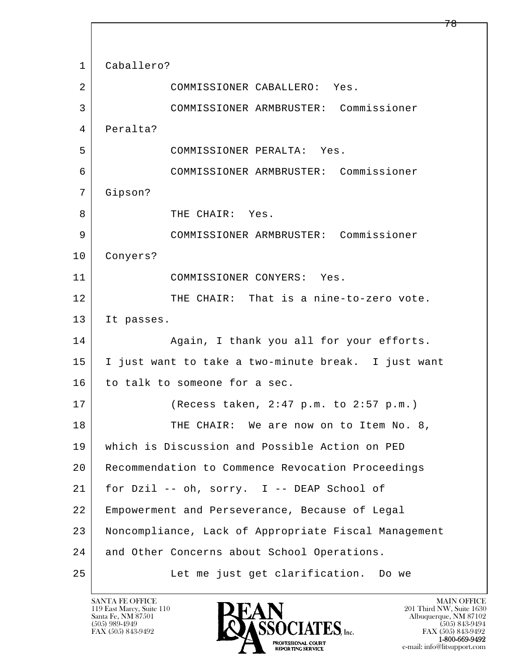l  $\overline{\phantom{a}}$  1 Caballero? 2 COMMISSIONER CABALLERO: Yes. 3 COMMISSIONER ARMBRUSTER: Commissioner 4 Peralta? 5 COMMISSIONER PERALTA: Yes. 6 COMMISSIONER ARMBRUSTER: Commissioner 7 Gipson? 8 THE CHAIR: Yes. 9 COMMISSIONER ARMBRUSTER: Commissioner 10 Conyers? 11 COMMISSIONER CONYERS: Yes. 12 THE CHAIR: That is a nine-to-zero vote. 13 It passes. 14 Again, I thank you all for your efforts. 15 I just want to take a two-minute break. I just want 16 to talk to someone for a sec. 17 (Recess taken, 2:47 p.m. to 2:57 p.m.) 18 | THE CHAIR: We are now on to Item No. 8, 19 which is Discussion and Possible Action on PED 20 Recommendation to Commence Revocation Proceedings 21 for Dzil -- oh, sorry. I -- DEAP School of 22 Empowerment and Perseverance, Because of Legal 23 Noncompliance, Lack of Appropriate Fiscal Management 24 and Other Concerns about School Operations. 25 | Let me just get clarification. Do we

119 East Marcy, Suite 110<br>Santa Fe, NM 87501

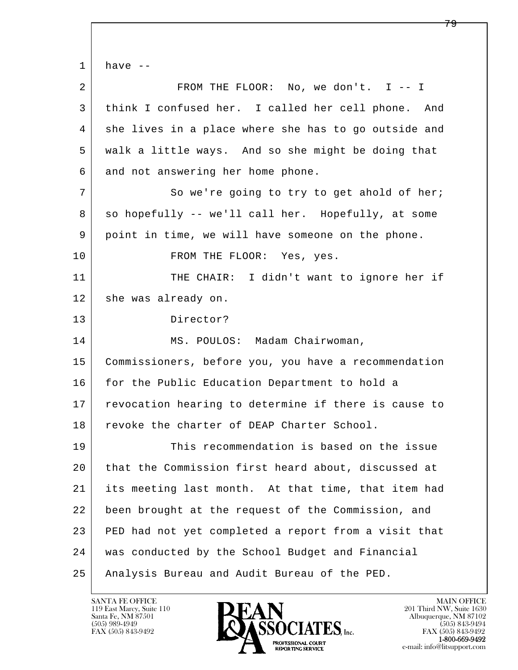l  $\overline{\phantom{a}}$  $1$  have  $-$ 2 FROM THE FLOOR: No, we don't. I -- I 3 think I confused her. I called her cell phone. And 4 she lives in a place where she has to go outside and 5 walk a little ways. And so she might be doing that 6 and not answering her home phone. 7 So we're going to try to get ahold of her; 8 so hopefully -- we'll call her. Hopefully, at some 9 point in time, we will have someone on the phone. 10 FROM THE FLOOR: Yes, yes. 11 THE CHAIR: I didn't want to ignore her if 12 she was already on. 13 Director? 14 | MS. POULOS: Madam Chairwoman, 15 Commissioners, before you, you have a recommendation 16 for the Public Education Department to hold a 17 | revocation hearing to determine if there is cause to 18 revoke the charter of DEAP Charter School. 19 This recommendation is based on the issue 20 that the Commission first heard about, discussed at 21 its meeting last month. At that time, that item had 22 been brought at the request of the Commission, and 23 PED had not yet completed a report from a visit that 24 was conducted by the School Budget and Financial 25 Analysis Bureau and Audit Bureau of the PED.

119 East Marcy, Suite 110<br>Santa Fe, NM 87501

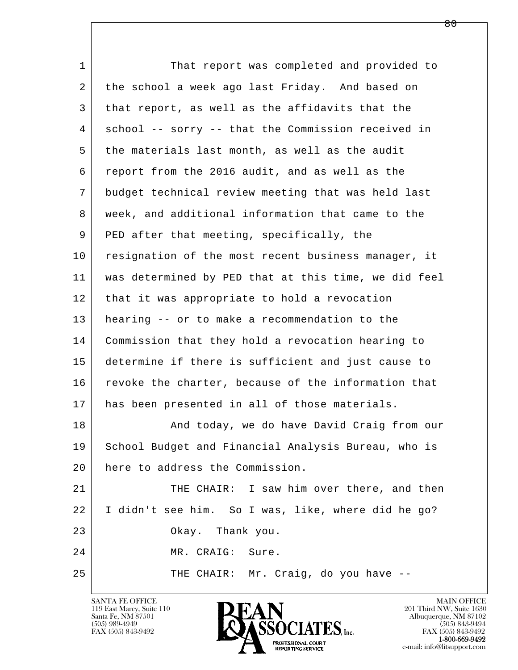l  $\overline{\phantom{a}}$ 1 That report was completed and provided to 2 the school a week ago last Friday. And based on 3 that report, as well as the affidavits that the 4 school -- sorry -- that the Commission received in 5 the materials last month, as well as the audit 6 report from the 2016 audit, and as well as the 7 budget technical review meeting that was held last 8 | week, and additional information that came to the 9 PED after that meeting, specifically, the 10 resignation of the most recent business manager, it 11 was determined by PED that at this time, we did feel 12 that it was appropriate to hold a revocation 13 hearing -- or to make a recommendation to the 14 Commission that they hold a revocation hearing to 15 determine if there is sufficient and just cause to 16 revoke the charter, because of the information that 17 | has been presented in all of those materials. 18 | The Rand today, we do have David Craig from our 19 School Budget and Financial Analysis Bureau, who is 20 here to address the Commission. 21 THE CHAIR: I saw him over there, and then 22 I didn't see him. So I was, like, where did he go? 23 Okay. Thank you. 24 MR. CRAIG: Sure. 25 THE CHAIR: Mr. Craig, do you have --

119 East Marcy, Suite 110<br>Santa Fe, NM 87501

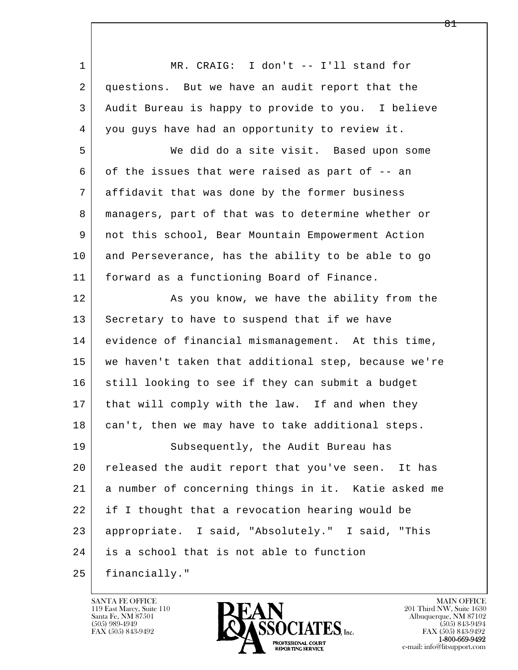l  $\overline{\phantom{a}}$ 1 MR. CRAIG: I don't -- I'll stand for 2 questions. But we have an audit report that the 3 Audit Bureau is happy to provide to you. I believe 4 you guys have had an opportunity to review it. 5 We did do a site visit. Based upon some 6 of the issues that were raised as part of -- an 7 affidavit that was done by the former business 8 managers, part of that was to determine whether or 9 not this school, Bear Mountain Empowerment Action 10 and Perseverance, has the ability to be able to go 11 forward as a functioning Board of Finance. 12 As you know, we have the ability from the 13 Secretary to have to suspend that if we have 14 evidence of financial mismanagement. At this time, 15 we haven't taken that additional step, because we're 16 still looking to see if they can submit a budget 17 | that will comply with the law. If and when they 18 can't, then we may have to take additional steps. 19 Subsequently, the Audit Bureau has 20 released the audit report that you've seen. It has 21 a number of concerning things in it. Katie asked me 22 if I thought that a revocation hearing would be 23 appropriate. I said, "Absolutely." I said, "This 24 is a school that is not able to function 25 financially."

119 East Marcy, Suite 110<br>Santa Fe, NM 87501

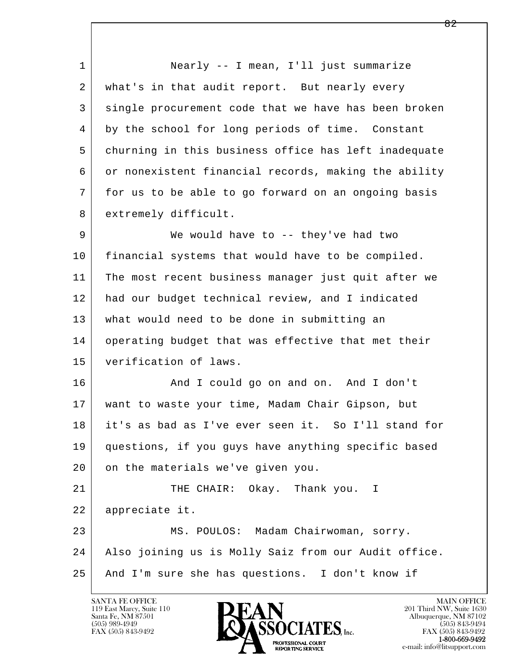l  $\overline{\phantom{a}}$  1 Nearly -- I mean, I'll just summarize 2 what's in that audit report. But nearly every 3 single procurement code that we have has been broken 4 by the school for long periods of time. Constant 5 churning in this business office has left inadequate 6 or nonexistent financial records, making the ability 7 for us to be able to go forward on an ongoing basis 8 extremely difficult. 9 We would have to -- they've had two 10 financial systems that would have to be compiled. 11 The most recent business manager just quit after we 12 had our budget technical review, and I indicated 13 what would need to be done in submitting an 14 operating budget that was effective that met their 15 verification of laws. 16 And I could go on and on. And I don't 17 want to waste your time, Madam Chair Gipson, but 18 it's as bad as I've ever seen it. So I'll stand for 19 questions, if you guys have anything specific based 20 on the materials we've given you. 21 THE CHAIR: Okay. Thank you. I 22 appreciate it. 23 MS. POULOS: Madam Chairwoman, sorry. 24 Also joining us is Molly Saiz from our Audit office. 25 And I'm sure she has questions. I don't know if

119 East Marcy, Suite 110<br>Santa Fe, NM 87501

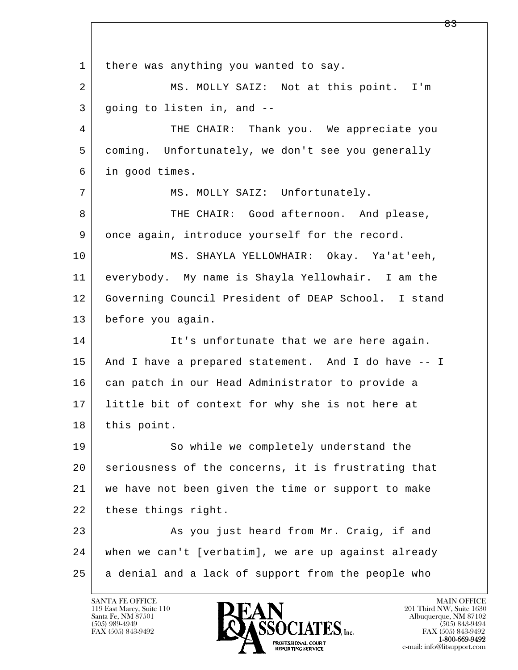l  $\overline{\phantom{a}}$ 1 there was anything you wanted to say. 2 MS. MOLLY SAIZ: Not at this point. I'm 3 going to listen in, and -- 4 THE CHAIR: Thank you. We appreciate you 5 coming. Unfortunately, we don't see you generally 6 in good times. 7 | MS. MOLLY SAIZ: Unfortunately. 8 THE CHAIR: Good afternoon. And please, 9 once again, introduce yourself for the record. 10 MS. SHAYLA YELLOWHAIR: Okay. Ya'at'eeh, 11 everybody. My name is Shayla Yellowhair. I am the 12 Governing Council President of DEAP School. I stand 13 before you again. 14 It's unfortunate that we are here again. 15 And I have a prepared statement. And I do have -- I 16 can patch in our Head Administrator to provide a 17 little bit of context for why she is not here at 18 this point. 19 So while we completely understand the 20 seriousness of the concerns, it is frustrating that 21 we have not been given the time or support to make 22 these things right. 23 As you just heard from Mr. Craig, if and 24 when we can't [verbatim], we are up against already 25 a denial and a lack of support from the people who

119 East Marcy, Suite 110<br>Santa Fe, NM 87501

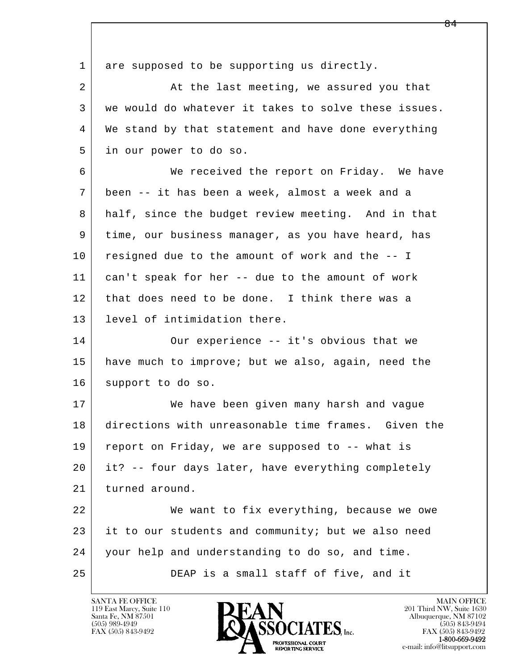l  $\overline{\phantom{a}}$ 1 are supposed to be supporting us directly. 2 At the last meeting, we assured you that 3 we would do whatever it takes to solve these issues. 4 We stand by that statement and have done everything 5 in our power to do so. 6 We received the report on Friday. We have 7 been -- it has been a week, almost a week and a 8 half, since the budget review meeting. And in that 9 time, our business manager, as you have heard, has 10 resigned due to the amount of work and the -- I 11 can't speak for her -- due to the amount of work 12 that does need to be done. I think there was a 13 level of intimidation there. 14 Our experience -- it's obvious that we 15 have much to improve; but we also, again, need the 16 support to do so. 17 We have been given many harsh and vague 18 directions with unreasonable time frames. Given the 19 report on Friday, we are supposed to -- what is 20 it? -- four days later, have everything completely 21 turned around. 22 We want to fix everything, because we owe 23 it to our students and community; but we also need 24 your help and understanding to do so, and time. 25 DEAP is a small staff of five, and it

119 East Marcy, Suite 110<br>Santa Fe, NM 87501

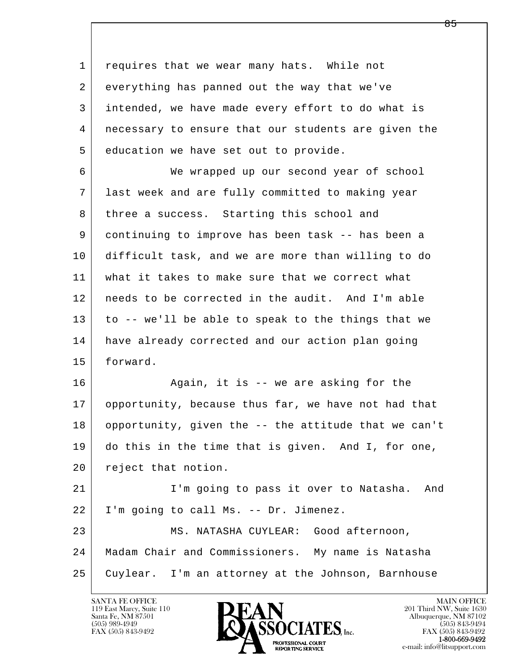l  $\overline{\phantom{a}}$  1 requires that we wear many hats. While not 2 everything has panned out the way that we've 3 intended, we have made every effort to do what is 4 necessary to ensure that our students are given the 5 education we have set out to provide. 6 We wrapped up our second year of school 7 last week and are fully committed to making year 8 | three a success. Starting this school and 9 continuing to improve has been task -- has been a 10 difficult task, and we are more than willing to do 11 what it takes to make sure that we correct what 12 needs to be corrected in the audit. And I'm able 13 to -- we'll be able to speak to the things that we 14 have already corrected and our action plan going 15 forward. 16 Again, it is -- we are asking for the 17 opportunity, because thus far, we have not had that 18 opportunity, given the -- the attitude that we can't 19 do this in the time that is given. And I, for one, 20 reject that notion. 21 I'm going to pass it over to Natasha. And 22 I'm going to call Ms. -- Dr. Jimenez. 23 MS. NATASHA CUYLEAR: Good afternoon, 24 Madam Chair and Commissioners. My name is Natasha

25 Cuylear. I'm an attorney at the Johnson, Barnhouse

119 East Marcy, Suite 110<br>Santa Fe, NM 87501



FAX (505) 843-9492<br>1-800-669-9492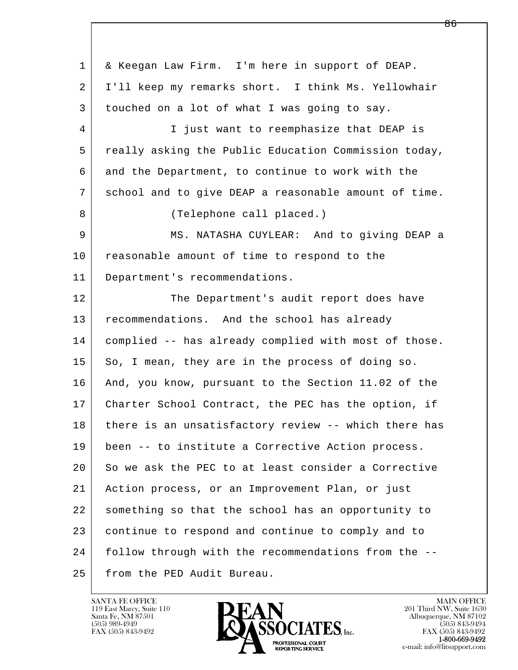l  $\overline{\phantom{a}}$  1 & Keegan Law Firm. I'm here in support of DEAP. 2 I'll keep my remarks short. I think Ms. Yellowhair 3 touched on a lot of what I was going to say. 4 I just want to reemphasize that DEAP is 5 really asking the Public Education Commission today, 6 and the Department, to continue to work with the 7 school and to give DEAP a reasonable amount of time. 8 | (Telephone call placed.) 9 MS. NATASHA CUYLEAR: And to giving DEAP a 10 reasonable amount of time to respond to the 11 Department's recommendations. 12 The Department's audit report does have 13 recommendations. And the school has already 14 complied -- has already complied with most of those. 15 So, I mean, they are in the process of doing so. 16 And, you know, pursuant to the Section 11.02 of the 17 Charter School Contract, the PEC has the option, if 18 there is an unsatisfactory review -- which there has 19 been -- to institute a Corrective Action process. 20 So we ask the PEC to at least consider a Corrective 21 Action process, or an Improvement Plan, or just 22 something so that the school has an opportunity to 23 continue to respond and continue to comply and to 24 follow through with the recommendations from the -- 25 from the PED Audit Bureau.

119 East Marcy, Suite 110<br>Santa Fe, NM 87501

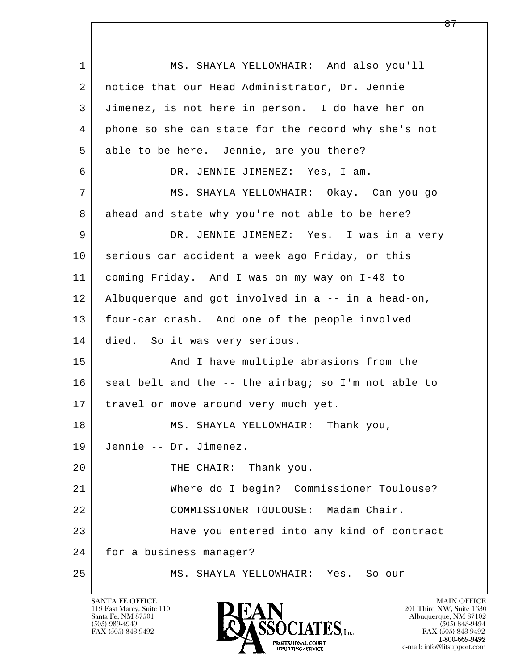l  $\overline{\phantom{a}}$  1 MS. SHAYLA YELLOWHAIR: And also you'll 2 notice that our Head Administrator, Dr. Jennie 3 Jimenez, is not here in person. I do have her on 4 phone so she can state for the record why she's not 5 able to be here. Jennie, are you there? 6 DR. JENNIE JIMENEZ: Yes, I am. 7 MS. SHAYLA YELLOWHAIR: Okay. Can you go 8 ahead and state why you're not able to be here? 9 DR. JENNIE JIMENEZ: Yes. I was in a very 10 serious car accident a week ago Friday, or this 11 coming Friday. And I was on my way on I-40 to 12 Albuquerque and got involved in a -- in a head-on, 13 four-car crash. And one of the people involved 14 died. So it was very serious. 15 | Thave multiple abrasions from the  $16$  seat belt and the -- the airbag; so I'm not able to 17 | travel or move around very much yet. 18 MS. SHAYLA YELLOWHAIR: Thank you, 19 Jennie -- Dr. Jimenez. 20 THE CHAIR: Thank you. 21 Where do I begin? Commissioner Toulouse? 22 COMMISSIONER TOULOUSE: Madam Chair. 23 Have you entered into any kind of contract 24 for a business manager? 25 MS. SHAYLA YELLOWHAIR: Yes. So our

119 East Marcy, Suite 110<br>Santa Fe, NM 87501

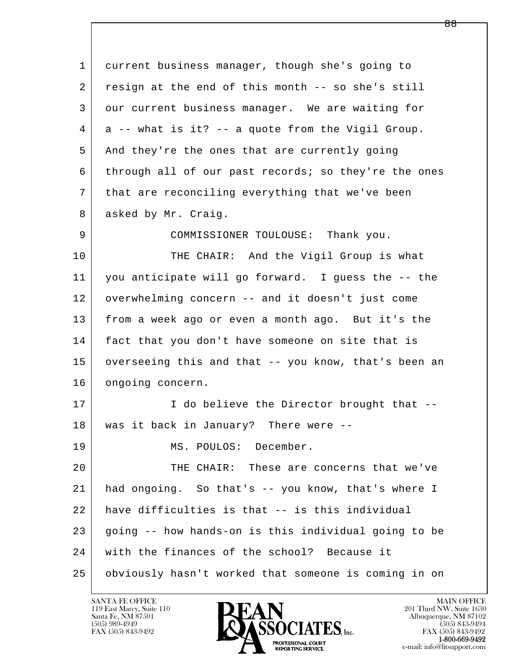| 1  | current business manager, though she's going to      |
|----|------------------------------------------------------|
| 2  | resign at the end of this month -- so she's still    |
| 3  | our current business manager. We are waiting for     |
| 4  | a -- what is it? -- a quote from the Vigil Group.    |
| 5  | And they're the ones that are currently going        |
| 6  | through all of our past records; so they're the ones |
| 7  | that are reconciling everything that we've been      |
| 8  | asked by Mr. Craig.                                  |
| 9  | COMMISSIONER TOULOUSE: Thank you.                    |
| 10 | THE CHAIR: And the Vigil Group is what               |
| 11 | you anticipate will go forward. I guess the -- the   |
| 12 | overwhelming concern -- and it doesn't just come     |
| 13 | from a week ago or even a month ago. But it's the    |
| 14 | fact that you don't have someone on site that is     |
| 15 | overseeing this and that -- you know, that's been an |
| 16 | ongoing concern.                                     |
| 17 | I do believe the Director brought that --            |
| 18 | was it back in January? There were                   |
| 19 | MS. POULOS: December.                                |
| 20 | THE CHAIR: These are concerns that we've             |
| 21 | had ongoing. So that's -- you know, that's where I   |
| 22 | have difficulties is that -- is this individual      |
| 23 | going -- how hands-on is this individual going to be |
| 24 | with the finances of the school? Because it          |
| 25 | obviously hasn't worked that someone is coming in on |

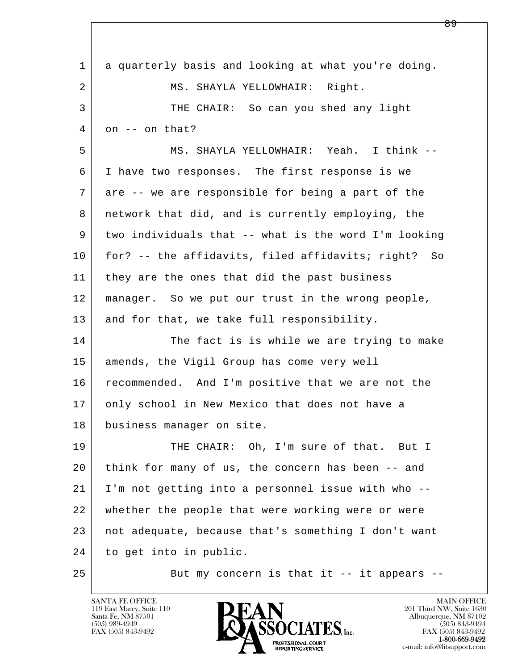| $\mathbf 1$    | a quarterly basis and looking at what you're doing.    |
|----------------|--------------------------------------------------------|
| $\overline{a}$ | MS. SHAYLA YELLOWHAIR: Right.                          |
| 3              | THE CHAIR: So can you shed any light                   |
| 4              | on -- on that?                                         |
| 5              | MS. SHAYLA YELLOWHAIR: Yeah. I think --                |
| 6              | I have two responses. The first response is we         |
| 7              | are -- we are responsible for being a part of the      |
| 8              | network that did, and is currently employing, the      |
| 9              | two individuals that -- what is the word I'm looking   |
| 10             | for? -- the affidavits, filed affidavits; right?<br>So |
| 11             | they are the ones that did the past business           |
| 12             | manager. So we put our trust in the wrong people,      |
| 13             | and for that, we take full responsibility.             |
| 14             | The fact is is while we are trying to make             |
| 15             | amends, the Vigil Group has come very well             |
| 16             | recommended. And I'm positive that we are not the      |
| 17             | only school in New Mexico that does not have a         |
| 18             | business manager on site.                              |
| 19             | THE CHAIR: Oh, I'm sure of that. But I                 |
| 20             | think for many of us, the concern has been -- and      |
| 21             | I'm not getting into a personnel issue with who --     |
| 22             | whether the people that were working were or were      |
| 23             | not adequate, because that's something I don't want    |
| 24             | to get into in public.                                 |
| 25             | But my concern is that it -- it appears --             |

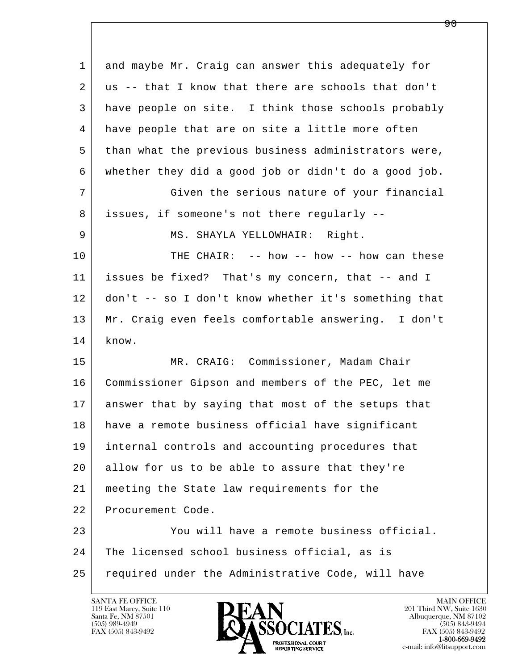| 1  | and maybe Mr. Craig can answer this adequately for   |
|----|------------------------------------------------------|
| 2  | us -- that I know that there are schools that don't  |
| 3  | have people on site. I think those schools probably  |
| 4  | have people that are on site a little more often     |
| 5  | than what the previous business administrators were, |
| 6  | whether they did a good job or didn't do a good job. |
| 7  | Given the serious nature of your financial           |
| 8  | issues, if someone's not there regularly --          |
| 9  | MS. SHAYLA YELLOWHAIR: Right.                        |
| 10 | THE CHAIR: -- how -- how -- how can these            |
| 11 | issues be fixed? That's my concern, that -- and I    |
| 12 | don't -- so I don't know whether it's something that |
| 13 | Mr. Craig even feels comfortable answering. I don't  |
| 14 | know.                                                |
| 15 | MR. CRAIG: Commissioner, Madam Chair                 |
| 16 | Commissioner Gipson and members of the PEC, let me   |
| 17 | answer that by saying that most of the setups that   |
| 18 | have a remote business official have significant     |
| 19 | internal controls and accounting procedures that     |
| 20 | allow for us to be able to assure that they're       |
| 21 | meeting the State law requirements for the           |
| 22 | Procurement Code.                                    |
| 23 | You will have a remote business official.            |
| 24 | The licensed school business official, as is         |
| 25 | required under the Administrative Code, will have    |

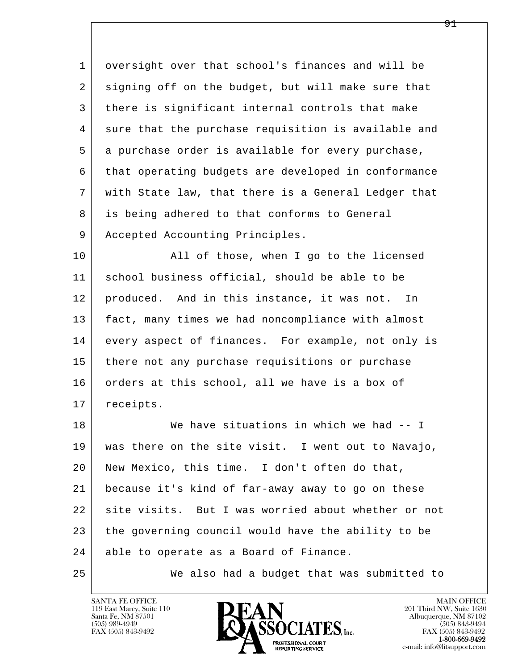1 oversight over that school's finances and will be 2 signing off on the budget, but will make sure that 3 there is significant internal controls that make 4 sure that the purchase requisition is available and 5 a purchase order is available for every purchase, 6 that operating budgets are developed in conformance 7 with State law, that there is a General Ledger that 8 is being adhered to that conforms to General 9 | Accepted Accounting Principles.

10 | All of those, when I go to the licensed 11 | school business official, should be able to be 12 produced. And in this instance, it was not. In 13 fact, many times we had noncompliance with almost 14 every aspect of finances. For example, not only is 15 there not any purchase requisitions or purchase 16 orders at this school, all we have is a box of 17 | receipts.

l  $\overline{\phantom{a}}$ 18 We have situations in which we had -- I 19 was there on the site visit. I went out to Navajo, 20 New Mexico, this time. I don't often do that, 21 because it's kind of far-away away to go on these 22 site visits. But I was worried about whether or not 23 the governing council would have the ability to be 24 able to operate as a Board of Finance.

25 We also had a budget that was submitted to

119 East Marcy, Suite 110<br>Santa Fe, NM 87501

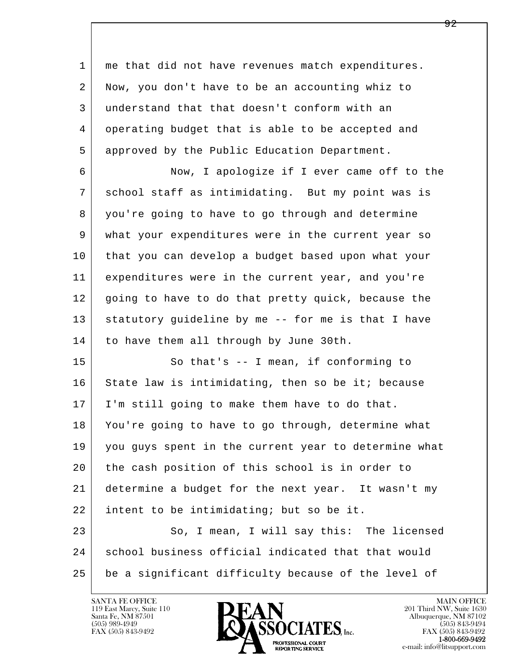l  $\overline{\phantom{a}}$  1 me that did not have revenues match expenditures. 2 Now, you don't have to be an accounting whiz to 3 understand that that doesn't conform with an 4 operating budget that is able to be accepted and 5 approved by the Public Education Department. 6 Now, I apologize if I ever came off to the 7 school staff as intimidating. But my point was is 8 you're going to have to go through and determine 9 what your expenditures were in the current year so 10 that you can develop a budget based upon what your 11 expenditures were in the current year, and you're 12 going to have to do that pretty quick, because the 13 statutory guideline by me -- for me is that I have 14 to have them all through by June 30th. 15 So that's -- I mean, if conforming to 16 State law is intimidating, then so be it; because 17 I'm still going to make them have to do that. 18 You're going to have to go through, determine what 19 you guys spent in the current year to determine what 20 the cash position of this school is in order to 21 determine a budget for the next year. It wasn't my 22 intent to be intimidating; but so be it. 23 So, I mean, I will say this: The licensed 24 school business official indicated that that would 25 be a significant difficulty because of the level of

119 East Marcy, Suite 110<br>Santa Fe, NM 87501

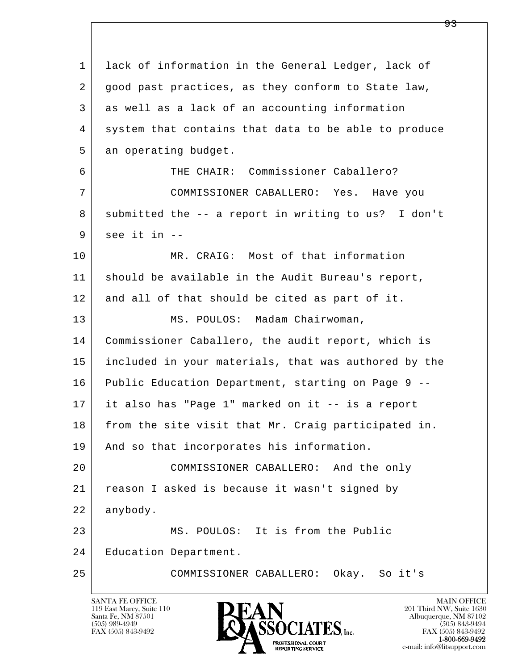l  $\overline{\phantom{a}}$  1 lack of information in the General Ledger, lack of 2 | good past practices, as they conform to State law, 3 as well as a lack of an accounting information 4 system that contains that data to be able to produce 5 an operating budget. 6 THE CHAIR: Commissioner Caballero? 7 COMMISSIONER CABALLERO: Yes. Have you 8 submitted the -- a report in writing to us? I don't  $9$  see it in  $-$ 10 MR. CRAIG: Most of that information 11 should be available in the Audit Bureau's report, 12 and all of that should be cited as part of it. 13 MS. POULOS: Madam Chairwoman, 14 Commissioner Caballero, the audit report, which is 15 included in your materials, that was authored by the 16 Public Education Department, starting on Page 9 -- 17 it also has "Page 1" marked on it -- is a report 18 from the site visit that Mr. Craig participated in. 19 | And so that incorporates his information. 20 COMMISSIONER CABALLERO: And the only 21 reason I asked is because it wasn't signed by 22 anybody. 23 MS. POULOS: It is from the Public 24 | Education Department. 25 COMMISSIONER CABALLERO: Okay. So it's

119 East Marcy, Suite 110<br>Santa Fe, NM 87501

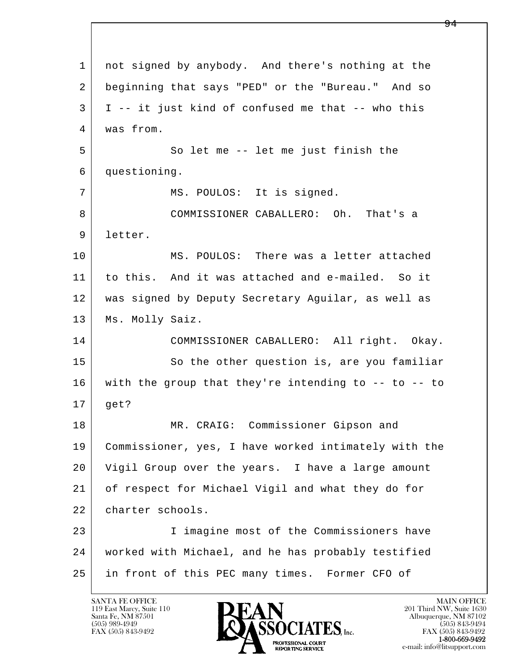l  $\overline{\phantom{a}}$  1 not signed by anybody. And there's nothing at the 2 beginning that says "PED" or the "Bureau." And so  $3$  I -- it just kind of confused me that -- who this 4 was from. 5 So let me -- let me just finish the 6 questioning. 7 | MS. POULOS: It is signed. 8 COMMISSIONER CABALLERO: Oh. That's a 9 letter. 10 MS. POULOS: There was a letter attached 11 to this. And it was attached and e-mailed. So it 12 was signed by Deputy Secretary Aguilar, as well as 13 | Ms. Molly Saiz. 14 COMMISSIONER CABALLERO: All right. Okay. 15 | So the other question is, are you familiar 16 with the group that they're intending to -- to -- to 17 get? 18 | MR. CRAIG: Commissioner Gipson and 19 Commissioner, yes, I have worked intimately with the 20 Vigil Group over the years. I have a large amount 21 of respect for Michael Vigil and what they do for 22 charter schools. 23 | Timagine most of the Commissioners have 24 worked with Michael, and he has probably testified 25 in front of this PEC many times. Former CFO of

119 East Marcy, Suite 110<br>Santa Fe, NM 87501

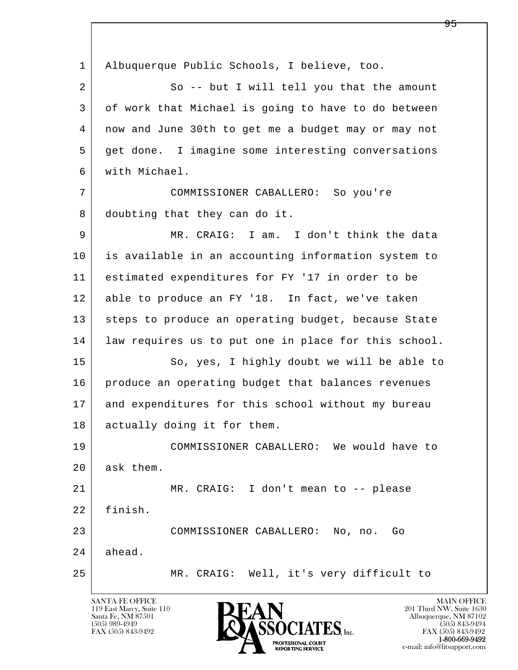l  $\overline{\phantom{a}}$  1 Albuquerque Public Schools, I believe, too. 2 So -- but I will tell you that the amount 3 of work that Michael is going to have to do between 4 now and June 30th to get me a budget may or may not 5 get done. I imagine some interesting conversations 6 with Michael. 7 COMMISSIONER CABALLERO: So you're 8 doubting that they can do it. 9 MR. CRAIG: I am. I don't think the data 10 is available in an accounting information system to 11 estimated expenditures for FY '17 in order to be 12 able to produce an FY '18. In fact, we've taken 13 | steps to produce an operating budget, because State 14 | law requires us to put one in place for this school. 15 | So, yes, I highly doubt we will be able to 16 produce an operating budget that balances revenues 17 and expenditures for this school without my bureau 18 actually doing it for them. 19 COMMISSIONER CABALLERO: We would have to 20 ask them. 21 MR. CRAIG: I don't mean to -- please 22 finish. 23 COMMISSIONER CABALLERO: No, no. Go 24 ahead. 25 MR. CRAIG: Well, it's very difficult to

119 East Marcy, Suite 110<br>Santa Fe, NM 87501

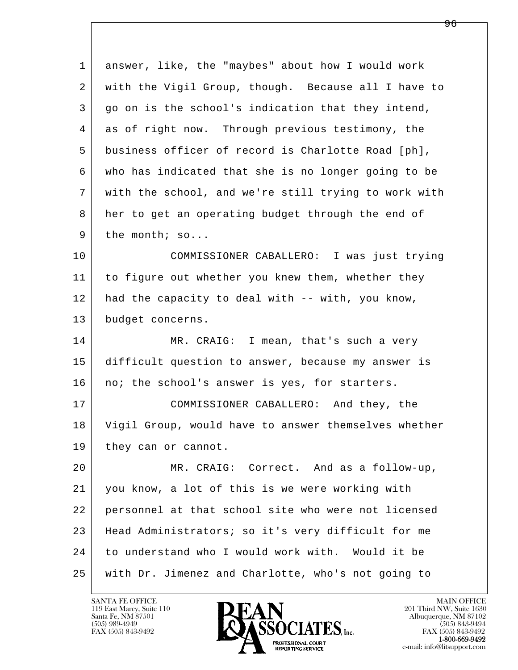| $\mathbf{1}$ | answer, like, the "maybes" about how I would work    |
|--------------|------------------------------------------------------|
| 2            | with the Vigil Group, though. Because all I have to  |
| 3            | go on is the school's indication that they intend,   |
| 4            | as of right now. Through previous testimony, the     |
| 5            | business officer of record is Charlotte Road [ph],   |
| 6            | who has indicated that she is no longer going to be  |
| 7            | with the school, and we're still trying to work with |
| 8            | her to get an operating budget through the end of    |
| 9            | the month; so                                        |
| 10           | COMMISSIONER CABALLERO: I was just trying            |
| 11           | to figure out whether you knew them, whether they    |
| 12           | had the capacity to deal with -- with, you know,     |
| 13           | budget concerns.                                     |
| 14           | MR. CRAIG: I mean, that's such a very                |
| 15           | difficult question to answer, because my answer is   |
| 16           | no; the school's answer is yes, for starters.        |
| 17           | COMMISSIONER CABALLERO: And they, the                |
| 18           | Vigil Group, would have to answer themselves whether |
| 19           | they can or cannot.                                  |
| 20           | MR. CRAIG: Correct. And as a follow-up,              |
| 21           | you know, a lot of this is we were working with      |
| 22           | personnel at that school site who were not licensed  |
| 23           | Head Administrators; so it's very difficult for me   |
| 24           | to understand who I would work with. Would it be     |
| 25           | with Dr. Jimenez and Charlotte, who's not going to   |

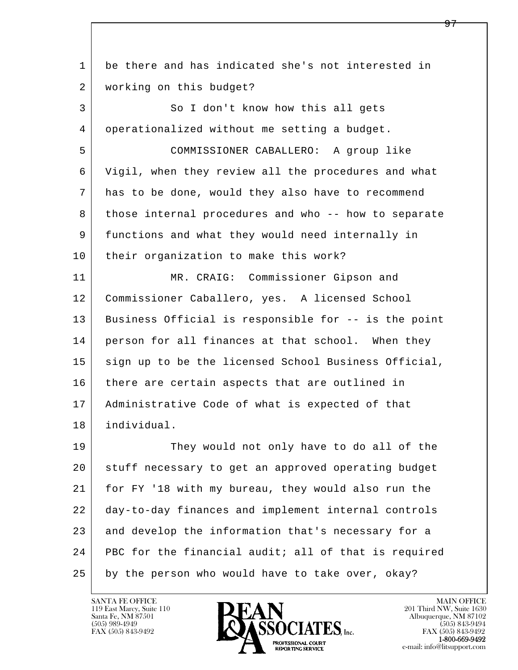l  $\overline{\phantom{a}}$  1 be there and has indicated she's not interested in 2 | working on this budget? 3 So I don't know how this all gets 4 operationalized without me setting a budget. 5 COMMISSIONER CABALLERO: A group like 6 Vigil, when they review all the procedures and what 7 has to be done, would they also have to recommend 8 those internal procedures and who -- how to separate 9 functions and what they would need internally in 10 their organization to make this work? 11 | MR. CRAIG: Commissioner Gipson and 12 Commissioner Caballero, yes. A licensed School 13 Business Official is responsible for -- is the point 14 person for all finances at that school. When they 15 sign up to be the licensed School Business Official, 16 there are certain aspects that are outlined in 17 Administrative Code of what is expected of that 18 individual. 19 They would not only have to do all of the 20 stuff necessary to get an approved operating budget 21 for FY '18 with my bureau, they would also run the 22 day-to-day finances and implement internal controls 23 and develop the information that's necessary for a 24 PBC for the financial audit; all of that is required 25 by the person who would have to take over, okay?

119 East Marcy, Suite 110<br>Santa Fe, NM 87501

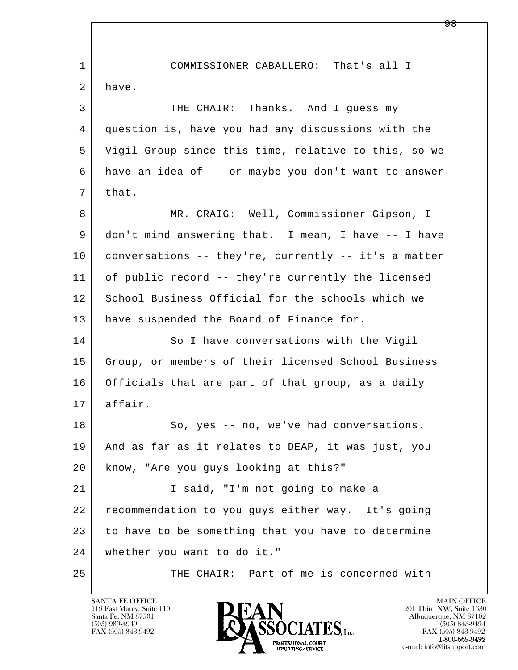l  $\overline{\phantom{a}}$  1 COMMISSIONER CABALLERO: That's all I 2 have. 3 THE CHAIR: Thanks. And I guess my 4 question is, have you had any discussions with the 5 Vigil Group since this time, relative to this, so we 6 have an idea of -- or maybe you don't want to answer  $7$  that. 8 | MR. CRAIG: Well, Commissioner Gipson, I 9 don't mind answering that. I mean, I have -- I have 10 conversations -- they're, currently -- it's a matter 11 of public record -- they're currently the licensed 12 School Business Official for the schools which we 13 | have suspended the Board of Finance for. 14 So I have conversations with the Vigil 15 Group, or members of their licensed School Business 16 Officials that are part of that group, as a daily 17 affair. 18 So, yes -- no, we've had conversations. 19 And as far as it relates to DEAP, it was just, you 20 know, "Are you guys looking at this?" 21 | T said, "I'm not going to make a 22 recommendation to you guys either way. It's going 23 to have to be something that you have to determine 24 whether you want to do it." 25 THE CHAIR: Part of me is concerned with

119 East Marcy, Suite 110<br>Santa Fe, NM 87501

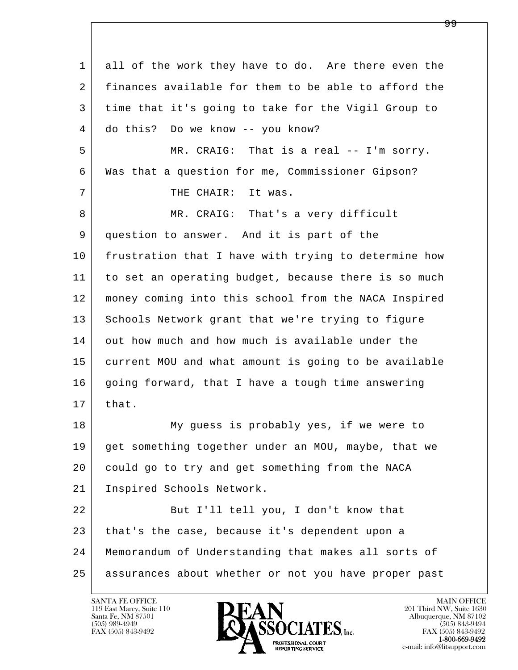l  $\overline{\phantom{a}}$  1 all of the work they have to do. Are there even the 2 finances available for them to be able to afford the 3 time that it's going to take for the Vigil Group to 4 do this? Do we know -- you know? 5 MR. CRAIG: That is a real -- I'm sorry. 6 Was that a question for me, Commissioner Gipson? 7 | THE CHAIR: It was. 8 MR. CRAIG: That's a very difficult 9 question to answer. And it is part of the 10 frustration that I have with trying to determine how 11 to set an operating budget, because there is so much 12 money coming into this school from the NACA Inspired 13 Schools Network grant that we're trying to figure 14 out how much and how much is available under the 15 current MOU and what amount is going to be available 16 going forward, that I have a tough time answering  $17$  that. 18 My guess is probably yes, if we were to 19 get something together under an MOU, maybe, that we 20 could go to try and get something from the NACA 21 Inspired Schools Network. 22 But I'll tell you, I don't know that 23 that's the case, because it's dependent upon a 24 Memorandum of Understanding that makes all sorts of 25 assurances about whether or not you have proper past

119 East Marcy, Suite 110<br>Santa Fe, NM 87501

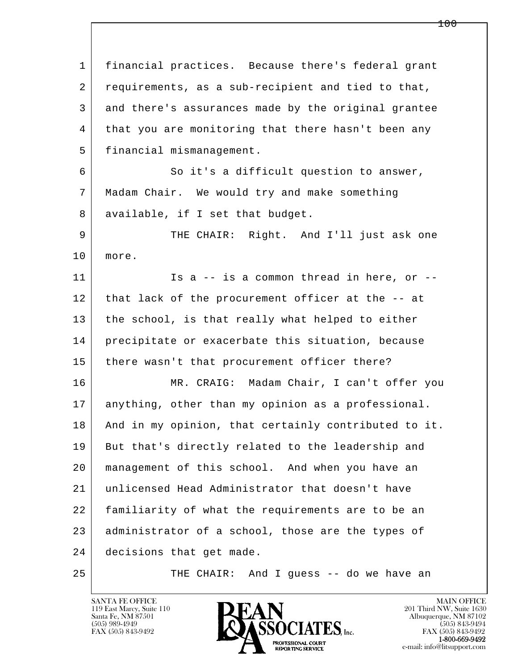l  $\overline{\phantom{a}}$  1 financial practices. Because there's federal grant 2 requirements, as a sub-recipient and tied to that, 3 and there's assurances made by the original grantee 4 that you are monitoring that there hasn't been any 5 financial mismanagement. 6 So it's a difficult question to answer, 7 Madam Chair. We would try and make something 8 available, if I set that budget. 9 THE CHAIR: Right. And I'll just ask one 10 more. 11 Is a -- is a common thread in here, or -- 12 that lack of the procurement officer at the -- at 13 the school, is that really what helped to either 14 precipitate or exacerbate this situation, because 15 | there wasn't that procurement officer there? 16 MR. CRAIG: Madam Chair, I can't offer you 17 anything, other than my opinion as a professional. 18 | And in my opinion, that certainly contributed to it. 19 But that's directly related to the leadership and 20 management of this school. And when you have an 21 unlicensed Head Administrator that doesn't have 22 familiarity of what the requirements are to be an 23 administrator of a school, those are the types of 24 decisions that get made. 25 | THE CHAIR: And I guess -- do we have an

119 East Marcy, Suite 110<br>Santa Fe, NM 87501



FAX (505) 843-9492<br>**1-800-669-9492**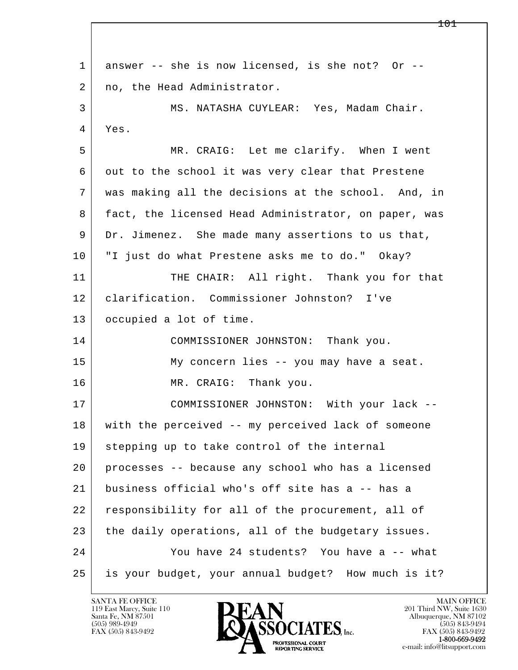l  $\overline{\phantom{a}}$ 1 answer -- she is now licensed, is she not? Or --2 | no, the Head Administrator. 3 MS. NATASHA CUYLEAR: Yes, Madam Chair. 4 Yes. 5 MR. CRAIG: Let me clarify. When I went 6 out to the school it was very clear that Prestene 7 was making all the decisions at the school. And, in 8 | fact, the licensed Head Administrator, on paper, was 9 Dr. Jimenez. She made many assertions to us that, 10 "I just do what Prestene asks me to do." Okay? 11 | THE CHAIR: All right. Thank you for that 12 clarification. Commissioner Johnston? I've 13 occupied a lot of time. 14 COMMISSIONER JOHNSTON: Thank you. 15 My concern lies -- you may have a seat. 16 MR. CRAIG: Thank you. 17 COMMISSIONER JOHNSTON: With your lack -- 18 with the perceived -- my perceived lack of someone 19 stepping up to take control of the internal 20 processes -- because any school who has a licensed 21 business official who's off site has a -- has a 22 responsibility for all of the procurement, all of 23 the daily operations, all of the budgetary issues. 24 You have 24 students? You have a -- what 25 is your budget, your annual budget? How much is it?

119 East Marcy, Suite 110<br>Santa Fe, NM 87501



FAX (505) 843-9492<br>**1-800-669-9492**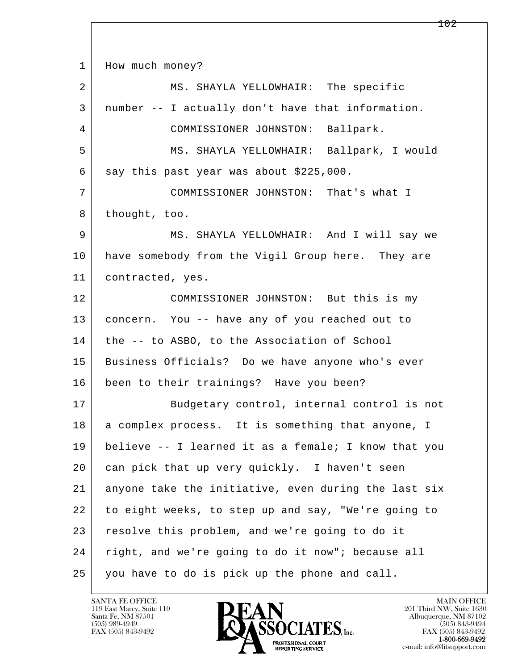l  $\overline{\phantom{a}}$ 1 How much money? 2 MS. SHAYLA YELLOWHAIR: The specific 3 number -- I actually don't have that information. 4 COMMISSIONER JOHNSTON: Ballpark. 5 MS. SHAYLA YELLOWHAIR: Ballpark, I would  $6$  say this past year was about \$225,000. 7 COMMISSIONER JOHNSTON: That's what I 8 thought, too. 9 MS. SHAYLA YELLOWHAIR: And I will say we 10 have somebody from the Vigil Group here. They are 11 | contracted, yes. 12 COMMISSIONER JOHNSTON: But this is my 13 concern. You -- have any of you reached out to 14 the -- to ASBO, to the Association of School 15 Business Officials? Do we have anyone who's ever 16 been to their trainings? Have you been? 17 Budgetary control, internal control is not 18 | a complex process. It is something that anyone, I 19 believe -- I learned it as a female; I know that you 20 can pick that up very quickly. I haven't seen 21 anyone take the initiative, even during the last six 22 to eight weeks, to step up and say, "We're going to 23 resolve this problem, and we're going to do it 24 right, and we're going to do it now"; because all 25 you have to do is pick up the phone and call.

119 East Marcy, Suite 110<br>Santa Fe, NM 87501

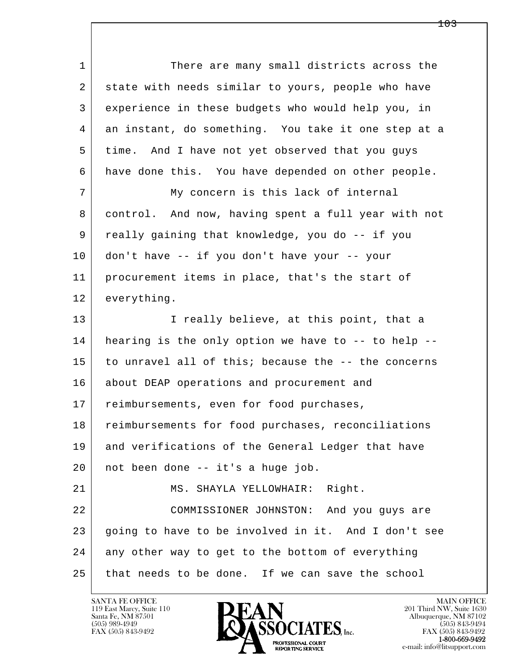l  $\overline{\phantom{a}}$ 1 There are many small districts across the 2 state with needs similar to yours, people who have 3 experience in these budgets who would help you, in 4 an instant, do something. You take it one step at a 5 time. And I have not yet observed that you guys 6 have done this. You have depended on other people. 7 My concern is this lack of internal 8 control. And now, having spent a full year with not 9 really gaining that knowledge, you do -- if you 10 don't have -- if you don't have your -- your 11 procurement items in place, that's the start of 12 everything. 13 I really believe, at this point, that a 14 hearing is the only option we have to -- to help -- 15 to unravel all of this; because the -- the concerns 16 | about DEAP operations and procurement and 17 | reimbursements, even for food purchases, 18 reimbursements for food purchases, reconciliations 19 and verifications of the General Ledger that have 20 not been done -- it's a huge job. 21 | MS. SHAYLA YELLOWHAIR: Right. 22 COMMISSIONER JOHNSTON: And you guys are 23 going to have to be involved in it. And I don't see 24 any other way to get to the bottom of everything 25 that needs to be done. If we can save the school

119 East Marcy, Suite 110<br>Santa Fe, NM 87501

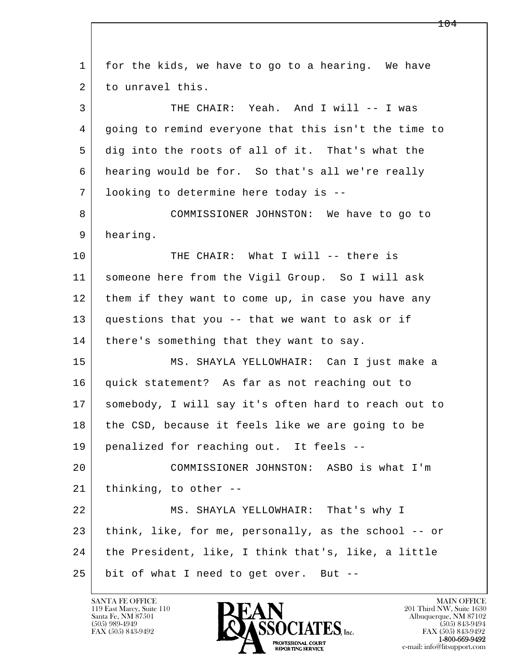l  $\overline{\phantom{a}}$  1 for the kids, we have to go to a hearing. We have 2 to unravel this. 3 THE CHAIR: Yeah. And I will -- I was 4 going to remind everyone that this isn't the time to 5 dig into the roots of all of it. That's what the 6 hearing would be for. So that's all we're really 7 looking to determine here today is -- 8 COMMISSIONER JOHNSTON: We have to go to 9 hearing. 10 THE CHAIR: What I will -- there is 11 someone here from the Vigil Group. So I will ask 12 them if they want to come up, in case you have any 13 questions that you -- that we want to ask or if 14 | there's something that they want to say. 15 MS. SHAYLA YELLOWHAIR: Can I just make a 16 quick statement? As far as not reaching out to 17 somebody, I will say it's often hard to reach out to 18 the CSD, because it feels like we are going to be 19 penalized for reaching out. It feels -- 20 COMMISSIONER JOHNSTON: ASBO is what I'm 21 thinking, to other -- 22 MS. SHAYLA YELLOWHAIR: That's why I 23 think, like, for me, personally, as the school -- or 24 | the President, like, I think that's, like, a little 25 bit of what I need to get over. But --

119 East Marcy, Suite 110<br>Santa Fe, NM 87501

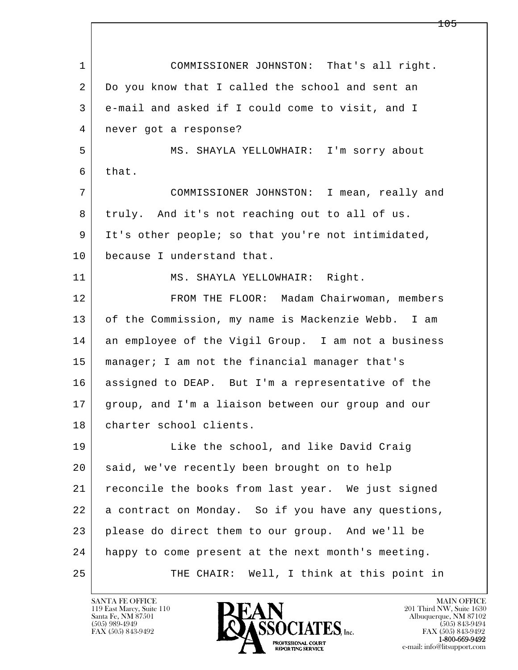l  $\overline{\phantom{a}}$  1 COMMISSIONER JOHNSTON: That's all right. 2 Do you know that I called the school and sent an 3 e-mail and asked if I could come to visit, and I 4 never got a response? 5 MS. SHAYLA YELLOWHAIR: I'm sorry about 6 that. 7 COMMISSIONER JOHNSTON: I mean, really and 8 truly. And it's not reaching out to all of us. 9 It's other people; so that you're not intimidated, 10 because I understand that. 11 | MS. SHAYLA YELLOWHAIR: Right. 12 FROM THE FLOOR: Madam Chairwoman, members 13 of the Commission, my name is Mackenzie Webb. I am 14 an employee of the Vigil Group. I am not a business 15 manager; I am not the financial manager that's 16 assigned to DEAP. But I'm a representative of the 17 group, and I'm a liaison between our group and our 18 | charter school clients. 19 Like the school, and like David Craig 20 said, we've recently been brought on to help 21 reconcile the books from last year. We just signed 22 a contract on Monday. So if you have any questions, 23 please do direct them to our group. And we'll be 24 happy to come present at the next month's meeting. 25 THE CHAIR: Well, I think at this point in

119 East Marcy, Suite 110<br>Santa Fe, NM 87501



FAX (505) 843-9492<br>1-800-669-9492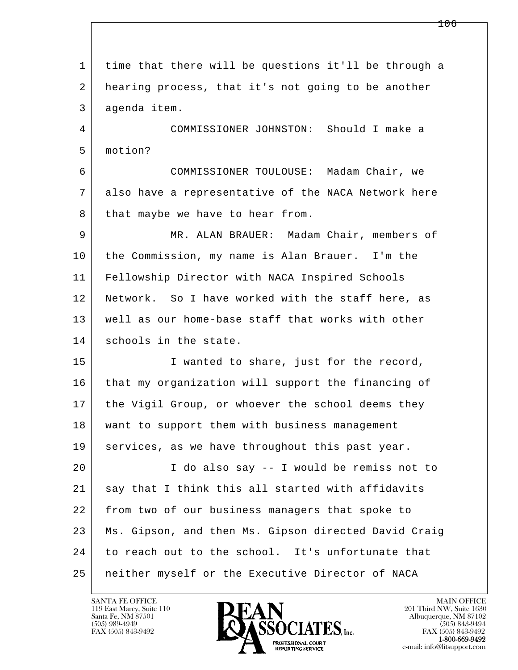l  $\overline{\phantom{a}}$  1 time that there will be questions it'll be through a 2 hearing process, that it's not going to be another 3 agenda item. 4 COMMISSIONER JOHNSTON: Should I make a 5 motion? 6 COMMISSIONER TOULOUSE: Madam Chair, we 7 also have a representative of the NACA Network here 8 that maybe we have to hear from. 9 MR. ALAN BRAUER: Madam Chair, members of 10 the Commission, my name is Alan Brauer. I'm the 11 Fellowship Director with NACA Inspired Schools 12 Network. So I have worked with the staff here, as 13 well as our home-base staff that works with other 14 schools in the state. 15 | I wanted to share, just for the record, 16 that my organization will support the financing of 17 | the Vigil Group, or whoever the school deems they 18 | want to support them with business management 19 | services, as we have throughout this past year. 20 I do also say -- I would be remiss not to 21 | say that I think this all started with affidavits 22 from two of our business managers that spoke to 23 Ms. Gipson, and then Ms. Gipson directed David Craig 24 to reach out to the school. It's unfortunate that 25 neither myself or the Executive Director of NACA

119 East Marcy, Suite 110<br>Santa Fe, NM 87501

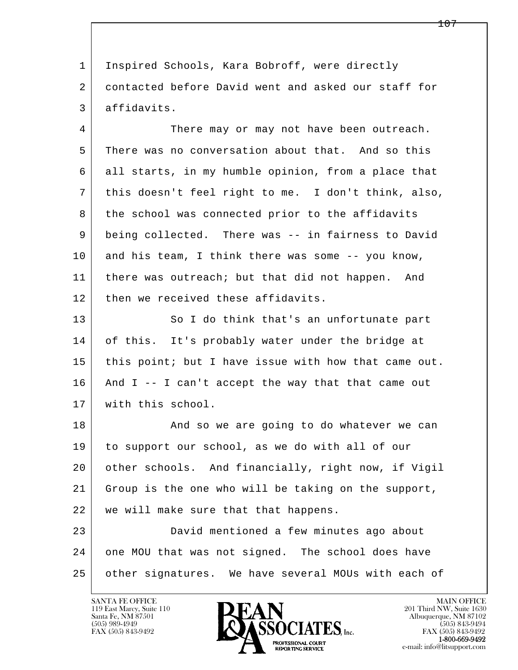1 Inspired Schools, Kara Bobroff, were directly 2 contacted before David went and asked our staff for 3 affidavits.

4 There may or may not have been outreach. 5 There was no conversation about that. And so this 6 all starts, in my humble opinion, from a place that 7 this doesn't feel right to me. I don't think, also, 8 the school was connected prior to the affidavits 9 being collected. There was -- in fairness to David 10 and his team, I think there was some -- you know, 11 | there was outreach; but that did not happen. And 12 | then we received these affidavits.

13 So I do think that's an unfortunate part 14 of this. It's probably water under the bridge at 15 | this point; but I have issue with how that came out. 16 And I -- I can't accept the way that that came out 17 with this school.

18 | The Sand so we are going to do whatever we can 19 to support our school, as we do with all of our 20 other schools. And financially, right now, if Vigil 21 Group is the one who will be taking on the support, 22 we will make sure that that happens.

l  $\overline{\phantom{a}}$  23 David mentioned a few minutes ago about 24 one MOU that was not signed. The school does have 25 other signatures. We have several MOUs with each of

119 East Marcy, Suite 110<br>Santa Fe, NM 87501



FAX (505) 843-9492<br>**1-800-669-9492**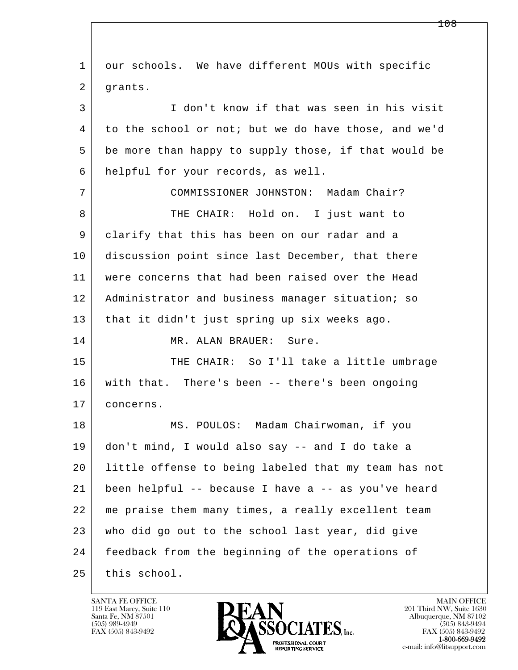l  $\overline{\phantom{a}}$  1 our schools. We have different MOUs with specific 2 | grants. 3 I don't know if that was seen in his visit 4 to the school or not; but we do have those, and we'd 5 be more than happy to supply those, if that would be 6 helpful for your records, as well. 7 COMMISSIONER JOHNSTON: Madam Chair? 8 THE CHAIR: Hold on. I just want to 9 clarify that this has been on our radar and a 10 discussion point since last December, that there 11 were concerns that had been raised over the Head 12 | Administrator and business manager situation; so 13 that it didn't just spring up six weeks ago. 14 MR. ALAN BRAUER: Sure. 15 | THE CHAIR: So I'll take a little umbrage 16 with that. There's been -- there's been ongoing 17 concerns. 18 MS. POULOS: Madam Chairwoman, if you 19 don't mind, I would also say -- and I do take a 20 little offense to being labeled that my team has not 21 been helpful -- because I have a -- as you've heard 22 me praise them many times, a really excellent team 23 who did go out to the school last year, did give 24 | feedback from the beginning of the operations of 25 this school.

119 East Marcy, Suite 110<br>Santa Fe, NM 87501



FAX (505) 843-9492<br>**1-800-669-9492**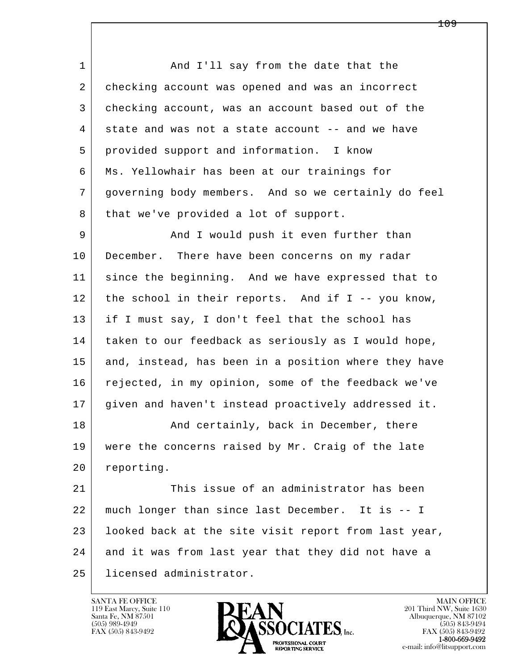1 And I'll say from the date that the 2 | checking account was opened and was an incorrect 3 checking account, was an account based out of the 4 state and was not a state account -- and we have 5 provided support and information. I know 6 Ms. Yellowhair has been at our trainings for 7 governing body members. And so we certainly do feel 8 | that we've provided a lot of support.

9 And I would push it even further than 10 December. There have been concerns on my radar 11 since the beginning. And we have expressed that to 12 the school in their reports. And if I -- you know, 13 if I must say, I don't feel that the school has 14 taken to our feedback as seriously as I would hope, 15 and, instead, has been in a position where they have 16 rejected, in my opinion, some of the feedback we've 17 given and haven't instead proactively addressed it.

18 And certainly, back in December, there 19 were the concerns raised by Mr. Craig of the late 20 reporting.

l  $\overline{\phantom{a}}$  21 This issue of an administrator has been 22 much longer than since last December. It is -- I 23 | looked back at the site visit report from last year, 24 and it was from last year that they did not have a 25 licensed administrator.

119 East Marcy, Suite 110<br>Santa Fe, NM 87501

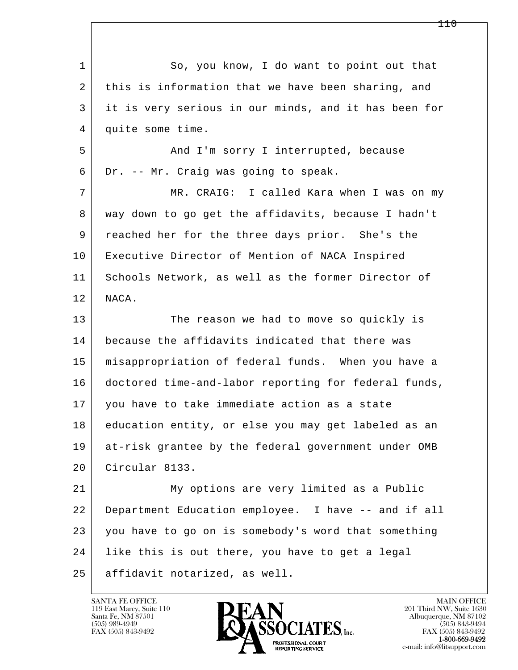l  $\overline{\phantom{a}}$ 1 So, you know, I do want to point out that 2 this is information that we have been sharing, and 3 it is very serious in our minds, and it has been for 4 quite some time. 5 And I'm sorry I interrupted, because 6 Dr. -- Mr. Craig was going to speak. 7 MR. CRAIG: I called Kara when I was on my 8 | way down to go get the affidavits, because I hadn't 9 reached her for the three days prior. She's the 10 Executive Director of Mention of NACA Inspired 11 Schools Network, as well as the former Director of 12 NACA. 13 The reason we had to move so quickly is 14 because the affidavits indicated that there was 15 misappropriation of federal funds. When you have a 16 doctored time-and-labor reporting for federal funds, 17 you have to take immediate action as a state 18 education entity, or else you may get labeled as an 19 at-risk grantee by the federal government under OMB 20 Circular 8133. 21 My options are very limited as a Public 22 Department Education employee. I have -- and if all 23 you have to go on is somebody's word that something 24 like this is out there, you have to get a legal 25 affidavit notarized, as well.

119 East Marcy, Suite 110<br>Santa Fe, NM 87501

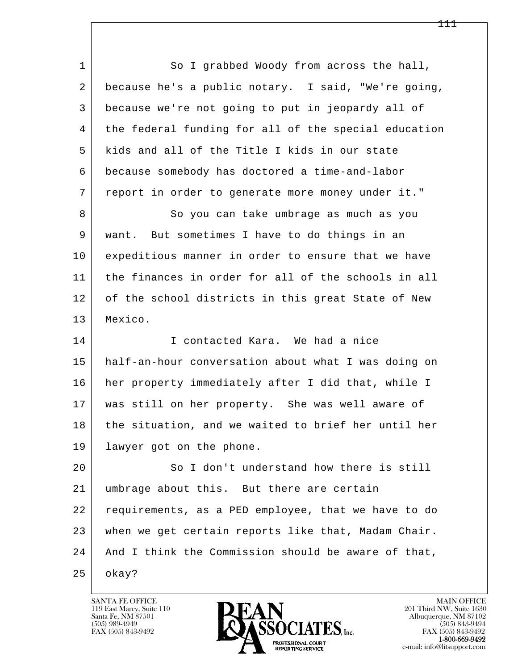l  $\overline{\phantom{a}}$ 1 So I grabbed Woody from across the hall, 2 because he's a public notary. I said, "We're going, 3 because we're not going to put in jeopardy all of 4 the federal funding for all of the special education 5 kids and all of the Title I kids in our state 6 because somebody has doctored a time-and-labor 7 report in order to generate more money under it." 8 So you can take umbrage as much as you 9 want. But sometimes I have to do things in an 10 expeditious manner in order to ensure that we have 11 the finances in order for all of the schools in all 12 of the school districts in this great State of New 13 Mexico. 14 I contacted Kara. We had a nice 15 half-an-hour conversation about what I was doing on 16 her property immediately after I did that, while I 17 was still on her property. She was well aware of 18 the situation, and we waited to brief her until her 19 lawyer got on the phone. 20 So I don't understand how there is still 21 umbrage about this. But there are certain 22 requirements, as a PED employee, that we have to do 23 when we get certain reports like that, Madam Chair. 24 And I think the Commission should be aware of that,  $25$  okay?

119 East Marcy, Suite 110<br>Santa Fe, NM 87501

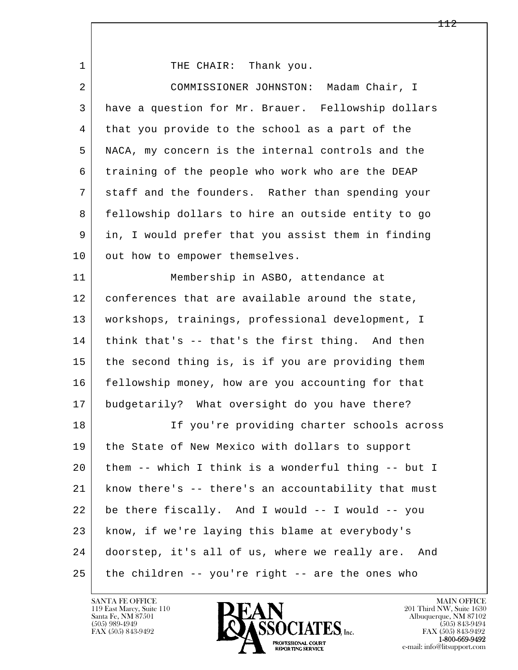| 1  | THE CHAIR: Thank you.                                 |
|----|-------------------------------------------------------|
| 2  | COMMISSIONER JOHNSTON:<br>Madam Chair, I              |
| 3  | have a question for Mr. Brauer. Fellowship dollars    |
| 4  | that you provide to the school as a part of the       |
| 5  | NACA, my concern is the internal controls and the     |
| 6  | training of the people who work who are the DEAP      |
| 7  | staff and the founders. Rather than spending your     |
| 8  | fellowship dollars to hire an outside entity to go    |
| 9  | in, I would prefer that you assist them in finding    |
| 10 | out how to empower themselves.                        |
| 11 | Membership in ASBO, attendance at                     |
| 12 | conferences that are available around the state,      |
| 13 | workshops, trainings, professional development, I     |
| 14 | think that's -- that's the first thing. And then      |
| 15 | the second thing is, is if you are providing them     |
| 16 | fellowship money, how are you accounting for that     |
| 17 | budgetarily? What oversight do you have there?        |
| 18 | If you're providing charter schools across            |
| 19 | the State of New Mexico with dollars to support       |
| 20 | them -- which I think is a wonderful thing -- but I   |
| 21 | know there's -- there's an accountability that must   |
| 22 | be there fiscally. And I would -- I would -- you      |
| 23 | know, if we're laying this blame at everybody's       |
| 24 | doorstep, it's all of us, where we really are.<br>And |
| 25 | the children -- you're right -- are the ones who      |

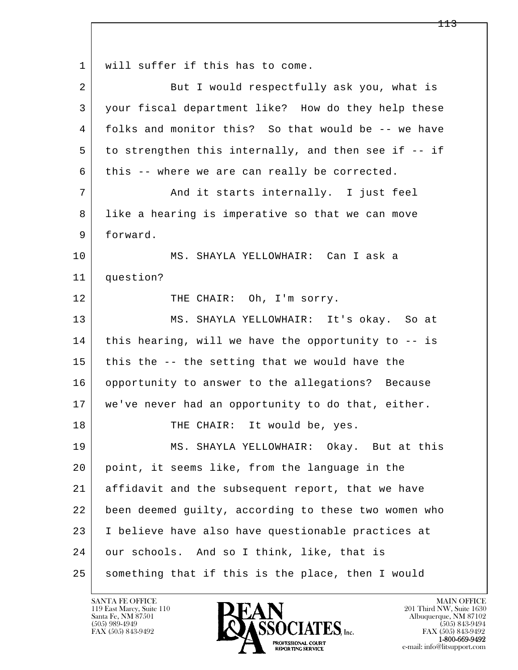l  $\overline{\phantom{a}}$ 1 | will suffer if this has to come. 2 But I would respectfully ask you, what is 3 your fiscal department like? How do they help these 4 folks and monitor this? So that would be -- we have  $5$  to strengthen this internally, and then see if  $-$  if  $6$  this -- where we are can really be corrected. 7 | The and it starts internally. I just feel 8 like a hearing is imperative so that we can move 9 forward. 10 MS. SHAYLA YELLOWHAIR: Can I ask a 11 question? 12 THE CHAIR: Oh, I'm sorry. 13 MS. SHAYLA YELLOWHAIR: It's okay. So at  $14$  this hearing, will we have the opportunity to  $-$  is 15 this the  $-$ - the setting that we would have the 16 opportunity to answer to the allegations? Because 17 we've never had an opportunity to do that, either. 18 THE CHAIR: It would be, yes. 19 MS. SHAYLA YELLOWHAIR: Okay. But at this 20 point, it seems like, from the language in the 21 affidavit and the subsequent report, that we have 22 been deemed guilty, according to these two women who 23 I believe have also have questionable practices at 24 our schools. And so I think, like, that is 25 something that if this is the place, then I would

119 East Marcy, Suite 110<br>Santa Fe, NM 87501



FAX (505) 843-9492<br>**1-800-669-9492**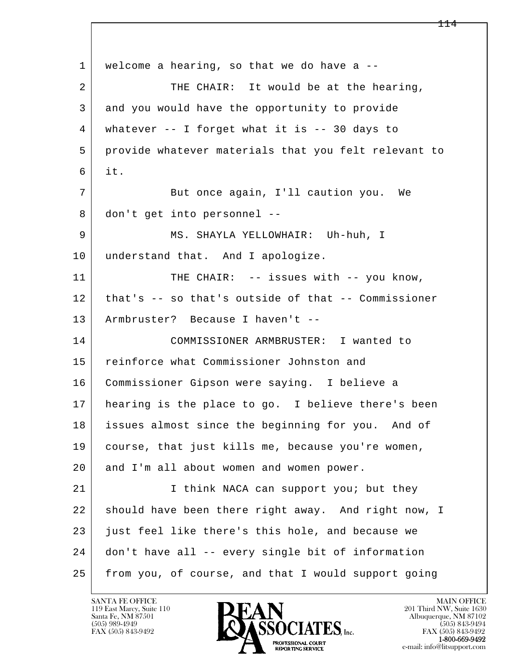l  $\overline{\phantom{a}}$ 1 | welcome a hearing, so that we do have a --2 | THE CHAIR: It would be at the hearing, 3 and you would have the opportunity to provide 4 whatever -- I forget what it is -- 30 days to 5 provide whatever materials that you felt relevant to 6 it. 7 | But once again, I'll caution you. We 8 don't get into personnel -- 9 MS. SHAYLA YELLOWHAIR: Uh-huh, I 10 understand that. And I apologize. 11 THE CHAIR: -- issues with -- you know, 12 that's -- so that's outside of that -- Commissioner 13 Armbruster? Because I haven't -- 14 COMMISSIONER ARMBRUSTER: I wanted to 15 reinforce what Commissioner Johnston and 16 Commissioner Gipson were saying. I believe a 17 hearing is the place to go. I believe there's been 18 issues almost since the beginning for you. And of 19 course, that just kills me, because you're women, 20 and I'm all about women and women power. 21 | Think NACA can support you; but they 22 should have been there right away. And right now, I 23 just feel like there's this hole, and because we 24 don't have all -- every single bit of information 25 from you, of course, and that I would support going

119 East Marcy, Suite 110<br>Santa Fe, NM 87501



FAX (505) 843-9492<br>1-800-669-9492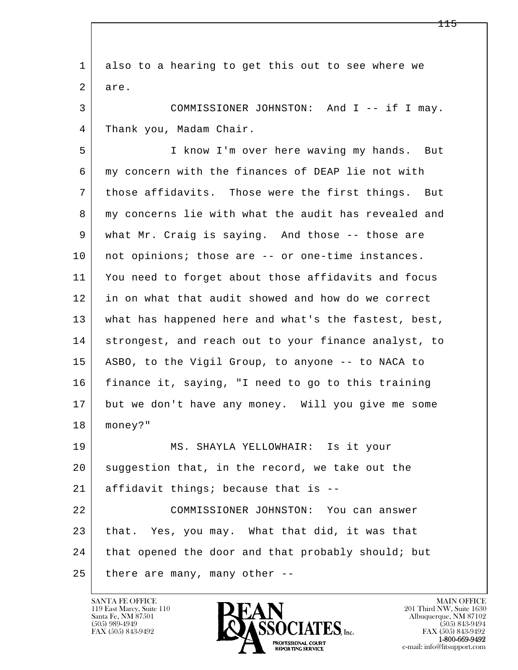l  $\overline{\phantom{a}}$  1 also to a hearing to get this out to see where we 2 are. 3 COMMISSIONER JOHNSTON: And I -- if I may. 4 Thank you, Madam Chair. 5 I know I'm over here waving my hands. But 6 my concern with the finances of DEAP lie not with 7 those affidavits. Those were the first things. But 8 my concerns lie with what the audit has revealed and 9 what Mr. Craig is saying. And those -- those are 10 | not opinions; those are -- or one-time instances. 11 You need to forget about those affidavits and focus 12 in on what that audit showed and how do we correct 13 what has happened here and what's the fastest, best, 14 | strongest, and reach out to your finance analyst, to 15 ASBO, to the Vigil Group, to anyone -- to NACA to 16 finance it, saying, "I need to go to this training 17 but we don't have any money. Will you give me some 18 money?" 19 MS. SHAYLA YELLOWHAIR: Is it your 20 suggestion that, in the record, we take out the 21 affidavit things; because that is -- 22 COMMISSIONER JOHNSTON: You can answer 23 that. Yes, you may. What that did, it was that 24 that opened the door and that probably should; but  $25$  there are many, many other  $-$ 

119 East Marcy, Suite 110<br>Santa Fe, NM 87501

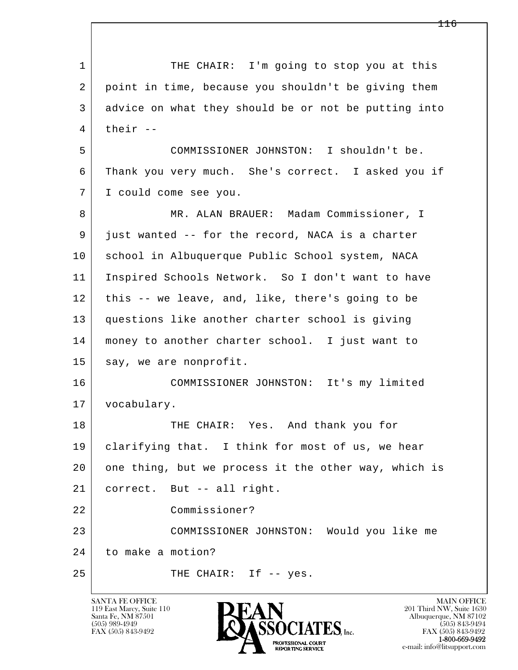l  $\overline{\phantom{a}}$ 1 THE CHAIR: I'm going to stop you at this 2 point in time, because you shouldn't be giving them 3 advice on what they should be or not be putting into  $4$  their  $-$  5 COMMISSIONER JOHNSTON: I shouldn't be. 6 Thank you very much. She's correct. I asked you if 7 I could come see you. 8 | MR. ALAN BRAUER: Madam Commissioner, I 9 just wanted -- for the record, NACA is a charter 10 | school in Albuquerque Public School system, NACA 11 Inspired Schools Network. So I don't want to have 12 this -- we leave, and, like, there's going to be 13 questions like another charter school is giving 14 money to another charter school. I just want to 15 say, we are nonprofit. 16 COMMISSIONER JOHNSTON: It's my limited 17 vocabulary. 18 THE CHAIR: Yes. And thank you for 19 clarifying that. I think for most of us, we hear 20 one thing, but we process it the other way, which is 21 correct. But -- all right. 22 Commissioner? 23 COMMISSIONER JOHNSTON: Would you like me 24 to make a motion? 25 THE CHAIR: If -- yes.

119 East Marcy, Suite 110<br>Santa Fe, NM 87501



FAX (505) 843-9492 FAX (505) 843-9492 e-mail: info@litsupport.com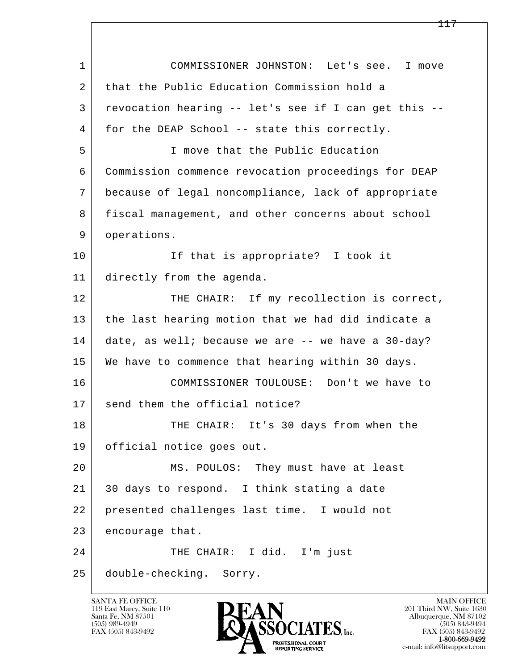| $\mathbf{1}$ | COMMISSIONER JOHNSTON: Let's see. I move              |
|--------------|-------------------------------------------------------|
| 2            | that the Public Education Commission hold a           |
| 3            | revocation hearing -- let's see if I can get this --  |
| 4            | for the DEAP School -- state this correctly.          |
| 5            | I move that the Public Education                      |
| 6            | Commission commence revocation proceedings for DEAP   |
| 7            | because of legal noncompliance, lack of appropriate   |
| 8            | fiscal management, and other concerns about school    |
| 9            | operations.                                           |
| 10           | If that is appropriate? I took it                     |
| 11           | directly from the agenda.                             |
| 12           | THE CHAIR: If my recollection is correct,             |
| 13           | the last hearing motion that we had did indicate a    |
| 14           | date, as well; because we are $-$ - we have a 30-day? |
| 15           | We have to commence that hearing within 30 days.      |
| 16           | COMMISSIONER TOULOUSE: Don't we have to               |
| 17           | send them the official notice?                        |
| 18           | THE CHAIR: It's 30 days from when the                 |
| 19           | official notice goes out.                             |
| 20           | MS. POULOS: They must have at least                   |
| 21           | 30 days to respond. I think stating a date            |
| 22           | presented challenges last time. I would not           |
| 23           | encourage that.                                       |
| 24           | THE CHAIR: I did. I'm just                            |
| 25           | double-checking. Sorry.                               |

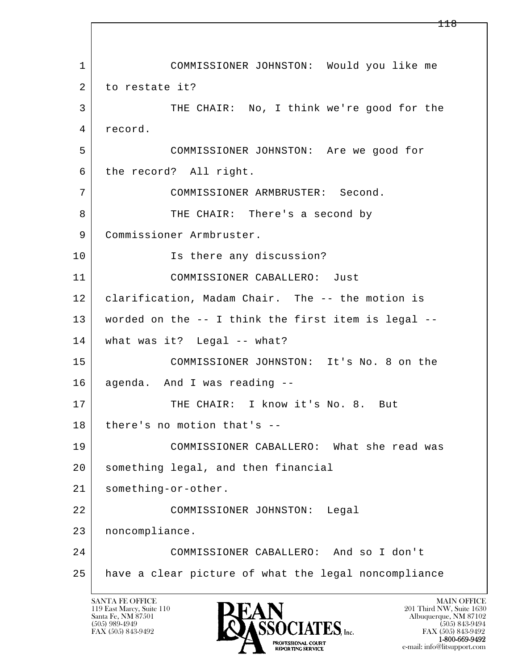l  $\overline{\phantom{a}}$  1 COMMISSIONER JOHNSTON: Would you like me 2 to restate it? 3 THE CHAIR: No, I think we're good for the 4 record. 5 COMMISSIONER JOHNSTON: Are we good for 6 the record? All right. 7 COMMISSIONER ARMBRUSTER: Second. 8 | THE CHAIR: There's a second by 9 Commissioner Armbruster. 10 Is there any discussion? 11 COMMISSIONER CABALLERO: Just 12 clarification, Madam Chair. The -- the motion is 13 worded on the -- I think the first item is legal -- 14 what was it? Legal -- what? 15 COMMISSIONER JOHNSTON: It's No. 8 on the 16 agenda. And I was reading -- 17 | THE CHAIR: I know it's No. 8. But 18 | there's no motion that's -- 19 COMMISSIONER CABALLERO: What she read was 20 something legal, and then financial 21 something-or-other. 22 COMMISSIONER JOHNSTON: Legal 23 noncompliance. 24 COMMISSIONER CABALLERO: And so I don't 25 have a clear picture of what the legal noncompliance

119 East Marcy, Suite 110<br>Santa Fe, NM 87501

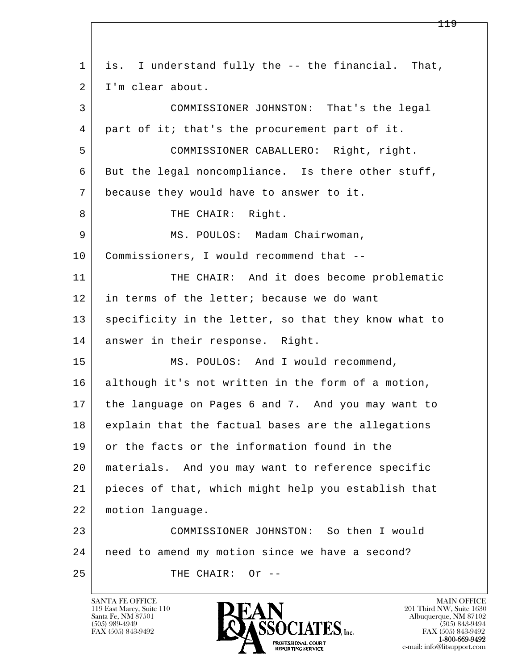| 1  | is. I understand fully the -- the financial. That,   |
|----|------------------------------------------------------|
| 2  | I'm clear about.                                     |
| 3  | COMMISSIONER JOHNSTON: That's the legal              |
| 4  | part of it; that's the procurement part of it.       |
| 5  | COMMISSIONER CABALLERO: Right, right.                |
| 6  | But the legal noncompliance. Is there other stuff,   |
| 7  | because they would have to answer to it.             |
| 8  | THE CHAIR: Right.                                    |
| 9  | MS. POULOS: Madam Chairwoman,                        |
| 10 | Commissioners, I would recommend that --             |
| 11 | THE CHAIR: And it does become problematic            |
| 12 | in terms of the letter; because we do want           |
| 13 | specificity in the letter, so that they know what to |
| 14 | answer in their response. Right.                     |
| 15 | MS. POULOS: And I would recommend,                   |
| 16 | although it's not written in the form of a motion,   |
| 17 | the language on Pages 6 and 7. And you may want to   |
| 18 | explain that the factual bases are the allegations   |
| 19 | or the facts or the information found in the         |
| 20 | materials. And you may want to reference specific    |
| 21 | pieces of that, which might help you establish that  |
| 22 | motion language.                                     |
| 23 | COMMISSIONER JOHNSTON: So then I would               |
| 24 | need to amend my motion since we have a second?      |
| 25 | THE CHAIR:<br>Or $--$                                |
|    |                                                      |

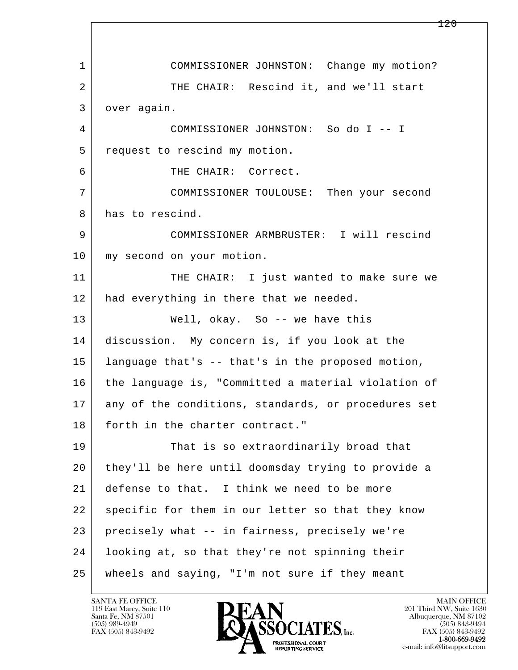l  $\overline{\phantom{a}}$  1 COMMISSIONER JOHNSTON: Change my motion? 2 THE CHAIR: Rescind it, and we'll start 3 over again. 4 COMMISSIONER JOHNSTON: So do I -- I 5 request to rescind my motion. 6 THE CHAIR: Correct. 7 COMMISSIONER TOULOUSE: Then your second 8 has to rescind. 9 COMMISSIONER ARMBRUSTER: I will rescind 10 | my second on your motion. 11 THE CHAIR: I just wanted to make sure we 12 had everything in there that we needed. 13 Well, okay. So -- we have this 14 discussion. My concern is, if you look at the 15 language that's -- that's in the proposed motion, 16 the language is, "Committed a material violation of 17 any of the conditions, standards, or procedures set 18 forth in the charter contract." 19 That is so extraordinarily broad that 20 they'll be here until doomsday trying to provide a 21 defense to that. I think we need to be more 22 specific for them in our letter so that they know 23 precisely what -- in fairness, precisely we're 24 looking at, so that they're not spinning their 25 wheels and saying, "I'm not sure if they meant

119 East Marcy, Suite 110<br>Santa Fe, NM 87501



FAX (505) 843-9492<br>1-800-669-9492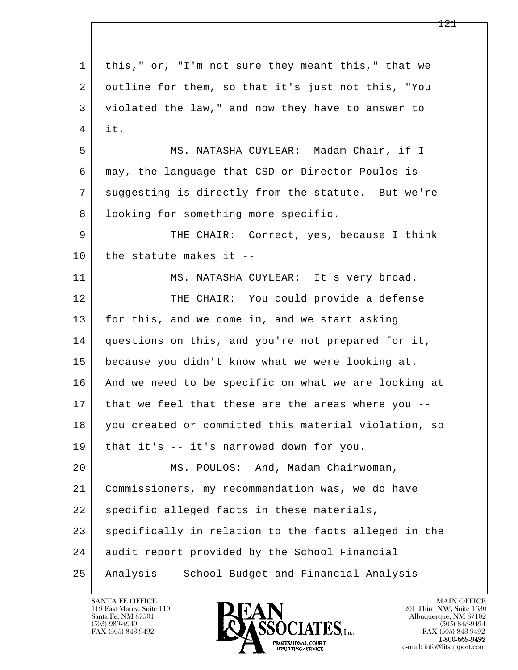l  $\overline{\phantom{a}}$  1 this," or, "I'm not sure they meant this," that we 2 outline for them, so that it's just not this, "You 3 violated the law," and now they have to answer to  $4$  it. 5 MS. NATASHA CUYLEAR: Madam Chair, if I 6 may, the language that CSD or Director Poulos is 7 suggesting is directly from the statute. But we're 8 | looking for something more specific. 9 THE CHAIR: Correct, yes, because I think  $10$  the statute makes it --11 MS. NATASHA CUYLEAR: It's very broad. 12 THE CHAIR: You could provide a defense 13 for this, and we come in, and we start asking 14 questions on this, and you're not prepared for it, 15 because you didn't know what we were looking at. 16 And we need to be specific on what we are looking at 17 that we feel that these are the areas where you -- 18 you created or committed this material violation, so 19 that it's -- it's narrowed down for you. 20 MS. POULOS: And, Madam Chairwoman, 21 Commissioners, my recommendation was, we do have 22 specific alleged facts in these materials, 23 specifically in relation to the facts alleged in the 24 audit report provided by the School Financial 25 Analysis -- School Budget and Financial Analysis

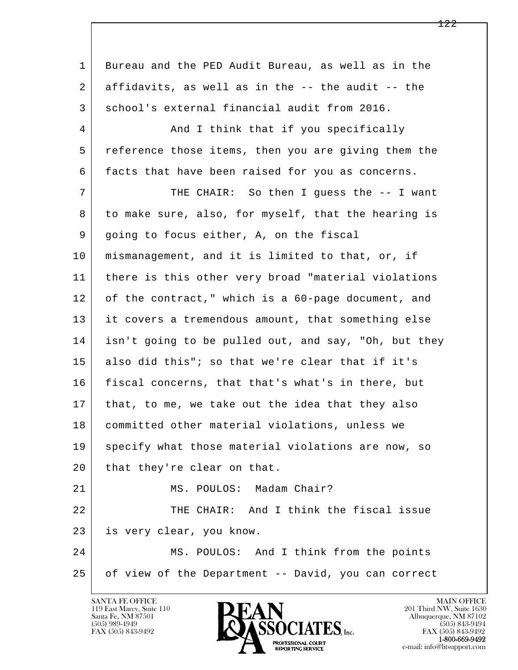l  $\overline{\phantom{a}}$  1 Bureau and the PED Audit Bureau, as well as in the 2 affidavits, as well as in the -- the audit -- the 3 school's external financial audit from 2016. 4 And I think that if you specifically 5 reference those items, then you are giving them the 6 facts that have been raised for you as concerns. 7 THE CHAIR: So then I guess the -- I want 8 to make sure, also, for myself, that the hearing is 9 going to focus either, A, on the fiscal 10 mismanagement, and it is limited to that, or, if 11 there is this other very broad "material violations 12 of the contract," which is a 60-page document, and 13 it covers a tremendous amount, that something else 14 isn't going to be pulled out, and say, "Oh, but they 15 also did this"; so that we're clear that if it's 16 fiscal concerns, that that's what's in there, but 17 | that, to me, we take out the idea that they also 18 | committed other material violations, unless we 19 specify what those material violations are now, so 20 that they're clear on that. 21 | MS. POULOS: Madam Chair? 22 THE CHAIR: And I think the fiscal issue 23 is very clear, you know. 24 MS. POULOS: And I think from the points 25 of view of the Department -- David, you can correct

119 East Marcy, Suite 110<br>Santa Fe, NM 87501

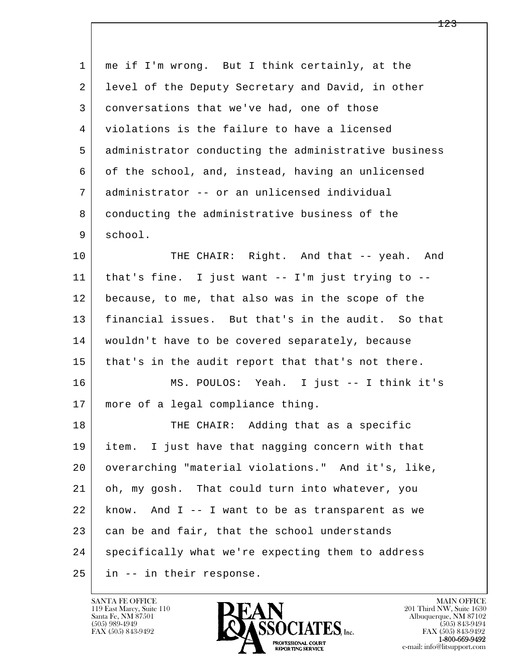| 1  | me if I'm wrong. But I think certainly, at the        |
|----|-------------------------------------------------------|
| 2  | level of the Deputy Secretary and David, in other     |
| 3  | conversations that we've had, one of those            |
| 4  | violations is the failure to have a licensed          |
| 5  | administrator conducting the administrative business  |
| 6  | of the school, and, instead, having an unlicensed     |
| 7  | administrator -- or an unlicensed individual          |
| 8  | conducting the administrative business of the         |
| 9  | school.                                               |
| 10 | THE CHAIR: Right. And that -- yeah.<br>And            |
| 11 | that's fine. I just want $--$ I'm just trying to $--$ |
| 12 | because, to me, that also was in the scope of the     |
| 13 | financial issues. But that's in the audit. So that    |
| 14 | wouldn't have to be covered separately, because       |
| 15 | that's in the audit report that that's not there.     |
| 16 | MS. POULOS: Yeah. I just -- I think it's              |
| 17 | more of a legal compliance thing.                     |
| 18 | THE CHAIR: Adding that as a specific                  |
| 19 | I just have that nagging concern with that<br>item.   |
| 20 | overarching "material violations." And it's, like,    |
| 21 | oh, my gosh. That could turn into whatever, you       |
| 22 | And I -- I want to be as transparent as we<br>know.   |
| 23 | can be and fair, that the school understands          |
| 24 | specifically what we're expecting them to address     |
| 25 | in -- in their response.                              |

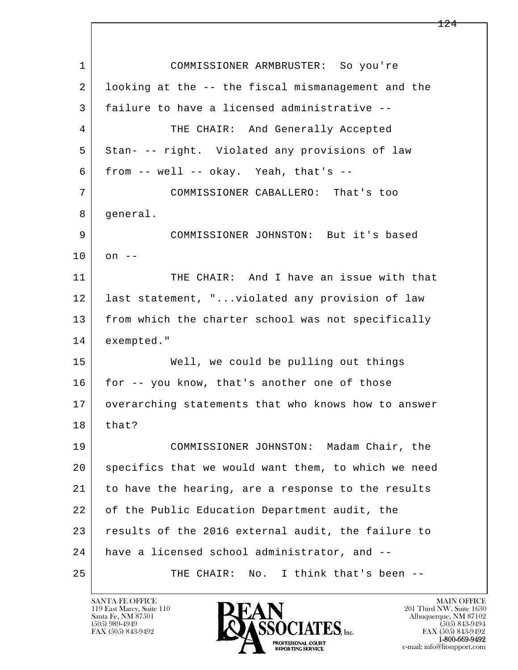l  $\overline{\phantom{a}}$  1 COMMISSIONER ARMBRUSTER: So you're 2 looking at the -- the fiscal mismanagement and the 3 failure to have a licensed administrative -- 4 THE CHAIR: And Generally Accepted 5 Stan- -- right. Violated any provisions of law  $6$  from  $-$  well  $-$  okay. Yeah, that's  $-$  7 COMMISSIONER CABALLERO: That's too 8 | general. 9 COMMISSIONER JOHNSTON: But it's based  $10$  on  $-$ 11 THE CHAIR: And I have an issue with that 12 last statement, "...violated any provision of law 13 from which the charter school was not specifically 14 exempted." 15 Well, we could be pulling out things 16 for -- you know, that's another one of those 17 overarching statements that who knows how to answer  $18$  that? 19 COMMISSIONER JOHNSTON: Madam Chair, the 20 specifics that we would want them, to which we need 21 to have the hearing, are a response to the results 22 of the Public Education Department audit, the 23 results of the 2016 external audit, the failure to 24 have a licensed school administrator, and -- 25 THE CHAIR: No. I think that's been --

119 East Marcy, Suite 110<br>Santa Fe, NM 87501

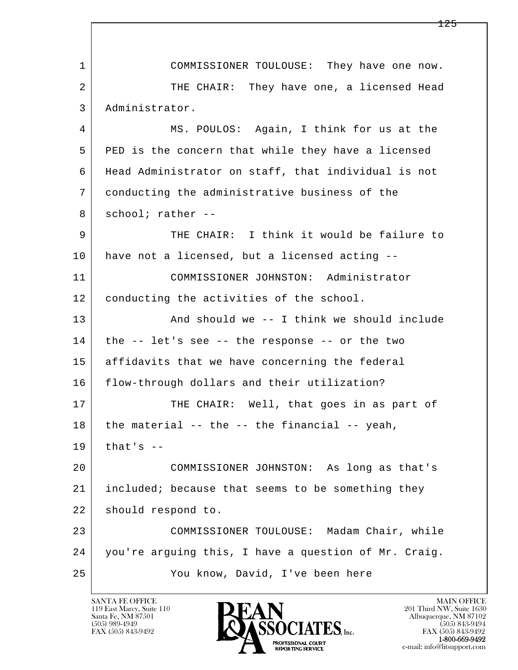l  $\overline{\phantom{a}}$  1 COMMISSIONER TOULOUSE: They have one now. 2 THE CHAIR: They have one, a licensed Head 3 Administrator. 4 MS. POULOS: Again, I think for us at the 5 PED is the concern that while they have a licensed 6 Head Administrator on staff, that individual is not 7 conducting the administrative business of the 8 school; rather -- 9 THE CHAIR: I think it would be failure to 10 have not a licensed, but a licensed acting -- 11 COMMISSIONER JOHNSTON: Administrator 12 | conducting the activities of the school. 13 And should we -- I think we should include  $14$  the  $-$  let's see  $-$ - the response  $-$ - or the two 15 | affidavits that we have concerning the federal 16 flow-through dollars and their utilization? 17 THE CHAIR: Well, that goes in as part of  $18$  the material  $-$  the  $-$  the financial  $-$  yeah,  $19$  that's  $-$  20 COMMISSIONER JOHNSTON: As long as that's 21 included; because that seems to be something they 22 | should respond to. 23 COMMISSIONER TOULOUSE: Madam Chair, while 24 you're arguing this, I have a question of Mr. Craig. 25 You know, David, I've been here

119 East Marcy, Suite 110<br>Santa Fe, NM 87501

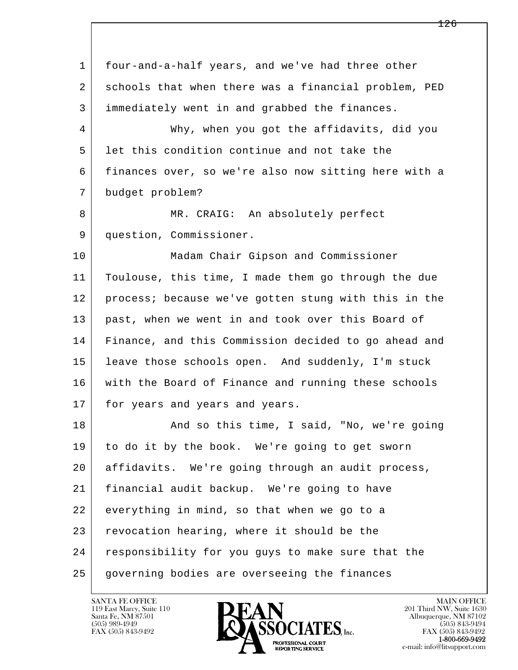l  $\overline{\phantom{a}}$  1 four-and-a-half years, and we've had three other 2 schools that when there was a financial problem, PED 3 immediately went in and grabbed the finances. 4 Why, when you got the affidavits, did you 5 let this condition continue and not take the 6 finances over, so we're also now sitting here with a 7 budget problem? 8 | MR. CRAIG: An absolutely perfect 9 question, Commissioner. 10 Madam Chair Gipson and Commissioner 11 Toulouse, this time, I made them go through the due 12 process; because we've gotten stung with this in the 13 past, when we went in and took over this Board of 14 Finance, and this Commission decided to go ahead and 15 leave those schools open. And suddenly, I'm stuck 16 with the Board of Finance and running these schools 17 | for years and years and years. 18 And so this time, I said, "No, we're going 19 to do it by the book. We're going to get sworn 20 affidavits. We're going through an audit process, 21 financial audit backup. We're going to have 22 everything in mind, so that when we go to a 23 revocation hearing, where it should be the 24 responsibility for you guys to make sure that the 25 governing bodies are overseeing the finances

119 East Marcy, Suite 110<br>Santa Fe, NM 87501



FAX (505) 843-9492<br>**1-800-669-9492**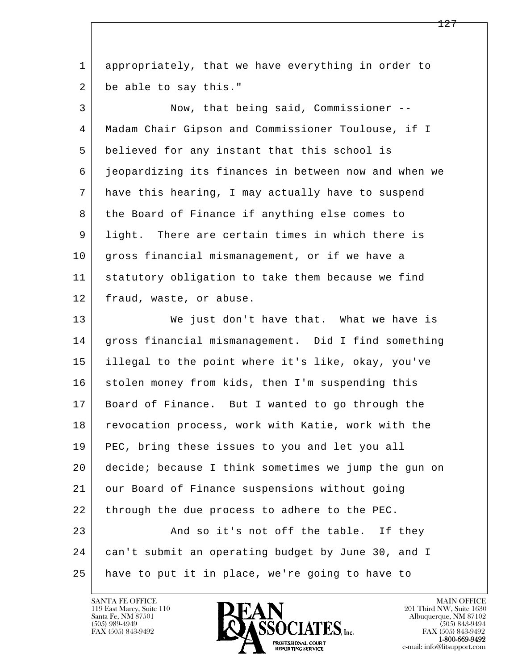l  $\overline{\phantom{a}}$  1 appropriately, that we have everything in order to 2 be able to say this." 3 Now, that being said, Commissioner -- 4 Madam Chair Gipson and Commissioner Toulouse, if I 5 believed for any instant that this school is 6 jeopardizing its finances in between now and when we 7 have this hearing, I may actually have to suspend 8 the Board of Finance if anything else comes to 9 light. There are certain times in which there is 10 gross financial mismanagement, or if we have a 11 statutory obligation to take them because we find 12 fraud, waste, or abuse. 13 We just don't have that. What we have is 14 | gross financial mismanagement. Did I find something 15 illegal to the point where it's like, okay, you've 16 stolen money from kids, then I'm suspending this 17 Board of Finance. But I wanted to go through the 18 revocation process, work with Katie, work with the 19 PEC, bring these issues to you and let you all 20 decide; because I think sometimes we jump the gun on 21 our Board of Finance suspensions without going 22 through the due process to adhere to the PEC. 23 And so it's not off the table. If they 24 can't submit an operating budget by June 30, and I 25 have to put it in place, we're going to have to

119 East Marcy, Suite 110<br>Santa Fe, NM 87501

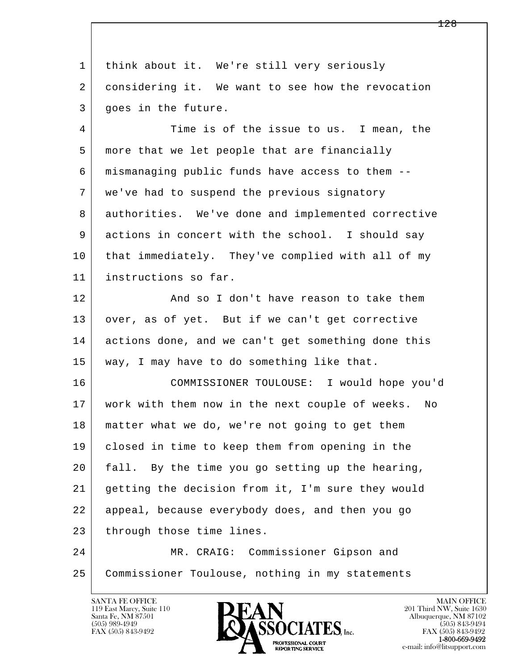l  $\overline{\phantom{a}}$  1 think about it. We're still very seriously 2 considering it. We want to see how the revocation 3 goes in the future. 4 Time is of the issue to us. I mean, the 5 more that we let people that are financially 6 mismanaging public funds have access to them -- 7 we've had to suspend the previous signatory 8 authorities. We've done and implemented corrective 9 actions in concert with the school. I should say 10 that immediately. They've complied with all of my 11 instructions so far. 12 And so I don't have reason to take them 13 | over, as of yet. But if we can't get corrective 14 actions done, and we can't get something done this 15 way, I may have to do something like that. 16 COMMISSIONER TOULOUSE: I would hope you'd 17 work with them now in the next couple of weeks. No 18 | matter what we do, we're not going to get them 19 closed in time to keep them from opening in the 20 fall. By the time you go setting up the hearing, 21 getting the decision from it, I'm sure they would 22 appeal, because everybody does, and then you go 23 through those time lines. 24 MR. CRAIG: Commissioner Gipson and 25 Commissioner Toulouse, nothing in my statements

119 East Marcy, Suite 110<br>Santa Fe, NM 87501



FAX (505) 843-9492<br>**1-800-669-9492**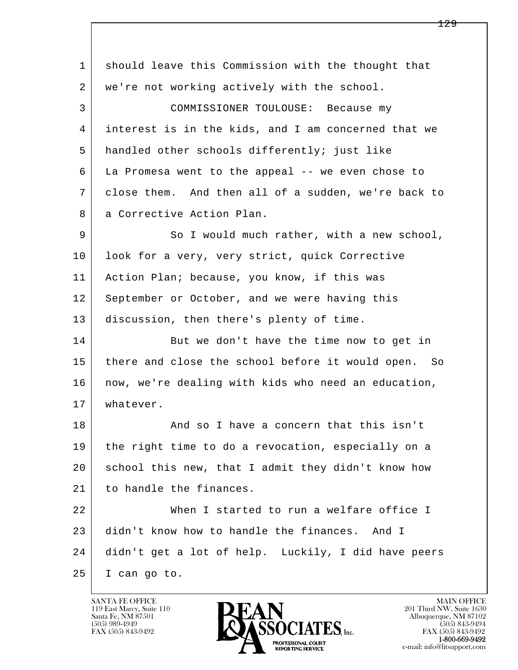l  $\overline{\phantom{a}}$  1 should leave this Commission with the thought that 2 we're not working actively with the school. 3 COMMISSIONER TOULOUSE: Because my 4 interest is in the kids, and I am concerned that we 5 handled other schools differently; just like 6 La Promesa went to the appeal -- we even chose to 7 close them. And then all of a sudden, we're back to 8 a Corrective Action Plan. 9 So I would much rather, with a new school, 10 | look for a very, very strict, quick Corrective 11 Action Plan; because, you know, if this was 12 September or October, and we were having this 13 discussion, then there's plenty of time. 14 But we don't have the time now to get in 15 there and close the school before it would open. So 16 | now, we're dealing with kids who need an education, 17 whatever. 18 and so I have a concern that this isn't 19 the right time to do a revocation, especially on a 20 school this new, that I admit they didn't know how 21 to handle the finances. 22 When I started to run a welfare office I 23 didn't know how to handle the finances. And I 24 didn't get a lot of help. Luckily, I did have peers 25 I can go to.

119 East Marcy, Suite 110<br>Santa Fe, NM 87501

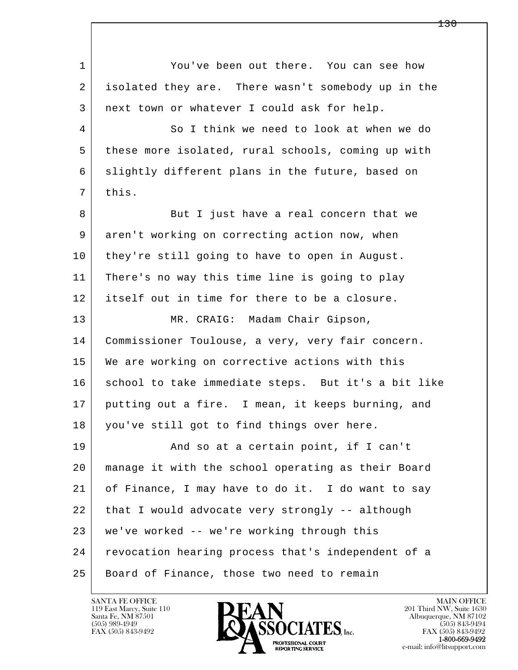l  $\overline{\phantom{a}}$  1 You've been out there. You can see how 2 isolated they are. There wasn't somebody up in the 3 next town or whatever I could ask for help. 4 So I think we need to look at when we do 5 these more isolated, rural schools, coming up with 6 slightly different plans in the future, based on  $7$  this. 8 But I just have a real concern that we 9 aren't working on correcting action now, when 10 they're still going to have to open in August. 11 There's no way this time line is going to play 12 itself out in time for there to be a closure. 13 MR. CRAIG: Madam Chair Gipson, 14 Commissioner Toulouse, a very, very fair concern. 15 | We are working on corrective actions with this 16 school to take immediate steps. But it's a bit like 17 putting out a fire. I mean, it keeps burning, and 18 | you've still got to find things over here. 19 | And so at a certain point, if I can't 20 manage it with the school operating as their Board 21 of Finance, I may have to do it. I do want to say 22 that I would advocate very strongly -- although 23 we've worked -- we're working through this 24 | revocation hearing process that's independent of a 25 Board of Finance, those two need to remain

119 East Marcy, Suite 110<br>Santa Fe, NM 87501



FAX (505) 843-9492<br>**1-800-669-9492**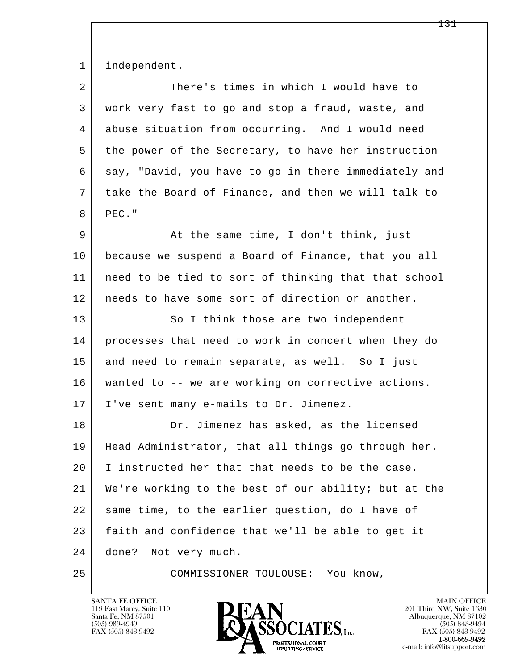1 independent.

| $\overline{a}$ | There's times in which I would have to               |
|----------------|------------------------------------------------------|
| 3              | work very fast to go and stop a fraud, waste, and    |
| 4              | abuse situation from occurring. And I would need     |
| 5              | the power of the Secretary, to have her instruction  |
| 6              | say, "David, you have to go in there immediately and |
| 7              | take the Board of Finance, and then we will talk to  |
| 8              | PEC."                                                |
| 9              | At the same time, I don't think, just                |
| 10             | because we suspend a Board of Finance, that you all  |
| 11             | need to be tied to sort of thinking that that school |
| 12             | needs to have some sort of direction or another.     |
| 13             | So I think those are two independent                 |
| 14             | processes that need to work in concert when they do  |
| 15             | and need to remain separate, as well. So I just      |
| 16             | wanted to -- we are working on corrective actions.   |
| 17             | I've sent many e-mails to Dr. Jimenez.               |
| 18             | Dr. Jimenez has asked, as the licensed               |
| 19             | Head Administrator, that all things go through her.  |
| 20             | I instructed her that that needs to be the case.     |
| 21             | We're working to the best of our ability; but at the |
| 22             | same time, to the earlier question, do I have of     |
| 23             | faith and confidence that we'll be able to get it    |
| 24             | done?<br>Not very much.                              |
| 25             | COMMISSIONER TOULOUSE:<br>You know,                  |

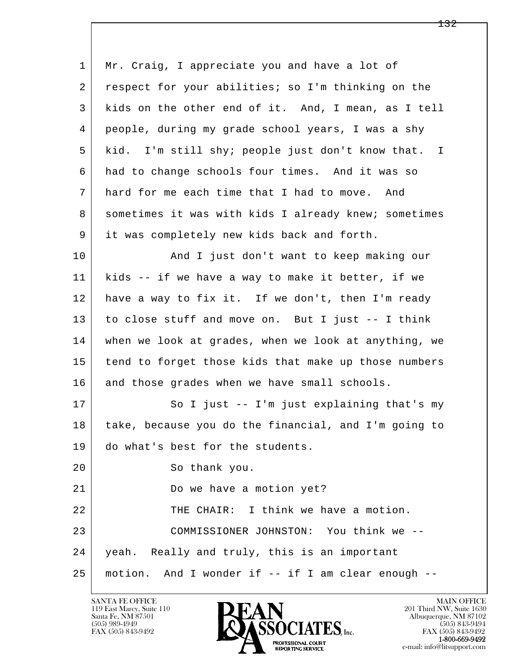l  $\overline{\phantom{a}}$  1 Mr. Craig, I appreciate you and have a lot of 2 respect for your abilities; so I'm thinking on the 3 kids on the other end of it. And, I mean, as I tell 4 people, during my grade school years, I was a shy 5 kid. I'm still shy; people just don't know that. I 6 had to change schools four times. And it was so 7 hard for me each time that I had to move. And 8 | sometimes it was with kids I already knew; sometimes 9 it was completely new kids back and forth. 10 | And I just don't want to keep making our 11 kids -- if we have a way to make it better, if we 12 have a way to fix it. If we don't, then I'm ready 13 to close stuff and move on. But I just -- I think 14 when we look at grades, when we look at anything, we 15 | tend to forget those kids that make up those numbers 16 and those grades when we have small schools. 17 So I just -- I'm just explaining that's my 18 take, because you do the financial, and I'm going to 19 do what's best for the students. 20 So thank you. 21 Do we have a motion yet? 22 THE CHAIR: I think we have a motion. 23 COMMISSIONER JOHNSTON: You think we -- 24 yeah. Really and truly, this is an important 25 motion. And I wonder if -- if I am clear enough --

119 East Marcy, Suite 110<br>Santa Fe, NM 87501



FAX (505) 843-9492<br>**1-800-669-9492**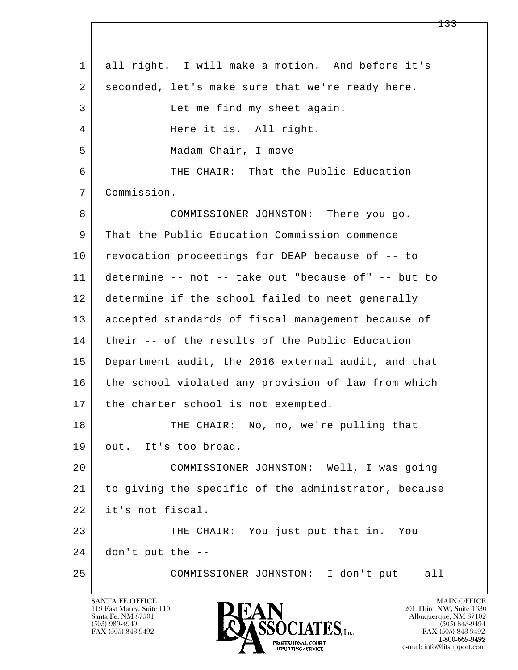l  $\overline{\phantom{a}}$  1 all right. I will make a motion. And before it's 2 seconded, let's make sure that we're ready here. 3 Let me find my sheet again. 4 Here it is. All right. 5 Madam Chair, I move -- 6 THE CHAIR: That the Public Education 7 Commission. 8 COMMISSIONER JOHNSTON: There you go. 9 That the Public Education Commission commence 10 revocation proceedings for DEAP because of -- to 11 determine -- not -- take out "because of" -- but to 12 determine if the school failed to meet generally 13 accepted standards of fiscal management because of 14 their -- of the results of the Public Education 15 Department audit, the 2016 external audit, and that 16 the school violated any provision of law from which 17 | the charter school is not exempted. 18 | THE CHAIR: No, no, we're pulling that 19 out. It's too broad. 20 COMMISSIONER JOHNSTON: Well, I was going 21 to giving the specific of the administrator, because 22 it's not fiscal. 23 THE CHAIR: You just put that in. You  $24$  don't put the  $-$ -25 COMMISSIONER JOHNSTON: I don't put -- all

119 East Marcy, Suite 110<br>Santa Fe, NM 87501

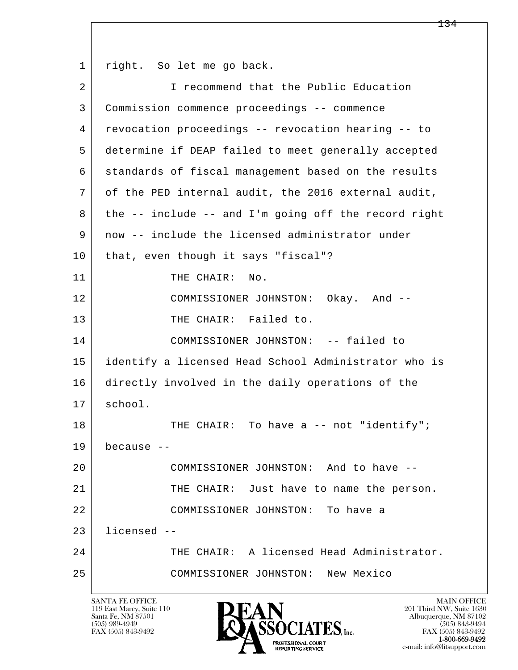l  $\overline{\phantom{a}}$ 1 right. So let me go back. 2 I recommend that the Public Education 3 Commission commence proceedings -- commence 4 revocation proceedings -- revocation hearing -- to 5 determine if DEAP failed to meet generally accepted 6 standards of fiscal management based on the results 7 of the PED internal audit, the 2016 external audit, 8 the -- include -- and I'm going off the record right 9 now -- include the licensed administrator under 10 | that, even though it says "fiscal"? 11 THE CHAIR: No. 12 COMMISSIONER JOHNSTON: Okay. And -- 13 THE CHAIR: Failed to. 14 COMMISSIONER JOHNSTON: -- failed to 15 identify a licensed Head School Administrator who is 16 directly involved in the daily operations of the 17 school. 18 | THE CHAIR: To have a -- not "identify"; 19 because -- 20 COMMISSIONER JOHNSTON: And to have -- 21 THE CHAIR: Just have to name the person. 22 COMMISSIONER JOHNSTON: To have a 23 licensed -- 24 THE CHAIR: A licensed Head Administrator. 25 COMMISSIONER JOHNSTON: New Mexico

119 East Marcy, Suite 110<br>Santa Fe, NM 87501

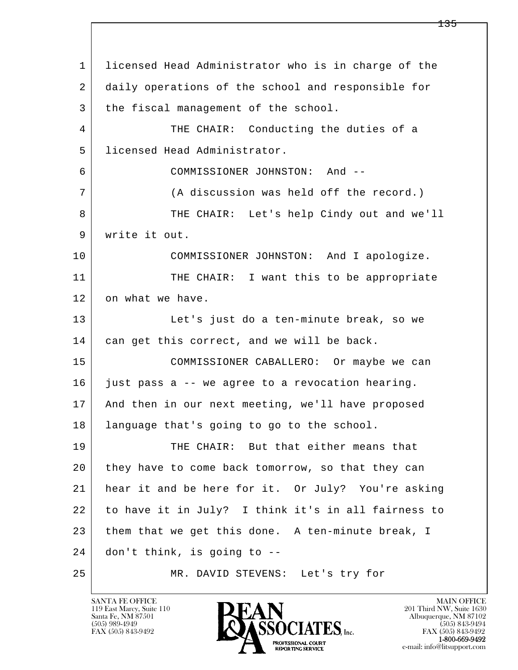l  $\overline{\phantom{a}}$  1 licensed Head Administrator who is in charge of the 2 daily operations of the school and responsible for 3 the fiscal management of the school. 4 THE CHAIR: Conducting the duties of a 5 licensed Head Administrator. 6 COMMISSIONER JOHNSTON: And -- 7 (A discussion was held off the record.) 8 THE CHAIR: Let's help Cindy out and we'll 9 write it out. 10 COMMISSIONER JOHNSTON: And I apologize. 11 THE CHAIR: I want this to be appropriate 12 on what we have. 13 Let's just do a ten-minute break, so we 14 can get this correct, and we will be back. 15 COMMISSIONER CABALLERO: Or maybe we can 16 just pass a -- we agree to a revocation hearing. 17 And then in our next meeting, we'll have proposed 18 language that's going to go to the school. 19 THE CHAIR: But that either means that 20 they have to come back tomorrow, so that they can 21 hear it and be here for it. Or July? You're asking 22 to have it in July? I think it's in all fairness to 23 them that we get this done. A ten-minute break, I 24 don't think, is going to -- 25 MR. DAVID STEVENS: Let's try for

119 East Marcy, Suite 110<br>Santa Fe, NM 87501

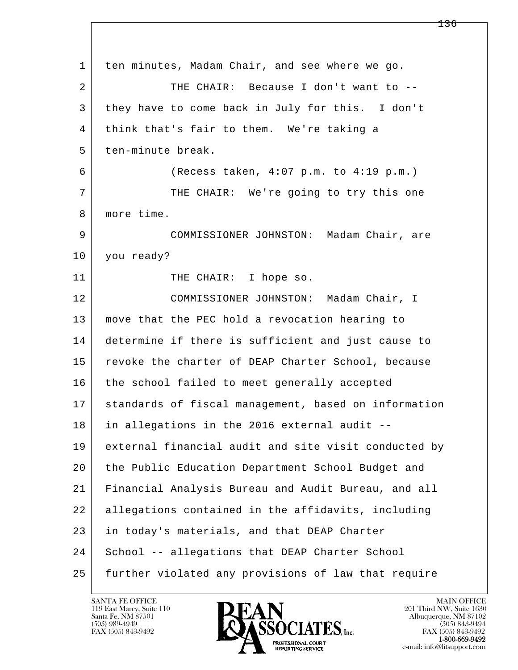l  $\overline{\phantom{a}}$  1 ten minutes, Madam Chair, and see where we go. 2 THE CHAIR: Because I don't want to -- 3 they have to come back in July for this. I don't 4 think that's fair to them. We're taking a 5 ten-minute break. 6 (Recess taken, 4:07 p.m. to 4:19 p.m.) 7 THE CHAIR: We're going to try this one 8 | more time. 9 COMMISSIONER JOHNSTON: Madam Chair, are 10 you ready? 11 THE CHAIR: I hope so. 12 COMMISSIONER JOHNSTON: Madam Chair, I 13 move that the PEC hold a revocation hearing to 14 determine if there is sufficient and just cause to 15 | revoke the charter of DEAP Charter School, because 16 the school failed to meet generally accepted 17 standards of fiscal management, based on information 18 in allegations in the 2016 external audit -- 19 external financial audit and site visit conducted by 20 the Public Education Department School Budget and 21 Financial Analysis Bureau and Audit Bureau, and all 22 allegations contained in the affidavits, including 23 in today's materials, and that DEAP Charter 24 School -- allegations that DEAP Charter School 25 further violated any provisions of law that require

119 East Marcy, Suite 110<br>Santa Fe, NM 87501



FAX (505) 843-9492<br>**1-800-669-9492**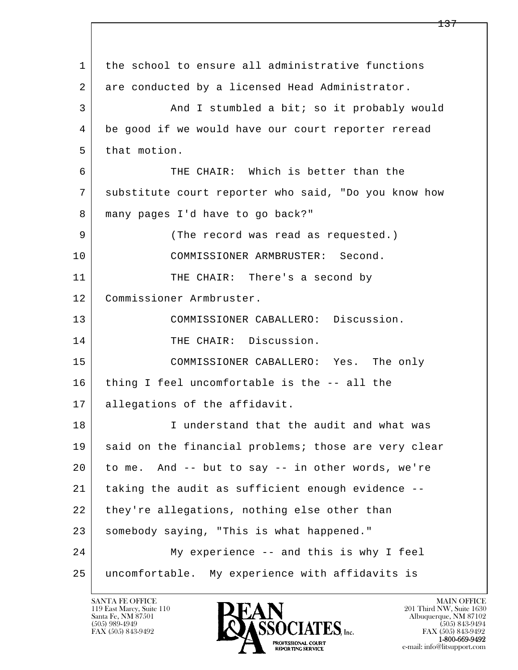| $\mathbf{1}$ | the school to ensure all administrative functions    |
|--------------|------------------------------------------------------|
| 2            | are conducted by a licensed Head Administrator.      |
| 3            | And I stumbled a bit; so it probably would           |
| 4            | be good if we would have our court reporter reread   |
| 5            | that motion.                                         |
| 6            | THE CHAIR: Which is better than the                  |
| 7            | substitute court reporter who said, "Do you know how |
| 8            | many pages I'd have to go back?"                     |
| 9            | (The record was read as requested.)                  |
| 10           | COMMISSIONER ARMBRUSTER: Second.                     |
| 11           | THE CHAIR: There's a second by                       |
| 12           | Commissioner Armbruster.                             |
| 13           | COMMISSIONER CABALLERO: Discussion.                  |
| 14           | THE CHAIR: Discussion.                               |
| 15           | COMMISSIONER CABALLERO: Yes. The only                |
| 16           | thing I feel uncomfortable is the -- all the         |
| 17           | allegations of the affidavit.                        |
| 18           | I understand that the audit and what was             |
| 19           | said on the financial problems; those are very clear |
| 20           | to me. And -- but to say -- in other words, we're    |
| 21           | taking the audit as sufficient enough evidence --    |
| 22           | they're allegations, nothing else other than         |
| 23           | somebody saying, "This is what happened."            |
| 24           | My experience -- and this is why I feel              |
| 25           | uncomfortable. My experience with affidavits is      |

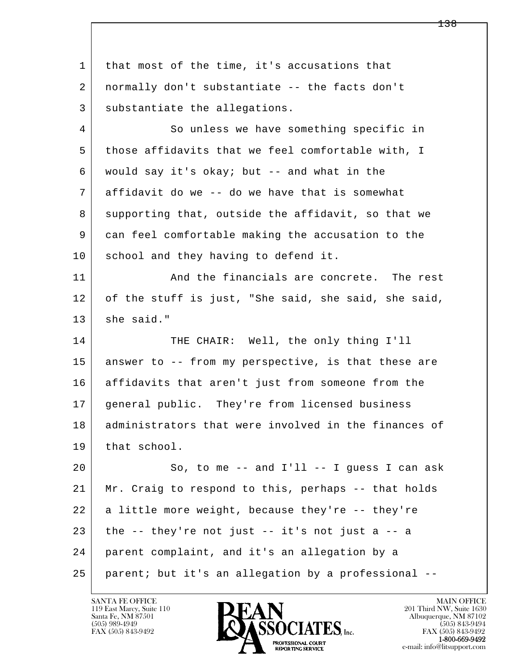l  $\overline{\phantom{a}}$ 1 that most of the time, it's accusations that 2 normally don't substantiate -- the facts don't 3 substantiate the allegations. 4 So unless we have something specific in 5 those affidavits that we feel comfortable with, I 6 would say it's okay; but -- and what in the 7 affidavit do we -- do we have that is somewhat 8 supporting that, outside the affidavit, so that we 9 can feel comfortable making the accusation to the 10 school and they having to defend it. 11 and the financials are concrete. The rest 12 of the stuff is just, "She said, she said, she said,  $13$  she said." 14 THE CHAIR: Well, the only thing I'll 15 answer to -- from my perspective, is that these are 16 affidavits that aren't just from someone from the 17 general public. They're from licensed business 18 | administrators that were involved in the finances of 19 that school.  $20$  So, to me -- and I'll -- I quess I can ask 21 Mr. Craig to respond to this, perhaps -- that holds 22 a little more weight, because they're -- they're  $23$  the  $-$  they're not just  $-$  it's not just a  $-$  a 24 parent complaint, and it's an allegation by a 25 parent; but it's an allegation by a professional --

119 East Marcy, Suite 110<br>Santa Fe, NM 87501

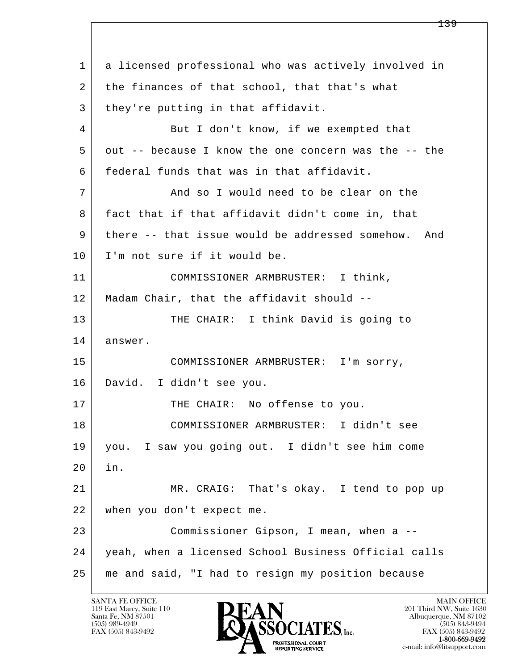l  $\overline{\phantom{a}}$  1 a licensed professional who was actively involved in 2 the finances of that school, that that's what 3 | they're putting in that affidavit. 4 | But I don't know, if we exempted that 5 out -- because I know the one concern was the -- the 6 federal funds that was in that affidavit. 7 And so I would need to be clear on the 8 fact that if that affidavit didn't come in, that 9 there -- that issue would be addressed somehow. And 10 | I'm not sure if it would be. 11 COMMISSIONER ARMBRUSTER: I think, 12 Madam Chair, that the affidavit should -- 13 THE CHAIR: I think David is going to 14 answer. 15 COMMISSIONER ARMBRUSTER: I'm sorry, 16 David. I didn't see you. 17 | THE CHAIR: No offense to you. 18 COMMISSIONER ARMBRUSTER: I didn't see 19 you. I saw you going out. I didn't see him come 20 in. 21 MR. CRAIG: That's okay. I tend to pop up 22 when you don't expect me. 23 Commissioner Gipson, I mean, when a -- 24 yeah, when a licensed School Business Official calls 25 me and said, "I had to resign my position because

119 East Marcy, Suite 110<br>Santa Fe, NM 87501



FAX (505) 843-9492<br>1-800-669-9492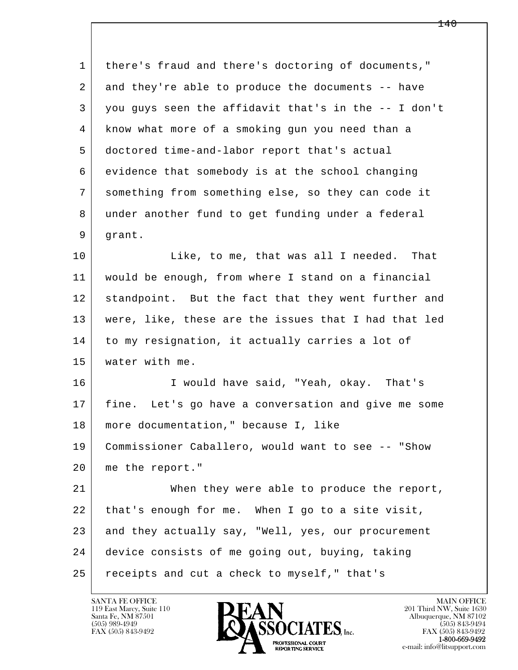| 1      | there's fraud and there's doctoring of documents,"   |
|--------|------------------------------------------------------|
| 2      | and they're able to produce the documents -- have    |
| 3      | you guys seen the affidavit that's in the -- I don't |
| 4      | know what more of a smoking gun you need than a      |
| 5      | doctored time-and-labor report that's actual         |
| 6      | evidence that somebody is at the school changing     |
| 7      | something from something else, so they can code it   |
| 8      | under another fund to get funding under a federal    |
| 9      | grant.                                               |
| 10     | Like, to me, that was all I needed.<br>That          |
| 11     | would be enough, from where I stand on a financial   |
| 12     | standpoint. But the fact that they went further and  |
| 13     | were, like, these are the issues that I had that led |
| 14     | to my resignation, it actually carries a lot of      |
| 15     | water with me.                                       |
| 16     | I would have said, "Yeah, okay. That's               |
| 17     | fine. Let's go have a conversation and give me some  |
| $18\,$ | more documentation, " because I, like                |
| 19     | Commissioner Caballero, would want to see -- "Show   |
| 20     | me the report."                                      |
| 21     | When they were able to produce the report,           |
| 22     | that's enough for me. When I go to a site visit,     |
| 23     | and they actually say, "Well, yes, our procurement   |
| 24     | device consists of me going out, buying, taking      |
| 25     | receipts and cut a check to myself," that's          |

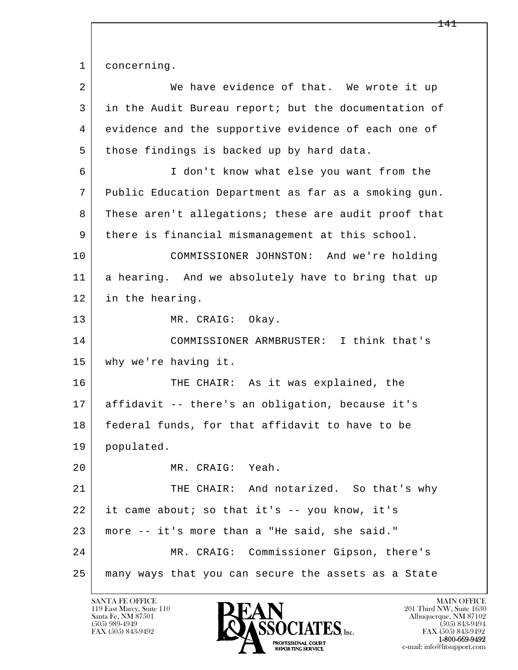1 concerning.

l  $\overline{\phantom{a}}$ 2 We have evidence of that. We wrote it up 3 in the Audit Bureau report; but the documentation of 4 evidence and the supportive evidence of each one of 5 those findings is backed up by hard data. 6 I don't know what else you want from the 7 Public Education Department as far as a smoking gun. 8 These aren't allegations; these are audit proof that 9 there is financial mismanagement at this school. 10 COMMISSIONER JOHNSTON: And we're holding 11 a hearing. And we absolutely have to bring that up 12 in the hearing. 13 MR. CRAIG: Okay. 14 COMMISSIONER ARMBRUSTER: I think that's 15 why we're having it. 16 THE CHAIR: As it was explained, the 17 affidavit -- there's an obligation, because it's 18 federal funds, for that affidavit to have to be 19 populated. 20 MR. CRAIG: Yeah. 21 THE CHAIR: And notarized. So that's why 22 it came about; so that it's -- you know, it's 23 more -- it's more than a "He said, she said." 24 MR. CRAIG: Commissioner Gipson, there's 25 many ways that you can secure the assets as a State

119 East Marcy, Suite 110<br>Santa Fe, NM 87501



FAX (505) 843-9492 FAX (505) 843-9492 e-mail: info@litsupport.com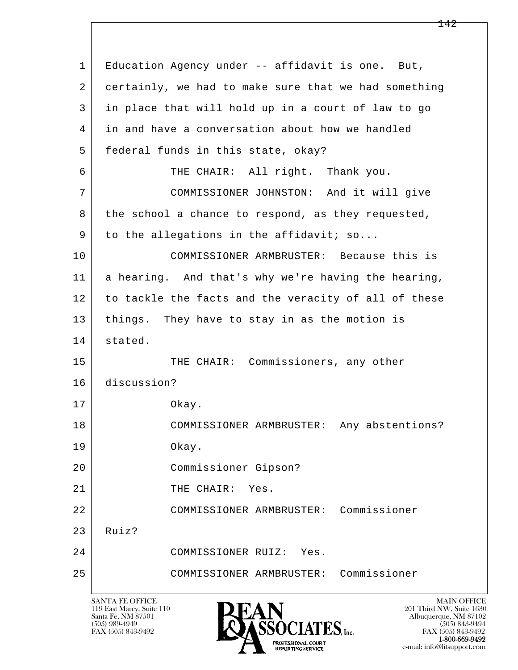l  $\overline{\phantom{a}}$  1 Education Agency under -- affidavit is one. But, 2 certainly, we had to make sure that we had something 3 in place that will hold up in a court of law to go 4 in and have a conversation about how we handled 5 | federal funds in this state, okay? 6 THE CHAIR: All right. Thank you. 7 COMMISSIONER JOHNSTON: And it will give 8 the school a chance to respond, as they requested, 9 to the allegations in the affidavit; so... 10 COMMISSIONER ARMBRUSTER: Because this is 11 a hearing. And that's why we're having the hearing, 12 to tackle the facts and the veracity of all of these 13 | things. They have to stay in as the motion is 14 stated. 15 | THE CHAIR: Commissioners, any other 16 discussion? 17 Okay. 18 COMMISSIONER ARMBRUSTER: Any abstentions? 19 Okay. 20 Commissioner Gipson? 21 THE CHAIR: Yes. 22 COMMISSIONER ARMBRUSTER: Commissioner  $23$  Ruiz? 24 COMMISSIONER RUIZ: Yes. 25 COMMISSIONER ARMBRUSTER: Commissioner

119 East Marcy, Suite 110<br>Santa Fe, NM 87501



FAX (505) 843-9492 FAX (505) 843-9492 e-mail: info@litsupport.com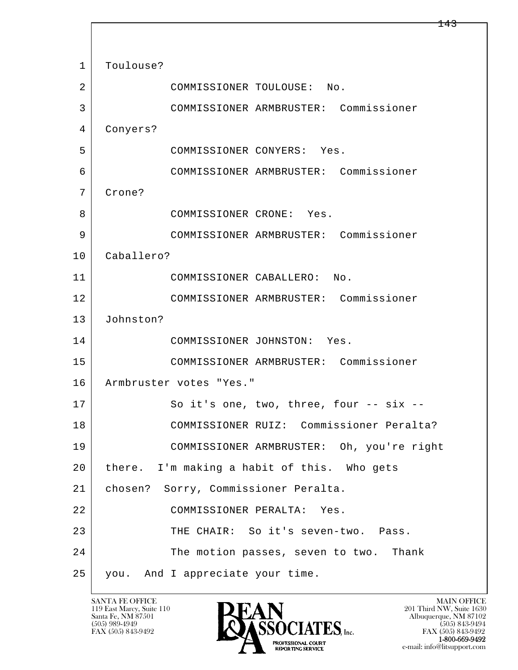l  $\overline{\phantom{a}}$ 1 | Toulouse? 2 COMMISSIONER TOULOUSE: No. 3 COMMISSIONER ARMBRUSTER: Commissioner 4 Conyers? 5 COMMISSIONER CONYERS: Yes. 6 COMMISSIONER ARMBRUSTER: Commissioner 7 Crone? 8 COMMISSIONER CRONE: Yes. 9 COMMISSIONER ARMBRUSTER: Commissioner 10 Caballero? 11 COMMISSIONER CABALLERO: No. 12 COMMISSIONER ARMBRUSTER: Commissioner 13 Johnston? 14 COMMISSIONER JOHNSTON: Yes. 15 COMMISSIONER ARMBRUSTER: Commissioner 16 Armbruster votes "Yes." 17 So it's one, two, three, four -- six -- 18 COMMISSIONER RUIZ: Commissioner Peralta? 19 COMMISSIONER ARMBRUSTER: Oh, you're right 20 there. I'm making a habit of this. Who gets 21 chosen? Sorry, Commissioner Peralta. 22 COMMISSIONER PERALTA: Yes. 23 THE CHAIR: So it's seven-two. Pass. 24 The motion passes, seven to two. Thank 25 you. And I appreciate your time.

119 East Marcy, Suite 110<br>Santa Fe, NM 87501

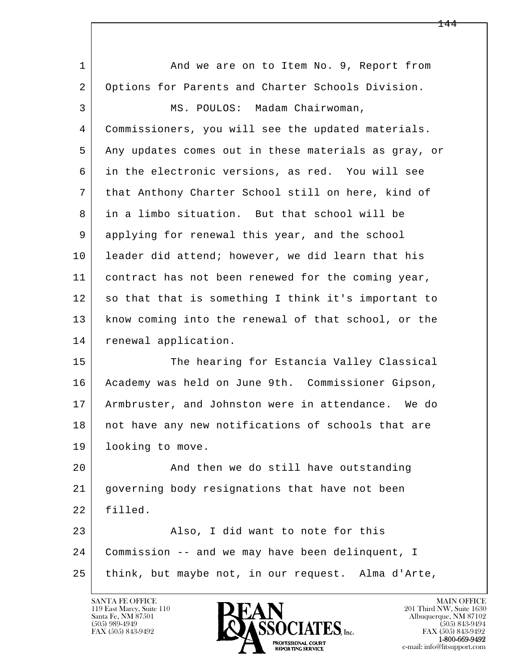l  $\overline{\phantom{a}}$ 1 and we are on to Item No. 9, Report from 2 Options for Parents and Charter Schools Division. 3 | MS. POULOS: Madam Chairwoman, 4 Commissioners, you will see the updated materials. 5 Any updates comes out in these materials as gray, or 6 in the electronic versions, as red. You will see 7 that Anthony Charter School still on here, kind of 8 in a limbo situation. But that school will be 9 applying for renewal this year, and the school 10 leader did attend; however, we did learn that his 11 contract has not been renewed for the coming year, 12 so that that is something I think it's important to 13 know coming into the renewal of that school, or the 14 renewal application. 15 The hearing for Estancia Valley Classical 16 Academy was held on June 9th. Commissioner Gipson, 17 Armbruster, and Johnston were in attendance. We do 18 | not have any new notifications of schools that are 19 | looking to move. 20 And then we do still have outstanding 21 governing body resignations that have not been 22 filled. 23 Also, I did want to note for this 24 Commission -- and we may have been delinquent, I 25 | think, but maybe not, in our request. Alma d'Arte,

119 East Marcy, Suite 110<br>Santa Fe, NM 87501

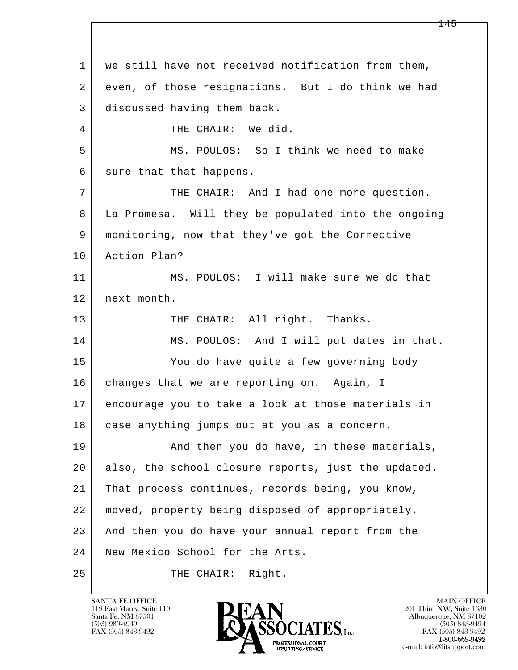l  $\overline{\phantom{a}}$ 1 we still have not received notification from them, 2 even, of those resignations. But I do think we had 3 discussed having them back. 4 THE CHAIR: We did. 5 MS. POULOS: So I think we need to make 6 sure that that happens. 7 THE CHAIR: And I had one more question. 8 La Promesa. Will they be populated into the ongoing 9 monitoring, now that they've got the Corrective 10 Action Plan? 11 MS. POULOS: I will make sure we do that 12 next month. 13 THE CHAIR: All right. Thanks. 14 MS. POULOS: And I will put dates in that. 15 You do have quite a few governing body 16 changes that we are reporting on. Again, I 17 encourage you to take a look at those materials in 18 | case anything jumps out at you as a concern. 19 | And then you do have, in these materials, 20 also, the school closure reports, just the updated. 21 That process continues, records being, you know, 22 moved, property being disposed of appropriately. 23 And then you do have your annual report from the 24 New Mexico School for the Arts. 25 THE CHAIR: Right.

119 East Marcy, Suite 110<br>Santa Fe, NM 87501



FAX (505) 843-9492<br>1-800-669-9492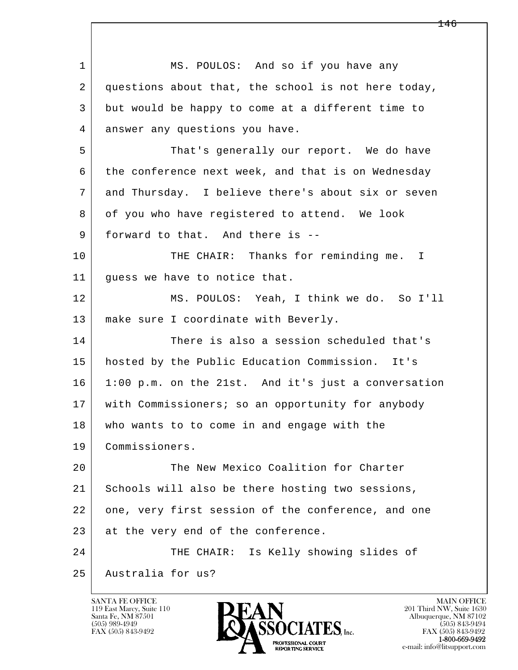l  $\overline{\phantom{a}}$ 1 MS. POULOS: And so if you have any 2 questions about that, the school is not here today, 3 but would be happy to come at a different time to 4 answer any questions you have. 5 | That's generally our report. We do have  $6$  the conference next week, and that is on Wednesday 7 and Thursday. I believe there's about six or seven 8 of you who have registered to attend. We look 9 | forward to that. And there is --10 THE CHAIR: Thanks for reminding me. I 11 | quess we have to notice that. 12 MS. POULOS: Yeah, I think we do. So I'll 13 make sure I coordinate with Beverly. 14 There is also a session scheduled that's 15 hosted by the Public Education Commission. It's 16 1:00 p.m. on the 21st. And it's just a conversation 17 | with Commissioners; so an opportunity for anybody 18 | who wants to to come in and engage with the 19 Commissioners. 20 The New Mexico Coalition for Charter 21 Schools will also be there hosting two sessions, 22 one, very first session of the conference, and one 23 at the very end of the conference. 24 THE CHAIR: Is Kelly showing slides of 25 Australia for us?

119 East Marcy, Suite 110<br>Santa Fe, NM 87501

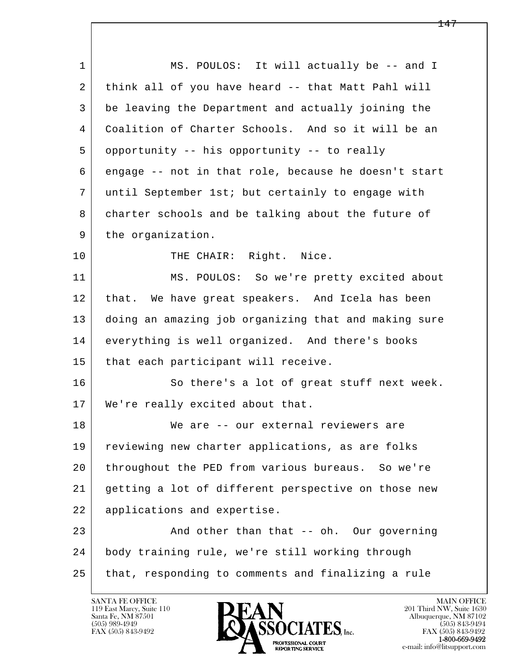l  $\overline{\phantom{a}}$ 1 MS. POULOS: It will actually be -- and I 2 think all of you have heard -- that Matt Pahl will 3 be leaving the Department and actually joining the 4 Coalition of Charter Schools. And so it will be an 5 opportunity -- his opportunity -- to really 6 engage -- not in that role, because he doesn't start 7 until September 1st; but certainly to engage with 8 charter schools and be talking about the future of 9 the organization. 10 THE CHAIR: Right. Nice. 11 MS. POULOS: So we're pretty excited about 12 that. We have great speakers. And Icela has been 13 doing an amazing job organizing that and making sure 14 everything is well organized. And there's books 15 | that each participant will receive. 16 So there's a lot of great stuff next week. 17 We're really excited about that. 18 We are -- our external reviewers are 19 | reviewing new charter applications, as are folks 20 throughout the PED from various bureaus. So we're 21 getting a lot of different perspective on those new 22 applications and expertise. 23 And other than that -- oh. Our governing 24 body training rule, we're still working through 25 that, responding to comments and finalizing a rule

119 East Marcy, Suite 110<br>Santa Fe, NM 87501

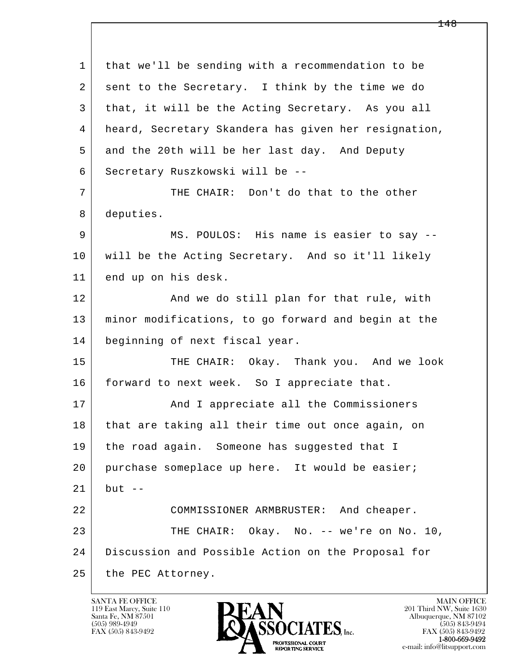l  $\overline{\phantom{a}}$  1 that we'll be sending with a recommendation to be 2 sent to the Secretary. I think by the time we do 3 that, it will be the Acting Secretary. As you all 4 heard, Secretary Skandera has given her resignation, 5 and the 20th will be her last day. And Deputy 6 Secretary Ruszkowski will be -- 7 THE CHAIR: Don't do that to the other 8 deputies. 9 MS. POULOS: His name is easier to say -- 10 will be the Acting Secretary. And so it'll likely 11 end up on his desk. 12 | The Rand we do still plan for that rule, with 13 minor modifications, to go forward and begin at the 14 beginning of next fiscal year. 15 THE CHAIR: Okay. Thank you. And we look 16 forward to next week. So I appreciate that. 17 | And I appreciate all the Commissioners 18 that are taking all their time out once again, on 19 the road again. Someone has suggested that I 20 purchase someplace up here. It would be easier;  $21$  but  $-$  22 COMMISSIONER ARMBRUSTER: And cheaper. 23 THE CHAIR: Okay. No. -- we're on No. 10, 24 Discussion and Possible Action on the Proposal for 25 the PEC Attorney.

119 East Marcy, Suite 110<br>Santa Fe, NM 87501

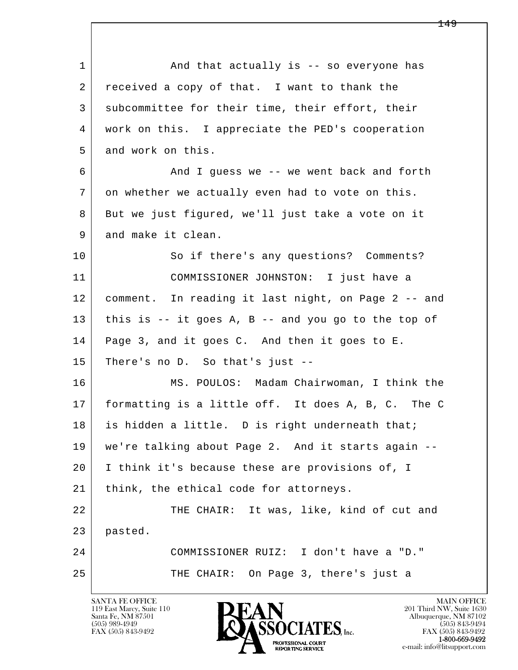l  $\overline{\phantom{a}}$ 1 and that actually is -- so everyone has 2 | received a copy of that. I want to thank the 3 subcommittee for their time, their effort, their 4 work on this. I appreciate the PED's cooperation 5 and work on this. 6 And I guess we -- we went back and forth 7 on whether we actually even had to vote on this. 8 But we just figured, we'll just take a vote on it 9 and make it clean. 10 So if there's any questions? Comments? 11 COMMISSIONER JOHNSTON: I just have a 12 comment. In reading it last night, on Page 2 -- and  $13$  this is -- it goes A, B -- and you go to the top of 14 | Page 3, and it goes C. And then it goes to E. 15 There's no D. So that's just -- 16 MS. POULOS: Madam Chairwoman, I think the 17 formatting is a little off. It does A, B, C. The C 18 is hidden a little. D is right underneath that; 19 we're talking about Page 2. And it starts again -- 20 I think it's because these are provisions of, I 21 | think, the ethical code for attorneys. 22 THE CHAIR: It was, like, kind of cut and 23 pasted. 24 COMMISSIONER RUIZ: I don't have a "D." 25 THE CHAIR: On Page 3, there's just a

119 East Marcy, Suite 110<br>Santa Fe, NM 87501



FAX (505) 843-9492 FAX (505) 843-9492 e-mail: info@litsupport.com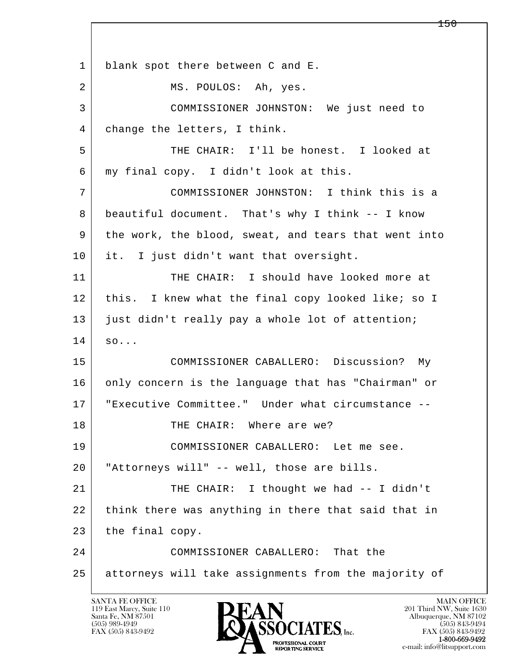l  $\overline{\phantom{a}}$ 1 blank spot there between C and E. 2 MS. POULOS: Ah, yes. 3 COMMISSIONER JOHNSTON: We just need to 4 change the letters, I think. 5 THE CHAIR: I'll be honest. I looked at 6 my final copy. I didn't look at this. 7 COMMISSIONER JOHNSTON: I think this is a 8 beautiful document. That's why I think -- I know 9 the work, the blood, sweat, and tears that went into 10 it. I just didn't want that oversight. 11 THE CHAIR: I should have looked more at 12 this. I knew what the final copy looked like; so I 13 just didn't really pay a whole lot of attention;  $14$  so... 15 COMMISSIONER CABALLERO: Discussion? My 16 only concern is the language that has "Chairman" or 17 "Executive Committee." Under what circumstance -- 18 | THE CHAIR: Where are we? 19 COMMISSIONER CABALLERO: Let me see. 20 "Attorneys will" -- well, those are bills. 21 | THE CHAIR: I thought we had -- I didn't 22 think there was anything in there that said that in 23 the final copy. 24 COMMISSIONER CABALLERO: That the 25 attorneys will take assignments from the majority of

119 East Marcy, Suite 110<br>Santa Fe, NM 87501

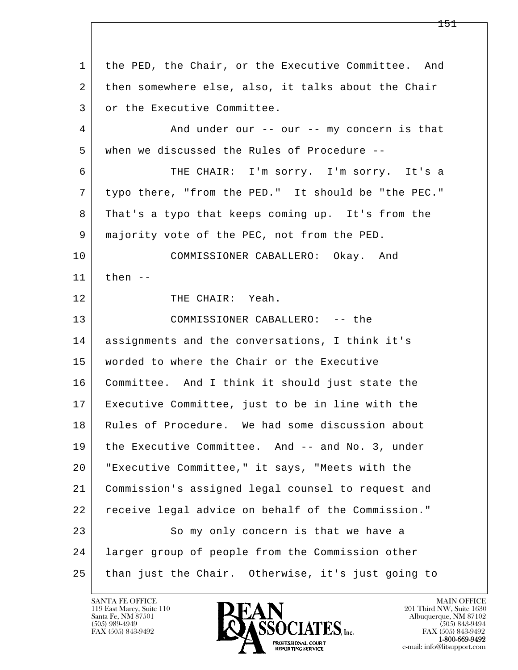l  $\overline{\phantom{a}}$  1 the PED, the Chair, or the Executive Committee. And 2 then somewhere else, also, it talks about the Chair 3 or the Executive Committee. 4 And under our -- our -- my concern is that 5 when we discussed the Rules of Procedure -- 6 THE CHAIR: I'm sorry. I'm sorry. It's a 7 typo there, "from the PED." It should be "the PEC." 8 That's a typo that keeps coming up. It's from the 9 majority vote of the PEC, not from the PED. 10 COMMISSIONER CABALLERO: Okay. And 11 then -- 12 THE CHAIR: Yeah. 13 COMMISSIONER CABALLERO: -- the 14 assignments and the conversations, I think it's 15 worded to where the Chair or the Executive 16 Committee. And I think it should just state the 17 Executive Committee, just to be in line with the 18 | Rules of Procedure. We had some discussion about 19 the Executive Committee. And -- and No. 3, under 20 "Executive Committee," it says, "Meets with the 21 Commission's assigned legal counsel to request and 22 receive legal advice on behalf of the Commission." 23 So my only concern is that we have a 24 larger group of people from the Commission other 25 than just the Chair. Otherwise, it's just going to

119 East Marcy, Suite 110<br>Santa Fe, NM 87501



FAX (505) 843-9492<br>1-800-669-9492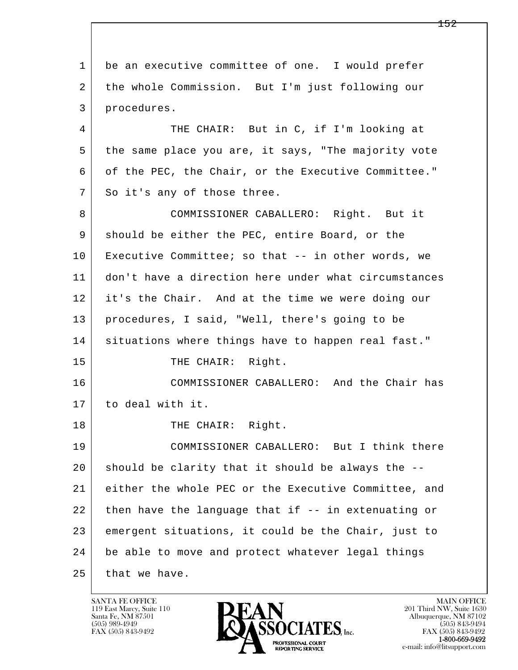l  $\overline{\phantom{a}}$  1 be an executive committee of one. I would prefer 2 the whole Commission. But I'm just following our 3 procedures. 4 THE CHAIR: But in C, if I'm looking at 5 the same place you are, it says, "The majority vote 6 of the PEC, the Chair, or the Executive Committee." 7 So it's any of those three. 8 COMMISSIONER CABALLERO: Right. But it 9 | should be either the PEC, entire Board, or the 10 Executive Committee; so that -- in other words, we 11 don't have a direction here under what circumstances 12 it's the Chair. And at the time we were doing our 13 procedures, I said, "Well, there's going to be 14 situations where things have to happen real fast." 15 THE CHAIR: Right. 16 COMMISSIONER CABALLERO: And the Chair has 17 to deal with it. 18 | THE CHAIR: Right. 19 COMMISSIONER CABALLERO: But I think there  $20$  should be clarity that it should be always the  $-$ - 21 either the whole PEC or the Executive Committee, and 22 then have the language that if -- in extenuating or 23 emergent situations, it could be the Chair, just to 24 be able to move and protect whatever legal things 25 that we have.

119 East Marcy, Suite 110<br>Santa Fe, NM 87501

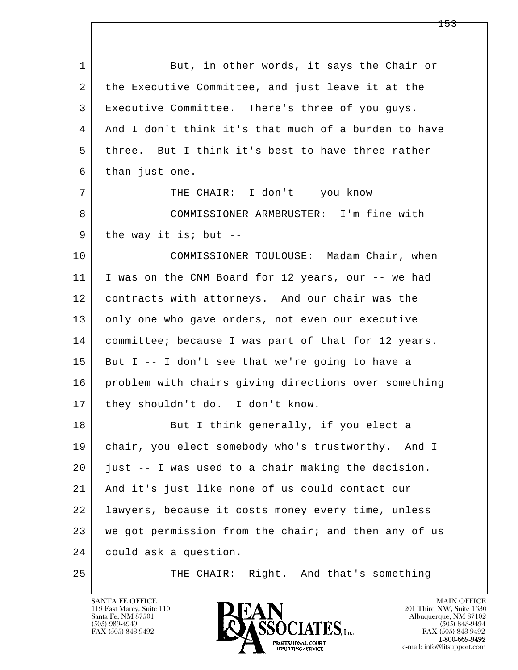l  $\overline{\phantom{a}}$ 1 But, in other words, it says the Chair or 2 | the Executive Committee, and just leave it at the 3 Executive Committee. There's three of you guys. 4 And I don't think it's that much of a burden to have 5 three. But I think it's best to have three rather 6 than just one. 7 THE CHAIR: I don't -- you know -- 8 COMMISSIONER ARMBRUSTER: I'm fine with  $9$  the way it is; but --10 COMMISSIONER TOULOUSE: Madam Chair, when 11 I was on the CNM Board for 12 years, our -- we had 12 contracts with attorneys. And our chair was the 13 only one who gave orders, not even our executive 14 committee; because I was part of that for 12 years.  $15$  But I -- I don't see that we're going to have a 16 problem with chairs giving directions over something 17 | they shouldn't do. I don't know. 18 But I think generally, if you elect a 19 chair, you elect somebody who's trustworthy. And I 20 just -- I was used to a chair making the decision. 21 And it's just like none of us could contact our 22 lawyers, because it costs money every time, unless 23 we got permission from the chair; and then any of us 24 could ask a question. 25 THE CHAIR: Right. And that's something

119 East Marcy, Suite 110<br>Santa Fe, NM 87501

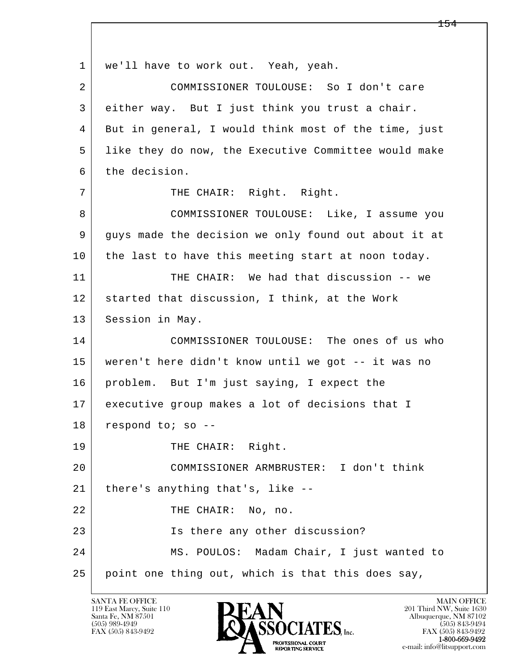l  $\overline{\phantom{a}}$ 1 | we'll have to work out. Yeah, yeah. 2 COMMISSIONER TOULOUSE: So I don't care 3 either way. But I just think you trust a chair. 4 But in general, I would think most of the time, just 5 like they do now, the Executive Committee would make 6 the decision. 7 | THE CHAIR: Right. Right. 8 COMMISSIONER TOULOUSE: Like, I assume you 9 guys made the decision we only found out about it at 10 the last to have this meeting start at noon today. 11 THE CHAIR: We had that discussion -- we 12 | started that discussion, I think, at the Work 13 Session in May. 14 COMMISSIONER TOULOUSE: The ones of us who 15 weren't here didn't know until we got -- it was no 16 problem. But I'm just saying, I expect the 17 executive group makes a lot of decisions that I 18 respond to; so --19 THE CHAIR: Right. 20 COMMISSIONER ARMBRUSTER: I don't think 21 there's anything that's, like -- 22 THE CHAIR: No, no. 23 Is there any other discussion? 24 MS. POULOS: Madam Chair, I just wanted to 25 point one thing out, which is that this does say,

119 East Marcy, Suite 110<br>Santa Fe, NM 87501

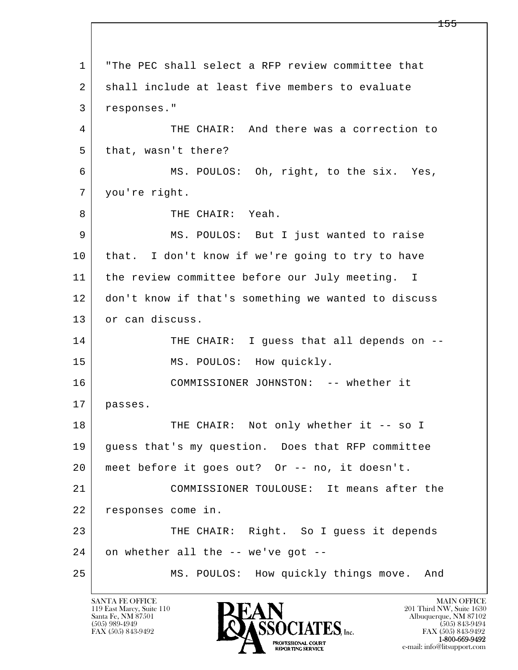l  $\overline{\phantom{a}}$  1 "The PEC shall select a RFP review committee that 2 shall include at least five members to evaluate 3 responses." 4 THE CHAIR: And there was a correction to 5 | that, wasn't there? 6 MS. POULOS: Oh, right, to the six. Yes, 7 | you're right. 8 THE CHAIR: Yeah. 9 MS. POULOS: But I just wanted to raise 10 that. I don't know if we're going to try to have 11 | the review committee before our July meeting. I 12 don't know if that's something we wanted to discuss 13 or can discuss. 14 THE CHAIR: I quess that all depends on --15 | MS. POULOS: How quickly. 16 COMMISSIONER JOHNSTON: -- whether it 17 passes. 18 | THE CHAIR: Not only whether it -- so I 19 guess that's my question. Does that RFP committee 20 | meet before it goes out? Or -- no, it doesn't. 21 COMMISSIONER TOULOUSE: It means after the 22 responses come in. 23 THE CHAIR: Right. So I quess it depends  $24$  on whether all the  $-$ - we've got  $-$ -25 MS. POULOS: How quickly things move. And

119 East Marcy, Suite 110<br>Santa Fe, NM 87501

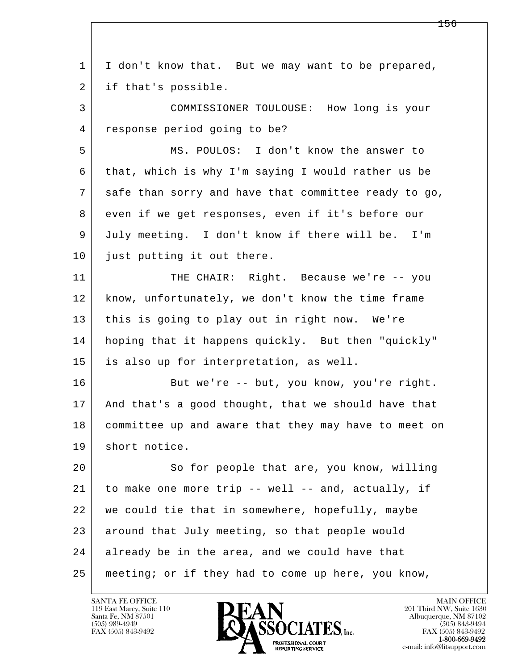l  $\overline{\phantom{a}}$  1 I don't know that. But we may want to be prepared, 2 if that's possible. 3 COMMISSIONER TOULOUSE: How long is your 4 response period going to be? 5 MS. POULOS: I don't know the answer to 6 that, which is why I'm saying I would rather us be 7 safe than sorry and have that committee ready to go, 8 even if we get responses, even if it's before our 9 July meeting. I don't know if there will be. I'm 10 just putting it out there. 11 THE CHAIR: Right. Because we're -- you 12 know, unfortunately, we don't know the time frame 13 this is going to play out in right now. We're 14 hoping that it happens quickly. But then "quickly" 15 is also up for interpretation, as well. 16 But we're -- but, you know, you're right. 17 And that's a good thought, that we should have that 18 committee up and aware that they may have to meet on 19 short notice. 20 So for people that are, you know, willing 21 to make one more trip -- well -- and, actually, if 22 we could tie that in somewhere, hopefully, maybe 23 around that July meeting, so that people would 24 already be in the area, and we could have that 25 meeting; or if they had to come up here, you know,

119 East Marcy, Suite 110<br>Santa Fe, NM 87501

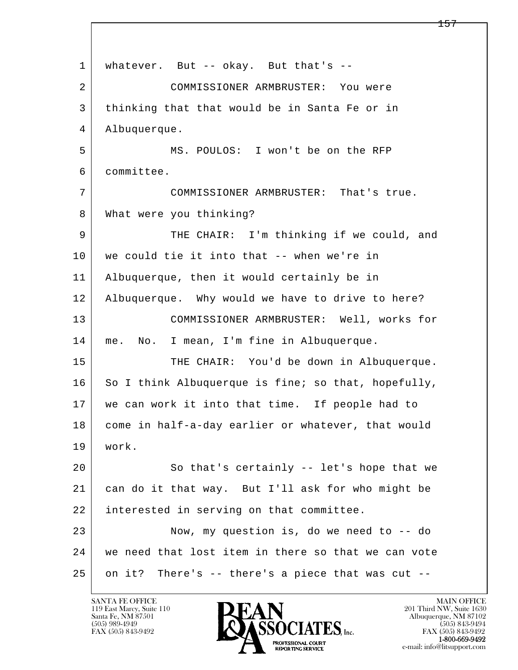l  $\overline{\phantom{a}}$ 1 | whatever. But -- okay. But that's -- 2 COMMISSIONER ARMBRUSTER: You were 3 thinking that that would be in Santa Fe or in 4 Albuquerque. 5 MS. POULOS: I won't be on the RFP 6 committee. 7 COMMISSIONER ARMBRUSTER: That's true. 8 | What were you thinking? 9 THE CHAIR: I'm thinking if we could, and 10 | we could tie it into that -- when we're in 11 Albuquerque, then it would certainly be in 12 Albuquerque. Why would we have to drive to here? 13 COMMISSIONER ARMBRUSTER: Well, works for 14 me. No. I mean, I'm fine in Albuquerque. 15 | THE CHAIR: You'd be down in Albuquerque.  $16$  So I think Albuquerque is fine; so that, hopefully, 17 we can work it into that time. If people had to 18 come in half-a-day earlier or whatever, that would 19 work. 20 So that's certainly -- let's hope that we 21 can do it that way. But I'll ask for who might be 22 interested in serving on that committee. 23 Now, my question is, do we need to -- do 24 we need that lost item in there so that we can vote  $25$  on it? There's  $-$  there's a piece that was cut  $-$ 

119 East Marcy, Suite 110<br>Santa Fe, NM 87501

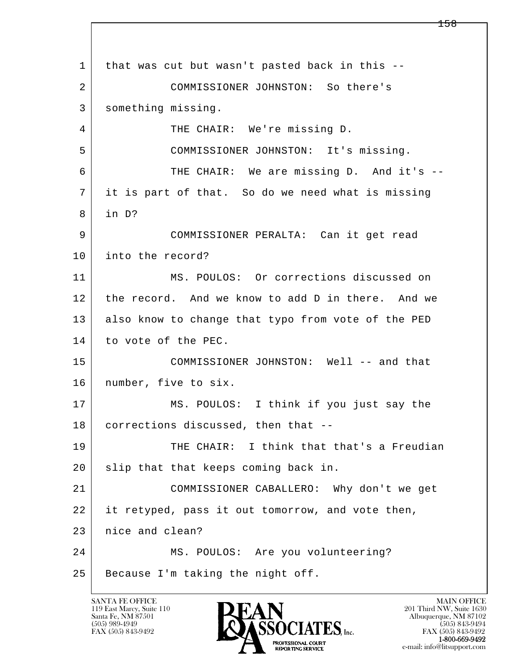l  $\overline{\phantom{a}}$  1 that was cut but wasn't pasted back in this -- 2 COMMISSIONER JOHNSTON: So there's 3 something missing. 4 THE CHAIR: We're missing D. 5 COMMISSIONER JOHNSTON: It's missing. 6 THE CHAIR: We are missing D. And it's -- 7 it is part of that. So do we need what is missing  $8$  in D? 9 COMMISSIONER PERALTA: Can it get read 10 into the record? 11 MS. POULOS: Or corrections discussed on 12 the record. And we know to add D in there. And we 13 also know to change that typo from vote of the PED 14 to vote of the PEC. 15 COMMISSIONER JOHNSTON: Well -- and that 16 number, five to six. 17 | MS. POULOS: I think if you just say the 18 corrections discussed, then that -- 19 THE CHAIR: I think that that's a Freudian 20 | slip that that keeps coming back in. 21 COMMISSIONER CABALLERO: Why don't we get 22 it retyped, pass it out tomorrow, and vote then, 23 | nice and clean? 24 MS. POULOS: Are you volunteering? 25 Because I'm taking the night off.

119 East Marcy, Suite 110<br>Santa Fe, NM 87501

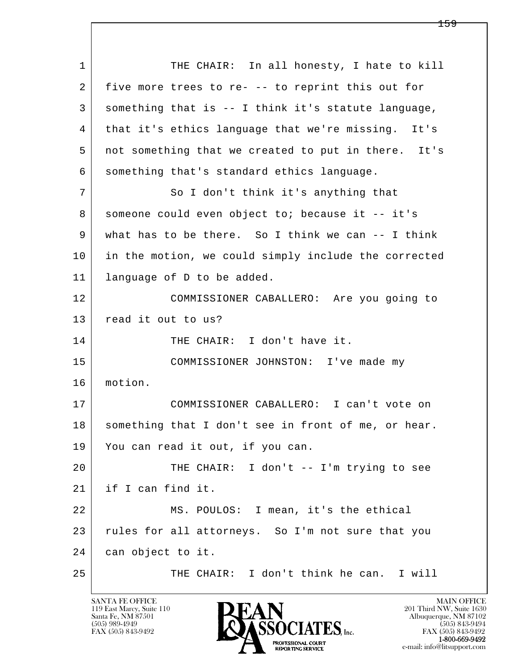l  $\overline{\phantom{a}}$ 1 THE CHAIR: In all honesty, I hate to kill 2 five more trees to re- -- to reprint this out for 3 something that is -- I think it's statute language, 4 that it's ethics language that we're missing. It's 5 not something that we created to put in there. It's 6 something that's standard ethics language. 7 So I don't think it's anything that 8 someone could even object to; because it -- it's 9 what has to be there. So I think we can -- I think 10 in the motion, we could simply include the corrected 11 language of D to be added. 12 COMMISSIONER CABALLERO: Are you going to 13 | read it out to us? 14 THE CHAIR: I don't have it. 15 COMMISSIONER JOHNSTON: I've made my 16 motion. 17 COMMISSIONER CABALLERO: I can't vote on 18 | something that I don't see in front of me, or hear. 19 You can read it out, if you can. 20 THE CHAIR: I don't -- I'm trying to see 21 if I can find it. 22 MS. POULOS: I mean, it's the ethical 23 rules for all attorneys. So I'm not sure that you 24 can object to it. 25 THE CHAIR: I don't think he can. I will

119 East Marcy, Suite 110<br>Santa Fe, NM 87501

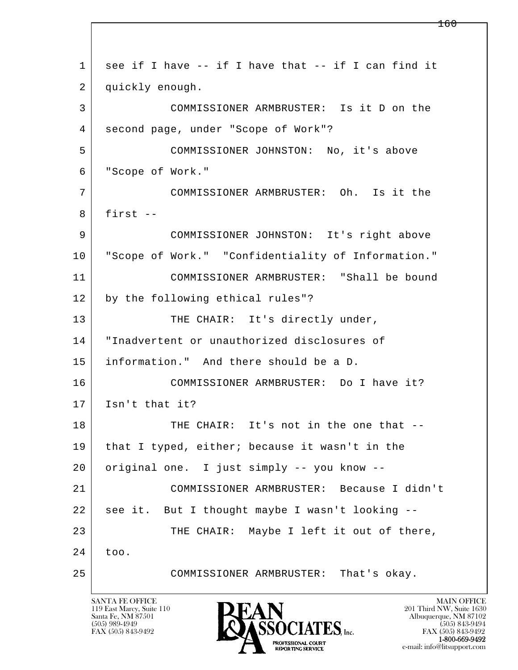l  $\overline{\phantom{a}}$  1 see if I have -- if I have that -- if I can find it 2 quickly enough. 3 COMMISSIONER ARMBRUSTER: Is it D on the 4 second page, under "Scope of Work"? 5 COMMISSIONER JOHNSTON: No, it's above 6 "Scope of Work." 7 COMMISSIONER ARMBRUSTER: Oh. Is it the  $8$  first  $-$  9 COMMISSIONER JOHNSTON: It's right above 10 "Scope of Work." "Confidentiality of Information." 11 COMMISSIONER ARMBRUSTER: "Shall be bound 12 by the following ethical rules"? 13 THE CHAIR: It's directly under, 14 "Inadvertent or unauthorized disclosures of 15 information." And there should be a D. 16 COMMISSIONER ARMBRUSTER: Do I have it? 17 Isn't that it? 18 | THE CHAIR: It's not in the one that -- 19 that I typed, either; because it wasn't in the 20 original one. I just simply -- you know -- 21 COMMISSIONER ARMBRUSTER: Because I didn't 22 see it. But I thought maybe I wasn't looking -- 23 THE CHAIR: Maybe I left it out of there, 24 too. 25 COMMISSIONER ARMBRUSTER: That's okay.

119 East Marcy, Suite 110<br>Santa Fe, NM 87501

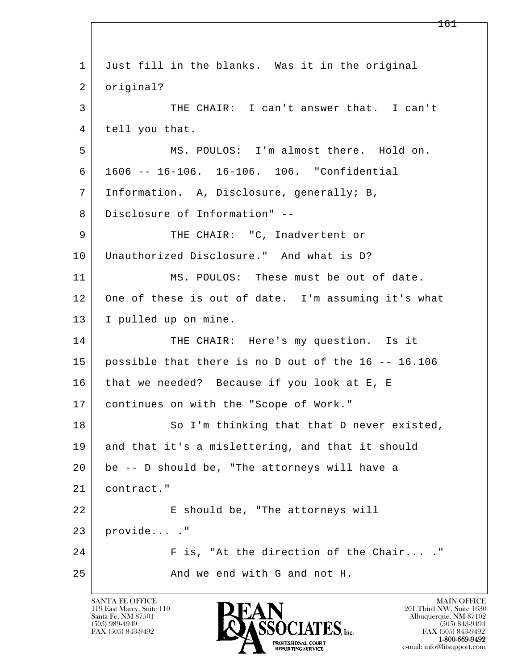| $\mathbf{1}$ | Just fill in the blanks. Was it in the original     |
|--------------|-----------------------------------------------------|
| 2            | original?                                           |
| 3            | THE CHAIR: I can't answer that. I can't             |
| 4            | tell you that.                                      |
| 5            | MS. POULOS: I'm almost there. Hold on.              |
| 6            | 1606 -- 16-106. 16-106. 106. "Confidential          |
| 7            | Information. A, Disclosure, generally; B,           |
| 8            | Disclosure of Information" --                       |
| 9            | THE CHAIR: "C, Inadvertent or                       |
| 10           | Unauthorized Disclosure." And what is D?            |
| 11           | MS. POULOS: These must be out of date.              |
| 12           | One of these is out of date. I'm assuming it's what |
| 13           | I pulled up on mine.                                |
| 14           | THE CHAIR: Here's my question. Is it                |
| 15           | possible that there is no D out of the 16 -- 16.106 |
| 16           | that we needed? Because if you look at E, E         |
| 17           | continues on with the "Scope of Work."              |
| 18           | So I'm thinking that that D never existed,          |
| 19           | and that it's a mislettering, and that it should    |
| 20           | be -- D should be, "The attorneys will have a       |
| 21           | contract."                                          |
| 22           | E should be, "The attorneys will                    |
| 23           | provide ."                                          |
| 24           | F is, "At the direction of the Chair"               |
| 25           | And we end with G and not H.                        |
|              |                                                     |

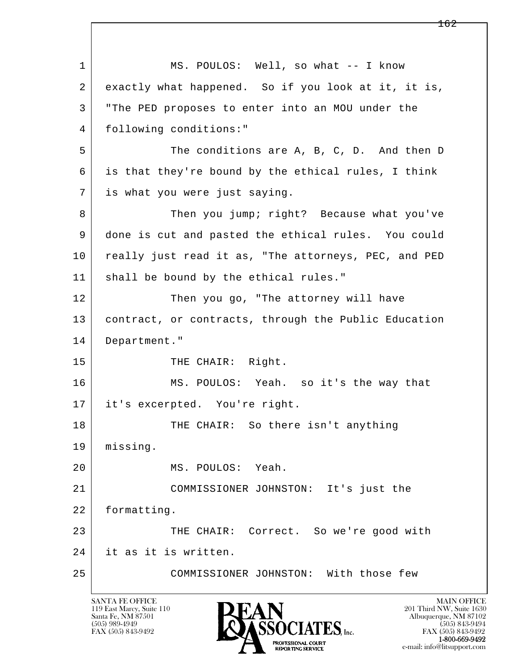l  $\overline{\phantom{a}}$ 1 MS. POULOS: Well, so what -- I know 2 exactly what happened. So if you look at it, it is, 3 "The PED proposes to enter into an MOU under the 4 following conditions:" 5 | The conditions are A, B, C, D. And then D 6 is that they're bound by the ethical rules, I think 7 is what you were just saying. 8 Then you jump; right? Because what you've 9 done is cut and pasted the ethical rules. You could 10 really just read it as, "The attorneys, PEC, and PED 11 shall be bound by the ethical rules." 12 Then you go, "The attorney will have 13 contract, or contracts, through the Public Education 14 Department." 15 THE CHAIR: Right. 16 MS. POULOS: Yeah. so it's the way that 17 it's excerpted. You're right. 18 THE CHAIR: So there isn't anything 19 missing. 20 MS. POULOS: Yeah. 21 COMMISSIONER JOHNSTON: It's just the 22 formatting. 23 THE CHAIR: Correct. So we're good with 24 it as it is written. 25 COMMISSIONER JOHNSTON: With those few

119 East Marcy, Suite 110<br>Santa Fe, NM 87501

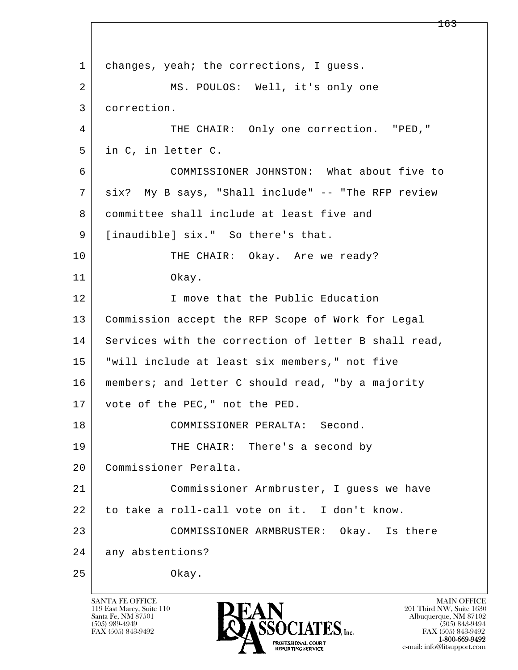l  $\overline{\phantom{a}}$ 1 changes, yeah; the corrections, I guess. 2 MS. POULOS: Well, it's only one 3 correction. 4 THE CHAIR: Only one correction. "PED," 5 in C, in letter C. 6 COMMISSIONER JOHNSTON: What about five to 7 six? My B says, "Shall include" -- "The RFP review 8 committee shall include at least five and 9 [inaudible] six." So there's that. 10 THE CHAIR: Okay. Are we ready? 11 Okay. 12 I move that the Public Education 13 Commission accept the RFP Scope of Work for Legal 14 Services with the correction of letter B shall read, 15 "will include at least six members," not five 16 members; and letter C should read, "by a majority 17 vote of the PEC," not the PED. 18 COMMISSIONER PERALTA: Second. 19 THE CHAIR: There's a second by 20 Commissioner Peralta. 21 Commissioner Armbruster, I guess we have 22 to take a roll-call vote on it. I don't know. 23 COMMISSIONER ARMBRUSTER: Okay. Is there 24 any abstentions? 25 Okay.

119 East Marcy, Suite 110<br>Santa Fe, NM 87501

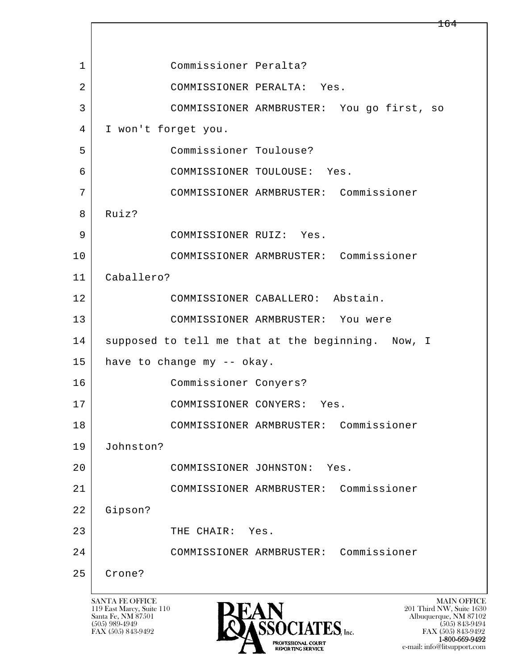l  $\overline{\phantom{a}}$  1 Commissioner Peralta? 2 COMMISSIONER PERALTA: Yes. 3 COMMISSIONER ARMBRUSTER: You go first, so 4 I won't forget you. 5 Commissioner Toulouse? 6 COMMISSIONER TOULOUSE: Yes. 7 COMMISSIONER ARMBRUSTER: Commissioner 8 Ruiz? 9 COMMISSIONER RUIZ: Yes. 10 COMMISSIONER ARMBRUSTER: Commissioner 11 Caballero? 12 COMMISSIONER CABALLERO: Abstain. 13 COMMISSIONER ARMBRUSTER: You were 14 supposed to tell me that at the beginning. Now, I 15 have to change my -- okay. 16 Commissioner Conyers? 17 COMMISSIONER CONYERS: Yes. 18 COMMISSIONER ARMBRUSTER: Commissioner 19 Johnston? 20 COMMISSIONER JOHNSTON: Yes. 21 COMMISSIONER ARMBRUSTER: Commissioner 22 Gipson? 23 THE CHAIR: Yes. 24 COMMISSIONER ARMBRUSTER: Commissioner 25 Crone?

119 East Marcy, Suite 110<br>Santa Fe, NM 87501



FAX (505) 843-9492<br>**1-800-669-9492** e-mail: info@litsupport.com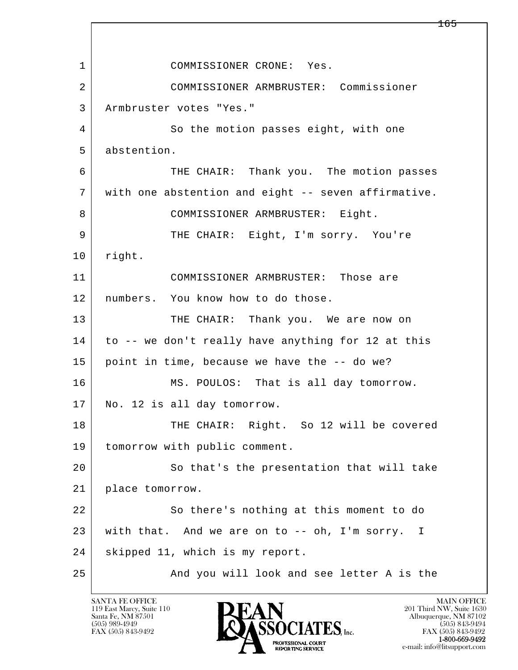l  $\overline{\phantom{a}}$ 1 COMMISSIONER CRONE: Yes. 2 COMMISSIONER ARMBRUSTER: Commissioner 3 Armbruster votes "Yes." 4 So the motion passes eight, with one 5 abstention. 6 THE CHAIR: Thank you. The motion passes 7 with one abstention and eight -- seven affirmative. 8 | COMMISSIONER ARMBRUSTER: Eight. 9 THE CHAIR: Eight, I'm sorry. You're 10 | right. 11 COMMISSIONER ARMBRUSTER: Those are 12 numbers. You know how to do those. 13 THE CHAIR: Thank you. We are now on 14 to -- we don't really have anything for 12 at this 15 point in time, because we have the -- do we? 16 MS. POULOS: That is all day tomorrow. 17 | No. 12 is all day tomorrow. 18 THE CHAIR: Right. So 12 will be covered 19 tomorrow with public comment. 20 So that's the presentation that will take 21 place tomorrow. 22 So there's nothing at this moment to do 23 with that. And we are on to -- oh, I'm sorry. I 24 | skipped 11, which is my report. 25 | The Mond you will look and see letter A is the

119 East Marcy, Suite 110<br>Santa Fe, NM 87501

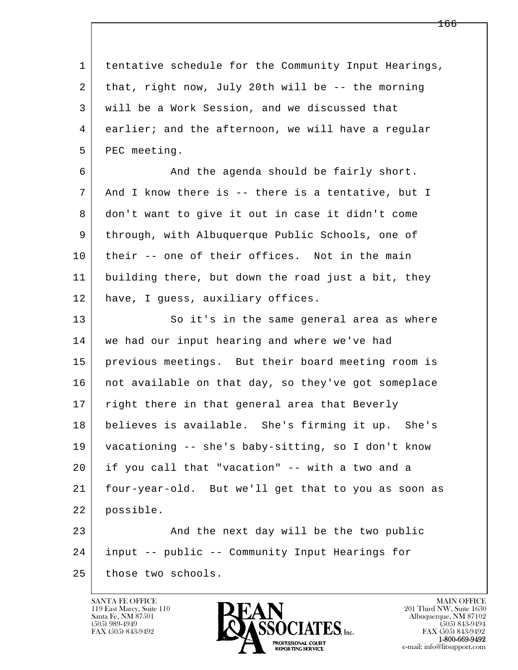l  $\overline{\phantom{a}}$  1 tentative schedule for the Community Input Hearings, 2 that, right now, July 20th will be -- the morning 3 will be a Work Session, and we discussed that 4 earlier; and the afternoon, we will have a regular 5 PEC meeting. 6 And the agenda should be fairly short. 7 And I know there is -- there is a tentative, but I 8 don't want to give it out in case it didn't come 9 through, with Albuquerque Public Schools, one of 10 their -- one of their offices. Not in the main 11 building there, but down the road just a bit, they 12 have, I guess, auxiliary offices. 13 So it's in the same general area as where 14 we had our input hearing and where we've had 15 previous meetings. But their board meeting room is 16 | not available on that day, so they've got someplace 17 right there in that general area that Beverly 18 believes is available. She's firming it up. She's 19 vacationing -- she's baby-sitting, so I don't know 20 if you call that "vacation" -- with a two and a 21 four-year-old. But we'll get that to you as soon as 22 possible. 23 And the next day will be the two public 24 input -- public -- Community Input Hearings for 25 those two schools.

119 East Marcy, Suite 110<br>Santa Fe, NM 87501



FAX (505) 843-9492<br>**1-800-669-9492**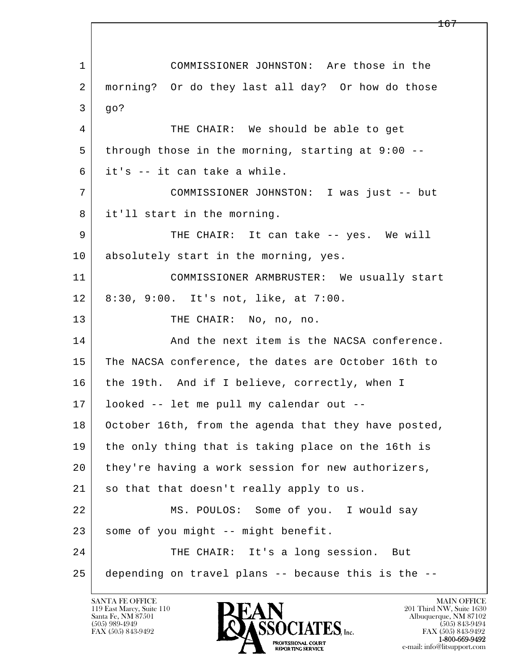l  $\overline{\phantom{a}}$  1 COMMISSIONER JOHNSTON: Are those in the 2 morning? Or do they last all day? Or how do those 3 go? 4 THE CHAIR: We should be able to get 5 through those in the morning, starting at 9:00 -- 6 it's -- it can take a while. 7 COMMISSIONER JOHNSTON: I was just -- but 8 it'll start in the morning. 9 THE CHAIR: It can take -- yes. We will 10 absolutely start in the morning, yes. 11 COMMISSIONER ARMBRUSTER: We usually start 12 8:30, 9:00. It's not, like, at 7:00. 13 THE CHAIR: No, no, no. 14 And the next item is the NACSA conference. 15 The NACSA conference, the dates are October 16th to 16 the 19th. And if I believe, correctly, when I 17 looked -- let me pull my calendar out -- 18 October 16th, from the agenda that they have posted, 19 the only thing that is taking place on the 16th is 20 they're having a work session for new authorizers, 21 | so that that doesn't really apply to us. 22 MS. POULOS: Some of you. I would say 23 | some of you might -- might benefit. 24 THE CHAIR: It's a long session. But 25 depending on travel plans -- because this is the --

119 East Marcy, Suite 110<br>Santa Fe, NM 87501



FAX (505) 843-9492<br>1-800-669-9492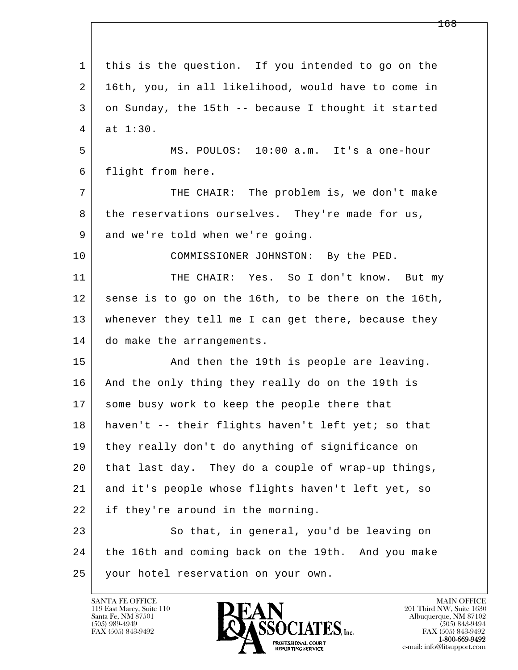| 1  | this is the question. If you intended to go on the   |
|----|------------------------------------------------------|
| 2  | 16th, you, in all likelihood, would have to come in  |
| 3  | on Sunday, the 15th -- because I thought it started  |
| 4  | at 1:30.                                             |
| 5  | MS. POULOS: 10:00 a.m. It's a one-hour               |
| 6  | flight from here.                                    |
| 7  | THE CHAIR: The problem is, we don't make             |
| 8  | the reservations ourselves. They're made for us,     |
| 9  | and we're told when we're going.                     |
| 10 | COMMISSIONER JOHNSTON: By the PED.                   |
| 11 | THE CHAIR: Yes. So I don't know. But my              |
| 12 | sense is to go on the 16th, to be there on the 16th, |
| 13 | whenever they tell me I can get there, because they  |
| 14 | do make the arrangements.                            |
| 15 | And then the 19th is people are leaving.             |
| 16 | And the only thing they really do on the 19th is     |
| 17 | some busy work to keep the people there that         |
| 18 | haven't -- their flights haven't left yet; so that   |
| 19 | they really don't do anything of significance on     |
| 20 | that last day. They do a couple of wrap-up things,   |
| 21 | and it's people whose flights haven't left yet, so   |
| 22 | if they're around in the morning.                    |
| 23 | So that, in general, you'd be leaving on             |
| 24 | the 16th and coming back on the 19th. And you make   |
| 25 | your hotel reservation on your own.                  |

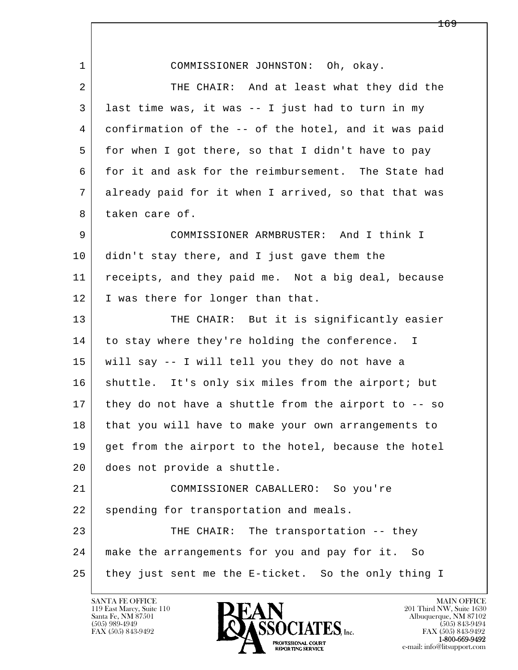l  $\overline{\phantom{a}}$  1 COMMISSIONER JOHNSTON: Oh, okay. 2 THE CHAIR: And at least what they did the 3 last time was, it was -- I just had to turn in my 4 confirmation of the -- of the hotel, and it was paid 5 for when I got there, so that I didn't have to pay 6 for it and ask for the reimbursement. The State had 7 already paid for it when I arrived, so that that was 8 taken care of. 9 COMMISSIONER ARMBRUSTER: And I think I 10 didn't stay there, and I just gave them the 11 receipts, and they paid me. Not a big deal, because 12 I was there for longer than that. 13 THE CHAIR: But it is significantly easier 14 to stay where they're holding the conference. I 15 will say -- I will tell you they do not have a 16 | shuttle. It's only six miles from the airport; but 17 they do not have a shuttle from the airport to -- so 18 that you will have to make your own arrangements to 19 get from the airport to the hotel, because the hotel 20 does not provide a shuttle. 21 COMMISSIONER CABALLERO: So you're 22 spending for transportation and meals. 23 THE CHAIR: The transportation -- they 24 make the arrangements for you and pay for it. So 25 they just sent me the E-ticket. So the only thing I

119 East Marcy, Suite 110<br>Santa Fe, NM 87501

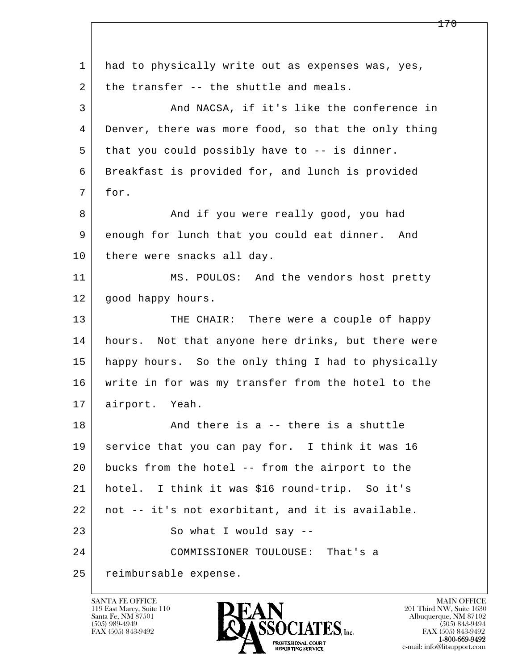l  $\overline{\phantom{a}}$ 1 had to physically write out as expenses was, yes,  $2$  the transfer -- the shuttle and meals. 3 And NACSA, if it's like the conference in 4 Denver, there was more food, so that the only thing 5 that you could possibly have to -- is dinner. 6 Breakfast is provided for, and lunch is provided 7 for. 8 and if you were really good, you had 9 enough for lunch that you could eat dinner. And 10 there were snacks all day. 11 MS. POULOS: And the vendors host pretty 12 | good happy hours. 13 THE CHAIR: There were a couple of happy 14 | hours. Not that anyone here drinks, but there were 15 happy hours. So the only thing I had to physically 16 write in for was my transfer from the hotel to the 17 airport. Yeah. 18 And there is a -- there is a shuttle 19 service that you can pay for. I think it was 16 20 bucks from the hotel -- from the airport to the 21 hotel. I think it was \$16 round-trip. So it's 22 not -- it's not exorbitant, and it is available. 23 So what I would say -- 24 COMMISSIONER TOULOUSE: That's a 25 reimbursable expense.

119 East Marcy, Suite 110<br>Santa Fe, NM 87501



FAX (505) 843-9492<br>1-800-669-9492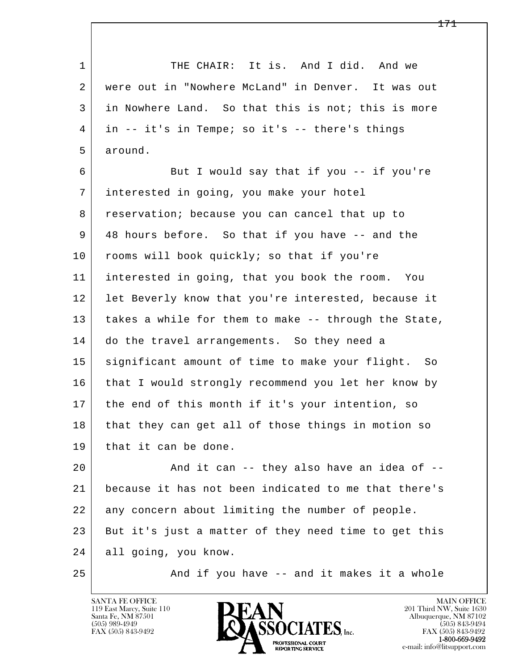l  $\overline{\phantom{a}}$ 1 THE CHAIR: It is. And I did. And we 2 were out in "Nowhere McLand" in Denver. It was out 3 in Nowhere Land. So that this is not; this is more 4 in -- it's in Tempe; so it's -- there's things 5 around. 6 But I would say that if you -- if you're 7 interested in going, you make your hotel 8 reservation; because you can cancel that up to 9 48 hours before. So that if you have -- and the 10 rooms will book quickly; so that if you're 11 interested in going, that you book the room. You 12 | let Beverly know that you're interested, because it 13 takes a while for them to make -- through the State, 14 do the travel arrangements. So they need a 15 | significant amount of time to make your flight. So 16 that I would strongly recommend you let her know by 17 the end of this month if it's your intention, so 18 that they can get all of those things in motion so 19 | that it can be done. 20 | The Rand it can -- they also have an idea of -- 21 because it has not been indicated to me that there's 22 any concern about limiting the number of people. 23 But it's just a matter of they need time to get this 24 all going, you know. 25 | And if you have -- and it makes it a whole

119 East Marcy, Suite 110<br>Santa Fe, NM 87501

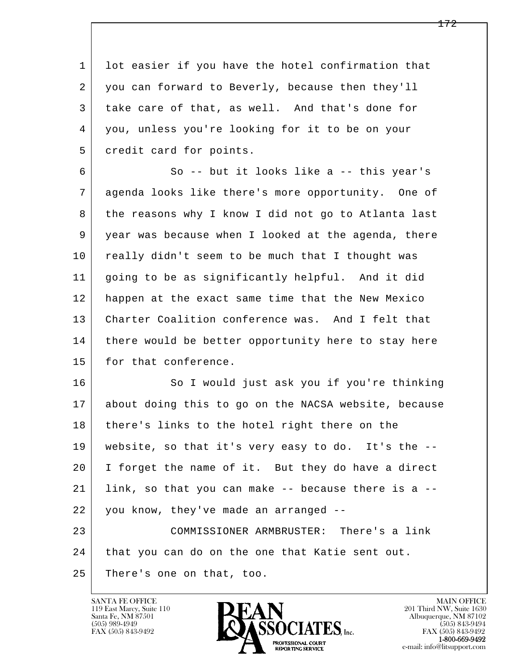1 lot easier if you have the hotel confirmation that 2 you can forward to Beverly, because then they'll 3 take care of that, as well. And that's done for 4 you, unless you're looking for it to be on your 5 credit card for points.

 6 So -- but it looks like a -- this year's 7 agenda looks like there's more opportunity. One of 8 the reasons why I know I did not go to Atlanta last 9 year was because when I looked at the agenda, there 10 really didn't seem to be much that I thought was 11 going to be as significantly helpful. And it did 12 happen at the exact same time that the New Mexico 13 Charter Coalition conference was. And I felt that 14 there would be better opportunity here to stay here 15 for that conference.

l  $\overline{\phantom{a}}$ 16 So I would just ask you if you're thinking 17 about doing this to go on the NACSA website, because 18 there's links to the hotel right there on the 19 website, so that it's very easy to do. It's the -- 20 I forget the name of it. But they do have a direct 21 link, so that you can make -- because there is a -- 22 you know, they've made an arranged -- 23 COMMISSIONER ARMBRUSTER: There's a link 24 that you can do on the one that Katie sent out. 25 There's one on that, too.

119 East Marcy, Suite 110<br>Santa Fe, NM 87501

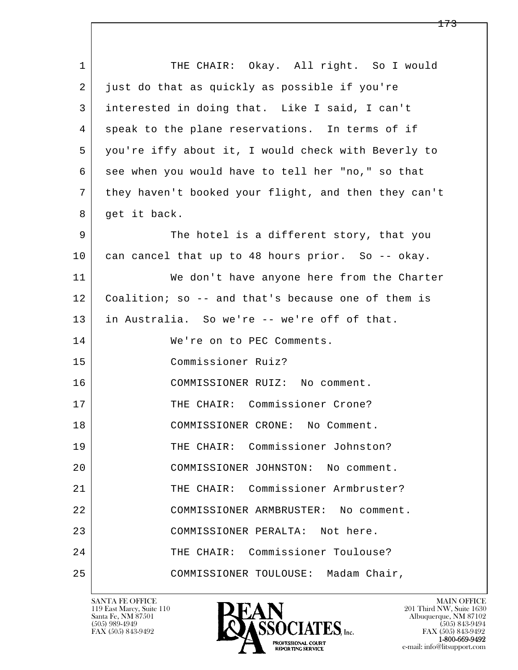l  $\overline{\phantom{a}}$ 1 THE CHAIR: Okay. All right. So I would 2 just do that as quickly as possible if you're 3 interested in doing that. Like I said, I can't 4 speak to the plane reservations. In terms of if 5 you're iffy about it, I would check with Beverly to 6 see when you would have to tell her "no," so that 7 they haven't booked your flight, and then they can't 8 get it back. 9 The hotel is a different story, that you 10 can cancel that up to 48 hours prior. So -- okay. 11 We don't have anyone here from the Charter 12 Coalition; so -- and that's because one of them is 13 in Australia. So we're -- we're off of that. 14 We're on to PEC Comments. 15 Commissioner Ruiz? 16 COMMISSIONER RUIZ: No comment. 17 THE CHAIR: Commissioner Crone? 18 COMMISSIONER CRONE: No Comment. 19 THE CHAIR: Commissioner Johnston? 20 COMMISSIONER JOHNSTON: No comment. 21 | THE CHAIR: Commissioner Armbruster? 22 COMMISSIONER ARMBRUSTER: No comment. 23 COMMISSIONER PERALTA: Not here. 24 THE CHAIR: Commissioner Toulouse? 25 COMMISSIONER TOULOUSE: Madam Chair,

119 East Marcy, Suite 110<br>Santa Fe, NM 87501

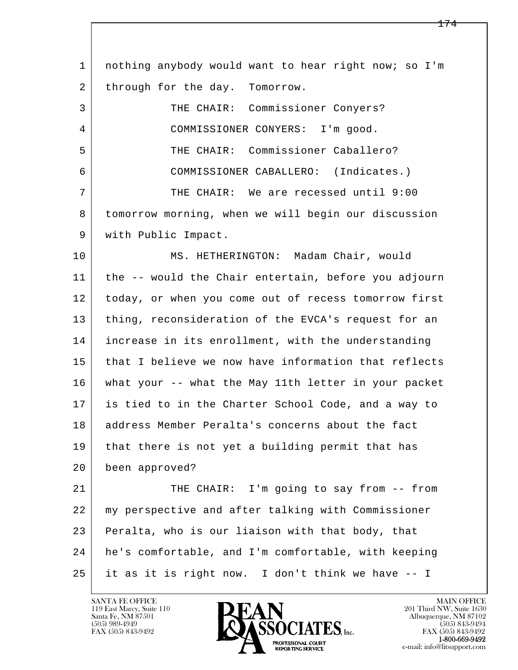l  $\overline{\phantom{a}}$  1 nothing anybody would want to hear right now; so I'm 2 through for the day. Tomorrow. 3 THE CHAIR: Commissioner Conyers? 4 COMMISSIONER CONYERS: I'm good. 5 THE CHAIR: Commissioner Caballero? 6 COMMISSIONER CABALLERO: (Indicates.) 7 THE CHAIR: We are recessed until 9:00 8 tomorrow morning, when we will begin our discussion 9 with Public Impact. 10 MS. HETHERINGTON: Madam Chair, would 11 the -- would the Chair entertain, before you adjourn 12 today, or when you come out of recess tomorrow first 13 | thing, reconsideration of the EVCA's request for an 14 increase in its enrollment, with the understanding 15 that I believe we now have information that reflects 16 what your -- what the May 11th letter in your packet 17 is tied to in the Charter School Code, and a way to 18 address Member Peralta's concerns about the fact 19 that there is not yet a building permit that has 20 been approved? 21 THE CHAIR: I'm going to say from -- from 22 my perspective and after talking with Commissioner 23 Peralta, who is our liaison with that body, that 24 he's comfortable, and I'm comfortable, with keeping 25 it as it is right now. I don't think we have -- I

119 East Marcy, Suite 110<br>Santa Fe, NM 87501

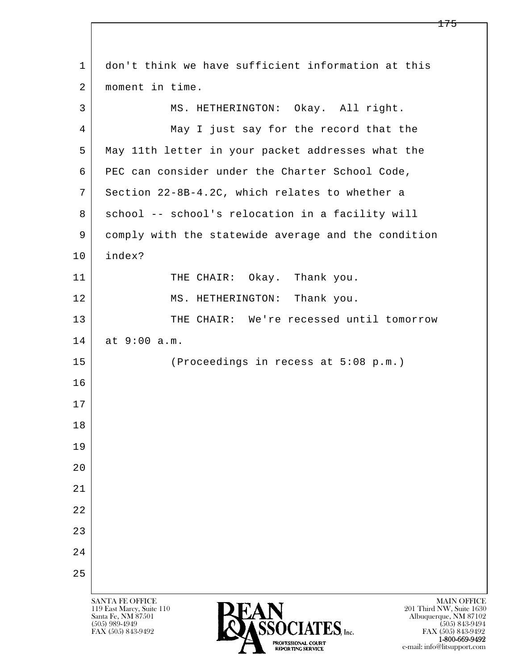| 1              | don't think we have sufficient information at this                                                                                                                                                                                    |
|----------------|---------------------------------------------------------------------------------------------------------------------------------------------------------------------------------------------------------------------------------------|
| 2              | moment in time.                                                                                                                                                                                                                       |
| 3              | MS. HETHERINGTON: Okay. All right.                                                                                                                                                                                                    |
| $\overline{4}$ | May I just say for the record that the                                                                                                                                                                                                |
| 5              | May 11th letter in your packet addresses what the                                                                                                                                                                                     |
| 6              | PEC can consider under the Charter School Code,                                                                                                                                                                                       |
| 7              | Section 22-8B-4.2C, which relates to whether a                                                                                                                                                                                        |
| 8              | school -- school's relocation in a facility will                                                                                                                                                                                      |
| 9              | comply with the statewide average and the condition                                                                                                                                                                                   |
| 10             | index?                                                                                                                                                                                                                                |
| 11             | THE CHAIR: Okay. Thank you.                                                                                                                                                                                                           |
| 12             | MS. HETHERINGTON: Thank you.                                                                                                                                                                                                          |
| 13             | THE CHAIR: We're recessed until tomorrow                                                                                                                                                                                              |
| 14             | at 9:00 a.m.                                                                                                                                                                                                                          |
| 15             | (Proceedings in recess at 5:08 p.m.)                                                                                                                                                                                                  |
| 16             |                                                                                                                                                                                                                                       |
| 17             |                                                                                                                                                                                                                                       |
| 18             |                                                                                                                                                                                                                                       |
| 19             |                                                                                                                                                                                                                                       |
| 20             |                                                                                                                                                                                                                                       |
| 21             |                                                                                                                                                                                                                                       |
| 22             |                                                                                                                                                                                                                                       |
| 23             |                                                                                                                                                                                                                                       |
| 24             |                                                                                                                                                                                                                                       |
| 25             |                                                                                                                                                                                                                                       |
|                | <b>SANTA FE OFFICE</b><br><b>MAIN OFFICE</b><br>119 East Marcy, Suite 110<br>201 Third NW, Suite 1630<br>Santa Fe, NM 87501<br>Albuquerque, NM 87102<br>(50.5) 0.00 10.10<br>$\tau$ <sup><math>\alpha</math></sup> $\sim$ 0.49.0.40.4 |